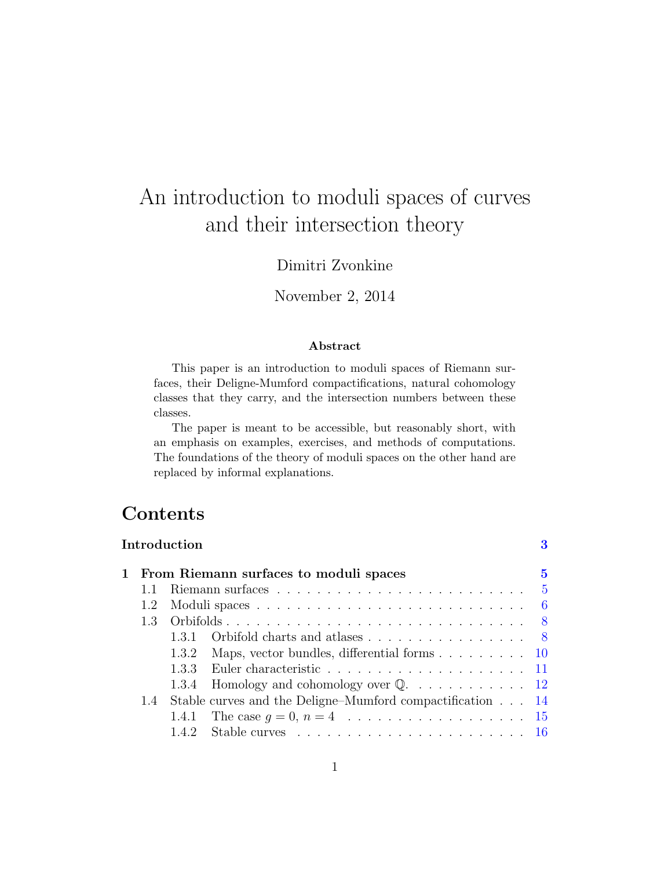# An introduction to moduli spaces of curves and their intersection theory

## Dimitri Zvonkine

## November 2, 2014

#### Abstract

This paper is an introduction to moduli spaces of Riemann surfaces, their Deligne-Mumford compactifications, natural cohomology classes that they carry, and the intersection numbers between these classes.

The paper is meant to be accessible, but reasonably short, with an emphasis on examples, exercises, and methods of computations. The foundations of the theory of moduli spaces on the other hand are replaced by informal explanations.

# Contents

|                                        | $\operatorname{Introduction}$                             |                                                                             | 3 |  |  |  |  |
|----------------------------------------|-----------------------------------------------------------|-----------------------------------------------------------------------------|---|--|--|--|--|
| From Riemann surfaces to moduli spaces |                                                           |                                                                             |   |  |  |  |  |
|                                        |                                                           |                                                                             |   |  |  |  |  |
| 1.2                                    |                                                           |                                                                             |   |  |  |  |  |
| 1.3                                    |                                                           |                                                                             |   |  |  |  |  |
|                                        | 131                                                       | Orbifold charts and atlases 8                                               |   |  |  |  |  |
|                                        |                                                           | 1.3.2 Maps, vector bundles, differential forms $\dots \dots \dots \dots 10$ |   |  |  |  |  |
|                                        |                                                           |                                                                             |   |  |  |  |  |
|                                        |                                                           | 1.3.4 Homology and cohomology over $\mathbb{Q}$ . 12                        |   |  |  |  |  |
| 1.4                                    | Stable curves and the Deligne–Mumford compactification 14 |                                                                             |   |  |  |  |  |
|                                        |                                                           |                                                                             |   |  |  |  |  |
|                                        |                                                           |                                                                             |   |  |  |  |  |
|                                        |                                                           |                                                                             |   |  |  |  |  |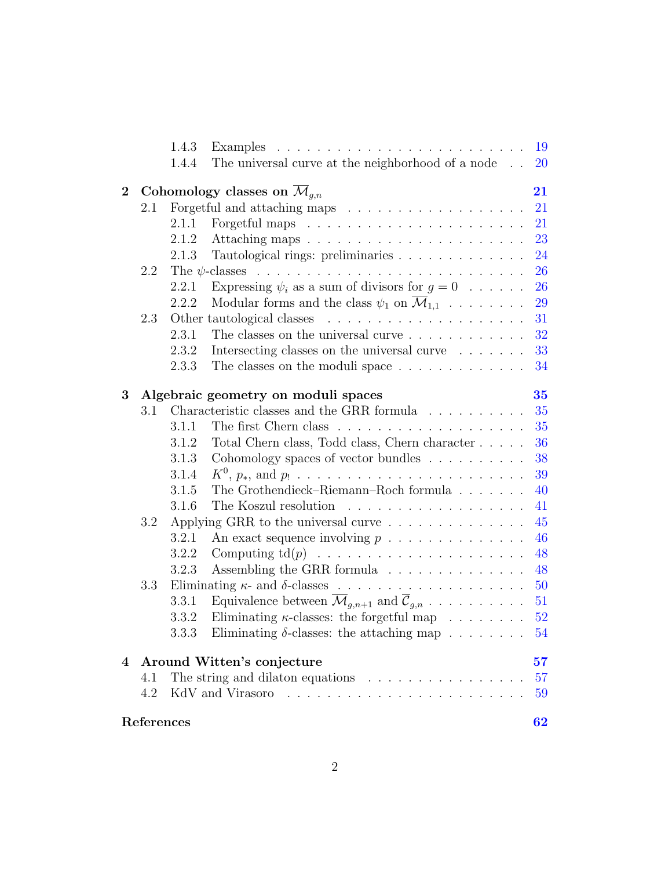|          |                                                                                                            | References |                                                                                         | 62        |  |
|----------|------------------------------------------------------------------------------------------------------------|------------|-----------------------------------------------------------------------------------------|-----------|--|
|          | 4.2                                                                                                        |            |                                                                                         | 59        |  |
| 4        | Around Witten's conjecture<br>The string and dilaton equations $\ldots \ldots \ldots \ldots \ldots$<br>4.1 |            |                                                                                         | 57<br>57  |  |
|          |                                                                                                            |            |                                                                                         |           |  |
|          |                                                                                                            | 3.3.3      | Eliminating $\delta$ -classes: the attaching map                                        | 54        |  |
|          |                                                                                                            | 3.3.2      | Eliminating $\kappa$ -classes: the forgetful map                                        | 52        |  |
|          |                                                                                                            | 3.3.1      | Equivalence between $\overline{\mathcal{M}}_{q,n+1}$ and $\overline{\mathcal{C}}_{q,n}$ | 51        |  |
|          | 3.3                                                                                                        |            |                                                                                         |           |  |
|          |                                                                                                            | 3.2.3      | Assembling the GRR formula                                                              | 48        |  |
|          |                                                                                                            | 3.2.2      | Computing $\mathrm{td}(p)$                                                              | 48        |  |
|          |                                                                                                            | 3.2.1      | An exact sequence involving $p \dots \dots \dots \dots \dots$                           | 46        |  |
|          | 3.2                                                                                                        |            | Applying GRR to the universal curve                                                     | 45        |  |
|          |                                                                                                            | 3.1.6      |                                                                                         | 41        |  |
|          |                                                                                                            | 3.1.5      | The Grothendieck–Riemann–Roch formula $\ldots$ ,                                        | 40        |  |
|          |                                                                                                            | 3.1.4      |                                                                                         | 39        |  |
|          |                                                                                                            | 3.1.3      | Cohomology spaces of vector bundles                                                     | 38        |  |
|          |                                                                                                            | 3.1.2      | Total Chern class, Todd class, Chern character                                          | 36        |  |
|          |                                                                                                            | 3.1.1      |                                                                                         | 35        |  |
|          | 3.1                                                                                                        |            | Characteristic classes and the GRR formula                                              | 35        |  |
| 3        | Algebraic geometry on moduli spaces                                                                        |            |                                                                                         |           |  |
|          |                                                                                                            | 2.3.3      | The classes on the moduli space                                                         | 34        |  |
|          |                                                                                                            | 2.3.2      | Intersecting classes on the universal curve                                             | 33        |  |
|          |                                                                                                            |            | The classes on the universal curve                                                      | 32        |  |
|          | 2.3                                                                                                        | 2.3.1      |                                                                                         | 31        |  |
|          |                                                                                                            | 2.2.2      | Modular forms and the class $\psi_1$ on $\overline{\mathcal{M}}_{1,1}$                  | 29        |  |
|          |                                                                                                            | 2.2.1      | Expressing $\psi_i$ as a sum of divisors for $g = 0$                                    | 26        |  |
|          | 2.2                                                                                                        |            |                                                                                         | 26        |  |
|          |                                                                                                            | 2.1.3      | Tautological rings: preliminaries                                                       | 24        |  |
|          |                                                                                                            | 2.1.2      |                                                                                         | 23        |  |
|          |                                                                                                            | 2.1.1      |                                                                                         | 21        |  |
|          | 2.1                                                                                                        |            |                                                                                         | 21        |  |
| $\bf{2}$ |                                                                                                            |            | Cohomology classes on $\mathcal{M}_{q,n}$                                               | 21        |  |
|          |                                                                                                            |            |                                                                                         |           |  |
|          |                                                                                                            | 1.4.4      | The universal curve at the neighborhood of a node                                       | <b>20</b> |  |
|          |                                                                                                            | 1.4.3      |                                                                                         | 19        |  |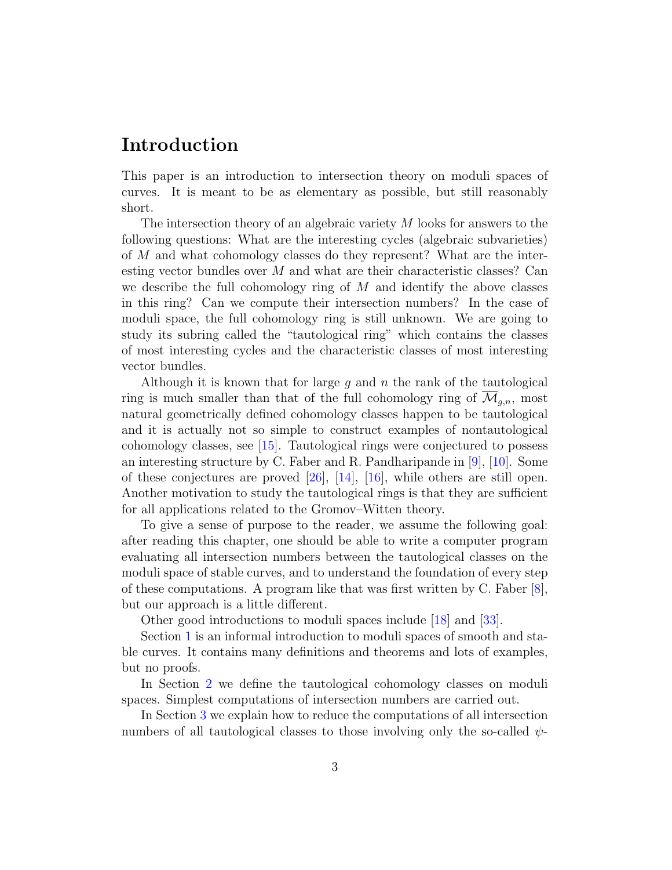# <span id="page-2-1"></span><span id="page-2-0"></span>Introduction

This paper is an introduction to intersection theory on moduli spaces of curves. It is meant to be as elementary as possible, but still reasonably short.

The intersection theory of an algebraic variety M looks for answers to the following questions: What are the interesting cycles (algebraic subvarieties) of M and what cohomology classes do they represent? What are the interesting vector bundles over M and what are their characteristic classes? Can we describe the full cohomology ring of  $M$  and identify the above classes in this ring? Can we compute their intersection numbers? In the case of moduli space, the full cohomology ring is still unknown. We are going to study its subring called the "tautological ring" which contains the classes of most interesting cycles and the characteristic classes of most interesting vector bundles.

Although it is known that for large  $g$  and  $n$  the rank of the tautological ring is much smaller than that of the full cohomology ring of  $\mathcal{M}_{q,n}$ , most natural geometrically defined cohomology classes happen to be tautological and it is actually not so simple to construct examples of nontautological cohomology classes, see [\[15\]](#page-63-0). Tautological rings were conjectured to possess an interesting structure by C. Faber and R. Pandharipande in [\[9\]](#page-62-0), [\[10\]](#page-62-1). Some of these conjectures are proved [\[26\]](#page-64-0), [\[14\]](#page-63-1), [\[16\]](#page-63-2), while others are still open. Another motivation to study the tautological rings is that they are sufficient for all applications related to the Gromov–Witten theory.

To give a sense of purpose to the reader, we assume the following goal: after reading this chapter, one should be able to write a computer program evaluating all intersection numbers between the tautological classes on the moduli space of stable curves, and to understand the foundation of every step of these computations. A program like that was first written by C. Faber  $[8]$ , but our approach is a little different.

Other good introductions to moduli spaces include [\[18\]](#page-63-3) and [\[33\]](#page-64-1).

Section [1](#page-4-0) is an informal introduction to moduli spaces of smooth and stable curves. It contains many definitions and theorems and lots of examples, but no proofs.

In Section [2](#page-20-0) we define the tautological cohomology classes on moduli spaces. Simplest computations of intersection numbers are carried out.

In Section [3](#page-34-0) we explain how to reduce the computations of all intersection numbers of all tautological classes to those involving only the so-called  $\psi$ -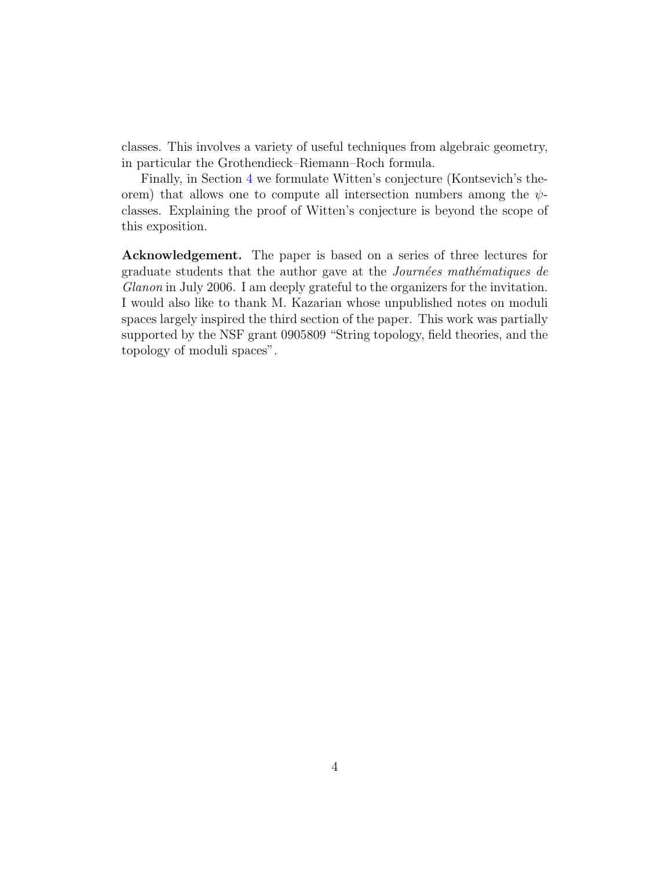classes. This involves a variety of useful techniques from algebraic geometry, in particular the Grothendieck–Riemann–Roch formula.

Finally, in Section [4](#page-56-0) we formulate Witten's conjecture (Kontsevich's theorem) that allows one to compute all intersection numbers among the  $\psi$ classes. Explaining the proof of Witten's conjecture is beyond the scope of this exposition.

Acknowledgement. The paper is based on a series of three lectures for graduate students that the author gave at the Journées mathématiques de Glanon in July 2006. I am deeply grateful to the organizers for the invitation. I would also like to thank M. Kazarian whose unpublished notes on moduli spaces largely inspired the third section of the paper. This work was partially supported by the NSF grant 0905809 "String topology, field theories, and the topology of moduli spaces".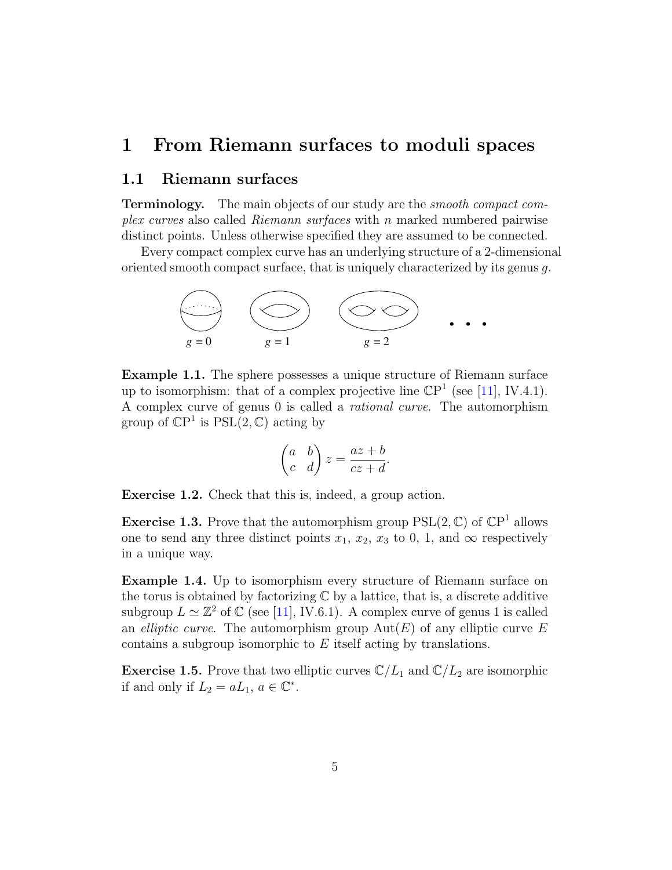## <span id="page-4-3"></span><span id="page-4-0"></span>1 From Riemann surfaces to moduli spaces

## <span id="page-4-1"></span>1.1 Riemann surfaces

**Terminology.** The main objects of our study are the *smooth compact com*plex curves also called Riemann surfaces with n marked numbered pairwise distinct points. Unless otherwise specified they are assumed to be connected.

Every compact complex curve has an underlying structure of a 2-dimensional oriented smooth compact surface, that is uniquely characterized by its genus g.



Example 1.1. The sphere possesses a unique structure of Riemann surface up to isomorphism: that of a complex projective line  $\mathbb{CP}^1$  (see [\[11\]](#page-62-3), IV.4.1). A complex curve of genus 0 is called a rational curve. The automorphism group of  $\mathbb{C}P^1$  is  $PSL(2,\mathbb{C})$  acting by

$$
\begin{pmatrix} a & b \\ c & d \end{pmatrix} z = \frac{az+b}{cz+d}.
$$

Exercise 1.2. Check that this is, indeed, a group action.

**Exercise 1.3.** Prove that the automorphism group  $PSL(2, \mathbb{C})$  of  $\mathbb{C}P<sup>1</sup>$  allows one to send any three distinct points  $x_1, x_2, x_3$  to 0, 1, and  $\infty$  respectively in a unique way.

<span id="page-4-2"></span>Example 1.4. Up to isomorphism every structure of Riemann surface on the torus is obtained by factorizing  $\mathbb C$  by a lattice, that is, a discrete additive subgroup  $L \simeq \mathbb{Z}^2$  of  $\mathbb{C}$  (see [\[11\]](#page-62-3), IV.6.1). A complex curve of genus 1 is called an *elliptic curve*. The automorphism group  $Aut(E)$  of any elliptic curve E contains a subgroup isomorphic to E itself acting by translations.

**Exercise 1.5.** Prove that two elliptic curves  $\mathbb{C}/L_1$  and  $\mathbb{C}/L_2$  are isomorphic if and only if  $L_2 = aL_1, a \in \mathbb{C}^*$ .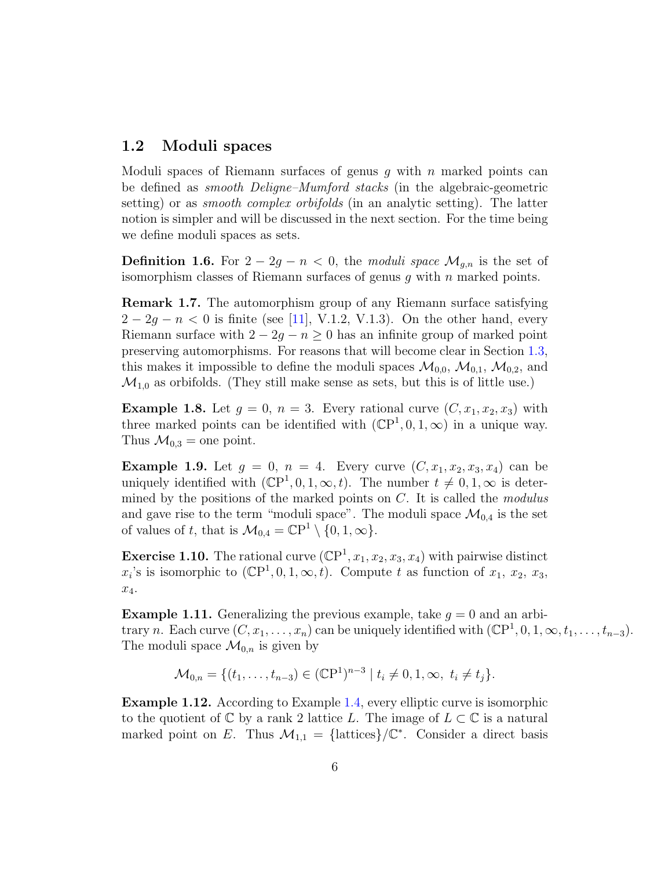## <span id="page-5-3"></span><span id="page-5-0"></span>1.2 Moduli spaces

Moduli spaces of Riemann surfaces of genus  $g$  with  $n$  marked points can be defined as smooth Deligne–Mumford stacks (in the algebraic-geometric setting) or as *smooth complex orbifolds* (in an analytic setting). The latter notion is simpler and will be discussed in the next section. For the time being we define moduli spaces as sets.

**Definition 1.6.** For  $2 - 2g - n < 0$ , the moduli space  $\mathcal{M}_{q,n}$  is the set of isomorphism classes of Riemann surfaces of genus  $q$  with  $n$  marked points.

Remark 1.7. The automorphism group of any Riemann surface satisfying  $2 - 2g - n < 0$  is finite (see [\[11\]](#page-62-3), V.1.2, V.1.3). On the other hand, every Riemann surface with  $2 - 2g - n \geq 0$  has an infinite group of marked point preserving automorphisms. For reasons that will become clear in Section [1.3,](#page-7-0) this makes it impossible to define the moduli spaces  $\mathcal{M}_{0,0}, \mathcal{M}_{0,1}, \mathcal{M}_{0,2}$ , and  $\mathcal{M}_{1,0}$  as orbifolds. (They still make sense as sets, but this is of little use.)

**Example 1.8.** Let  $g = 0$ ,  $n = 3$ . Every rational curve  $(C, x_1, x_2, x_3)$  with three marked points can be identified with  $(\mathbb{C}P^1, 0, 1, \infty)$  in a unique way. Thus  $\mathcal{M}_{0,3} =$  one point.

<span id="page-5-2"></span>**Example 1.9.** Let  $g = 0$ ,  $n = 4$ . Every curve  $(C, x_1, x_2, x_3, x_4)$  can be uniquely identified with  $(\mathbb{C}P^1, 0, 1, \infty, t)$ . The number  $t \neq 0, 1, \infty$  is determined by the positions of the marked points on  $C$ . It is called the *modulus* and gave rise to the term "moduli space". The moduli space  $\mathcal{M}_{0,4}$  is the set of values of t, that is  $\mathcal{M}_{0,4} = \mathbb{C}P^1 \setminus \{0, 1, \infty\}.$ 

**Exercise 1.10.** The rational curve  $(\mathbb{CP}^1, x_1, x_2, x_3, x_4)$  with pairwise distinct  $x_i$ 's is isomorphic to  $(\mathbb{C}P^1, 0, 1, \infty, t)$ . Compute t as function of  $x_1, x_2, x_3$ ,  $x_4$ .

**Example 1.11.** Generalizing the previous example, take  $g = 0$  and an arbitrary n. Each curve  $(C, x_1, \ldots, x_n)$  can be uniquely identified with  $(\mathbb{C}P^1, 0, 1, \infty, t_1, \ldots, t_{n-3})$ . The moduli space  $\mathcal{M}_{0,n}$  is given by

$$
\mathcal{M}_{0,n} = \{ (t_1, \ldots, t_{n-3}) \in (\mathbb{C}P^1)^{n-3} \mid t_i \neq 0, 1, \infty, t_i \neq t_j \}.
$$

<span id="page-5-1"></span>Example 1.12. According to Example [1.4,](#page-4-2) every elliptic curve is isomorphic to the quotient of  $\mathbb C$  by a rank 2 lattice L. The image of  $L \subset \mathbb C$  is a natural marked point on E. Thus  $\mathcal{M}_{1,1} = {\text{lattices}}/\mathbb{C}^*$ . Consider a direct basis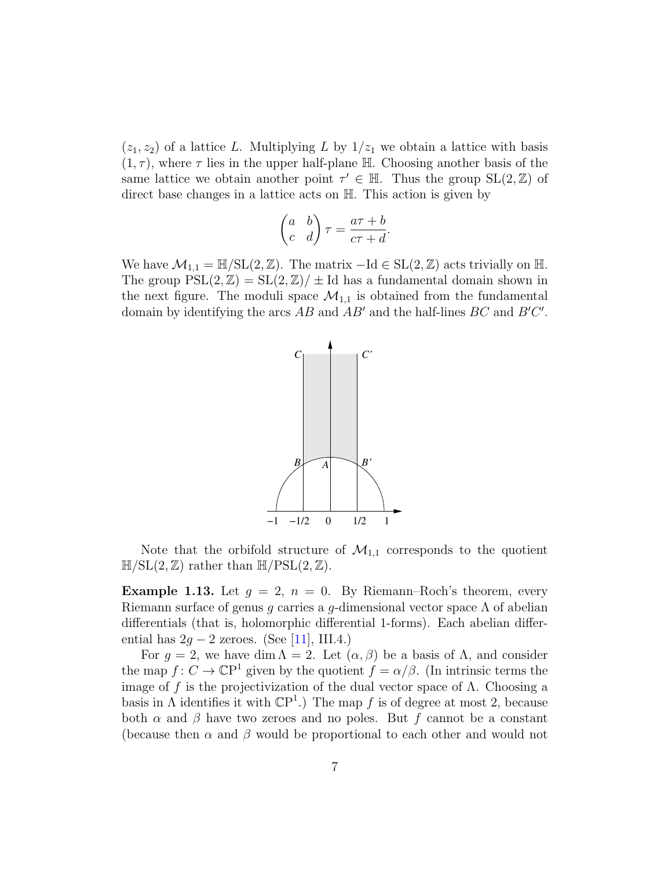<span id="page-6-1"></span> $(z_1, z_2)$  of a lattice L. Multiplying L by  $1/z_1$  we obtain a lattice with basis  $(1, \tau)$ , where  $\tau$  lies in the upper half-plane H. Choosing another basis of the same lattice we obtain another point  $\tau' \in \mathbb{H}$ . Thus the group  $SL(2, \mathbb{Z})$  of direct base changes in a lattice acts on H. This action is given by

$$
\begin{pmatrix} a & b \\ c & d \end{pmatrix} \tau = \frac{a\tau + b}{c\tau + d}.
$$

We have  $\mathcal{M}_{1,1} = \mathbb{H} / SL(2, \mathbb{Z})$ . The matrix  $-\text{Id} \in SL(2, \mathbb{Z})$  acts trivially on  $\mathbb{H}$ . The group  $PSL(2, \mathbb{Z}) = SL(2, \mathbb{Z})/ \pm Id$  has a fundamental domain shown in the next figure. The moduli space  $\mathcal{M}_{1,1}$  is obtained from the fundamental domain by identifying the arcs  $AB$  and  $AB'$  and the half-lines  $BC$  and  $B'C'$ .



Note that the orbifold structure of  $\mathcal{M}_{1,1}$  corresponds to the quotient  $\mathbb{H}/SL(2,\mathbb{Z})$  rather than  $\mathbb{H}/PSL(2,\mathbb{Z})$ .

<span id="page-6-0"></span>**Example 1.13.** Let  $g = 2$ ,  $n = 0$ . By Riemann–Roch's theorem, every Riemann surface of genus g carries a g-dimensional vector space  $\Lambda$  of abelian differentials (that is, holomorphic differential 1-forms). Each abelian differential has  $2q - 2$  zeroes. (See [\[11\]](#page-62-3), III.4.)

For  $g = 2$ , we have dim  $\Lambda = 2$ . Let  $(\alpha, \beta)$  be a basis of  $\Lambda$ , and consider the map  $f: C \to \mathbb{C}P^1$  given by the quotient  $f = \alpha/\beta$ . (In intrinsic terms the image of f is the projectivization of the dual vector space of  $\Lambda$ . Choosing a basis in  $\Lambda$  identifies it with  $\mathbb{C}P^1$ .) The map f is of degree at most 2, because both  $\alpha$  and  $\beta$  have two zeroes and no poles. But f cannot be a constant (because then  $\alpha$  and  $\beta$  would be proportional to each other and would not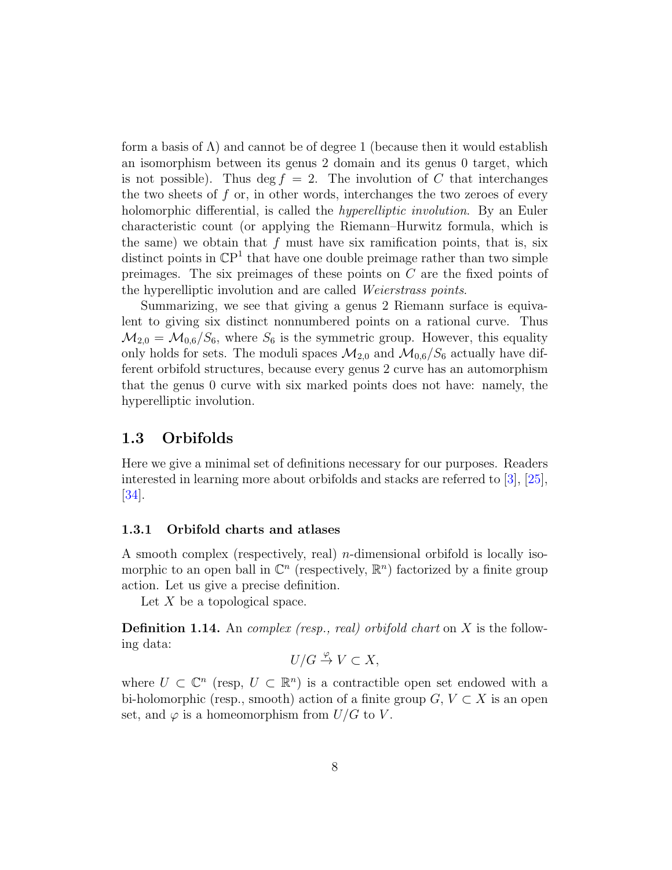<span id="page-7-2"></span>form a basis of  $\Lambda$ ) and cannot be of degree 1 (because then it would establish an isomorphism between its genus 2 domain and its genus 0 target, which is not possible). Thus deg  $f = 2$ . The involution of C that interchanges the two sheets of  $f$  or, in other words, interchanges the two zeroes of every holomorphic differential, is called the *hyperelliptic involution*. By an Euler characteristic count (or applying the Riemann–Hurwitz formula, which is the same) we obtain that  $f$  must have six ramification points, that is, six distinct points in  $\mathbb{C}P<sup>1</sup>$  that have one double preimage rather than two simple preimages. The six preimages of these points on C are the fixed points of the hyperelliptic involution and are called Weierstrass points.

Summarizing, we see that giving a genus 2 Riemann surface is equivalent to giving six distinct nonnumbered points on a rational curve. Thus  $M_{2,0} = M_{0,6}/S_6$ , where  $S_6$  is the symmetric group. However, this equality only holds for sets. The moduli spaces  $\mathcal{M}_{2,0}$  and  $\mathcal{M}_{0,6}/S_6$  actually have different orbifold structures, because every genus 2 curve has an automorphism that the genus 0 curve with six marked points does not have: namely, the hyperelliptic involution.

### <span id="page-7-0"></span>1.3 Orbifolds

Here we give a minimal set of definitions necessary for our purposes. Readers interested in learning more about orbifolds and stacks are referred to [\[3\]](#page-62-4), [\[25\]](#page-63-4), [\[34\]](#page-64-2).

#### <span id="page-7-1"></span>1.3.1 Orbifold charts and atlases

A smooth complex (respectively, real) n-dimensional orbifold is locally isomorphic to an open ball in  $\mathbb{C}^n$  (respectively,  $\mathbb{R}^n$ ) factorized by a finite group action. Let us give a precise definition.

Let  $X$  be a topological space.

**Definition 1.14.** An *complex (resp., real) orbifold chart* on  $X$  is the following data:

 $U/G \overset{\varphi}{\to} V \subset X$ ,

where  $U \subset \mathbb{C}^n$  (resp,  $U \subset \mathbb{R}^n$ ) is a contractible open set endowed with a bi-holomorphic (resp., smooth) action of a finite group  $G, V \subset X$  is an open set, and  $\varphi$  is a homeomorphism from  $U/G$  to V.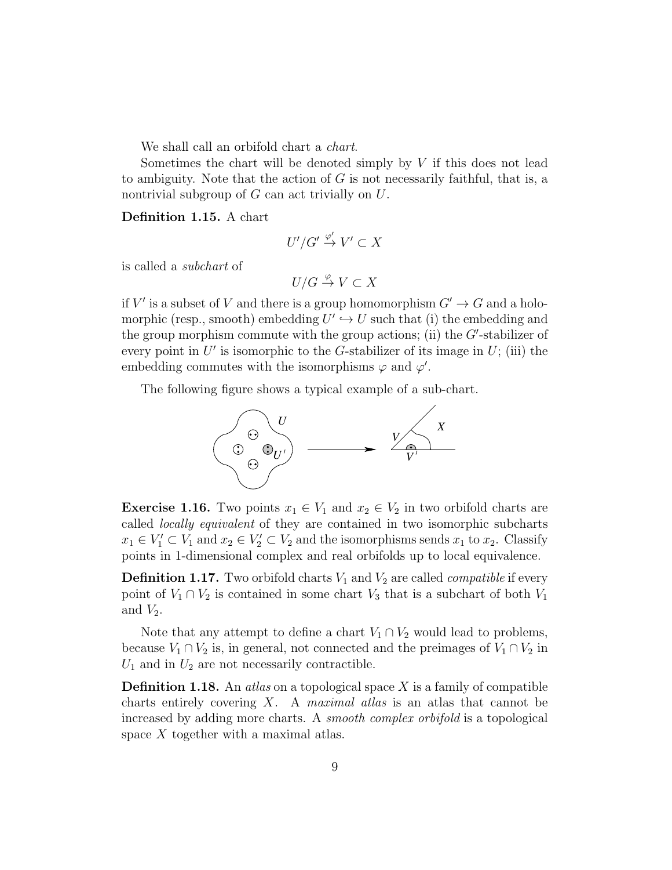We shall call an orbifold chart a *chart*.

Sometimes the chart will be denoted simply by  $V$  if this does not lead to ambiguity. Note that the action of  $G$  is not necessarily faithful, that is, a nontrivial subgroup of  $G$  can act trivially on  $U$ .

Definition 1.15. A chart

$$
U'/G' \stackrel{\varphi'}{\to} V' \subset X
$$

is called a subchart of

$$
U/G \overset{\varphi}{\to} V \subset X
$$

if V' is a subset of V and there is a group homomorphism  $G' \to G$  and a holomorphic (resp., smooth) embedding  $U' \hookrightarrow U$  such that (i) the embedding and the group morphism commute with the group actions; (ii) the  $G'$ -stabilizer of every point in  $U'$  is isomorphic to the G-stabilizer of its image in  $U$ ; (iii) the embedding commutes with the isomorphisms  $\varphi$  and  $\varphi'$ .

The following figure shows a typical example of a sub-chart.



**Exercise 1.16.** Two points  $x_1 \in V_1$  and  $x_2 \in V_2$  in two orbifold charts are called locally equivalent of they are contained in two isomorphic subcharts  $x_1 \in V'_1 \subset V_1$  and  $x_2 \in V'_2 \subset V_2$  and the isomorphisms sends  $x_1$  to  $x_2$ . Classify points in 1-dimensional complex and real orbifolds up to local equivalence.

**Definition 1.17.** Two orbifold charts  $V_1$  and  $V_2$  are called *compatible* if every point of  $V_1 \cap V_2$  is contained in some chart  $V_3$  that is a subchart of both  $V_1$ and  $V_2$ .

Note that any attempt to define a chart  $V_1 \cap V_2$  would lead to problems, because  $V_1 \cap V_2$  is, in general, not connected and the preimages of  $V_1 \cap V_2$  in  $U_1$  and in  $U_2$  are not necessarily contractible.

**Definition 1.18.** An *atlas* on a topological space X is a family of compatible charts entirely covering  $X$ . A *maximal atlas* is an atlas that cannot be increased by adding more charts. A smooth complex orbifold is a topological space X together with a maximal atlas.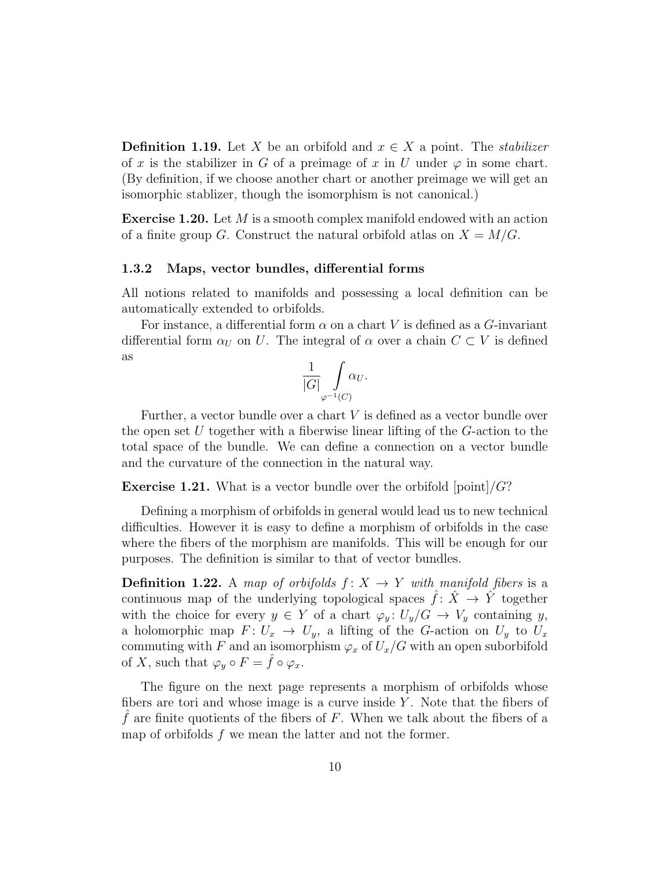**Definition 1.19.** Let X be an orbifold and  $x \in X$  a point. The *stabilizer* of x is the stabilizer in G of a preimage of x in U under  $\varphi$  in some chart. (By definition, if we choose another chart or another preimage we will get an isomorphic stablizer, though the isomorphism is not canonical.)

Exercise 1.20. Let M is a smooth complex manifold endowed with an action of a finite group G. Construct the natural orbifold atlas on  $X = M/G$ .

#### <span id="page-9-0"></span>1.3.2 Maps, vector bundles, differential forms

All notions related to manifolds and possessing a local definition can be automatically extended to orbifolds.

For instance, a differential form  $\alpha$  on a chart V is defined as a G-invariant differential form  $\alpha_U$  on U. The integral of  $\alpha$  over a chain  $C \subset V$  is defined as

1 |G| Z ϕ−1(C) α<sup>U</sup> .

Further, a vector bundle over a chart V is defined as a vector bundle over the open set U together with a fiberwise linear lifting of the  $G$ -action to the total space of the bundle. We can define a connection on a vector bundle and the curvature of the connection in the natural way.

**Exercise 1.21.** What is a vector bundle over the orbifold  $|point|/G$ ?

Defining a morphism of orbifolds in general would lead us to new technical difficulties. However it is easy to define a morphism of orbifolds in the case where the fibers of the morphism are manifolds. This will be enough for our purposes. The definition is similar to that of vector bundles.

**Definition 1.22.** A map of orbifolds  $f: X \rightarrow Y$  with manifold fibers is a continuous map of the underlying topological spaces  $\hat{f}: \hat{X} \to \hat{Y}$  together with the choice for every  $y \in Y$  of a chart  $\varphi_y: U_y/G \to V_y$  containing y, a holomorphic map  $F: U_x \to U_y$ , a lifting of the G-action on  $U_y$  to  $U_x$ commuting with F and an isomorphism  $\varphi_x$  of  $U_x/G$  with an open suborbifold of X, such that  $\varphi_y \circ F = \hat{f} \circ \varphi_x$ .

The figure on the next page represents a morphism of orbifolds whose fibers are tori and whose image is a curve inside  $Y$ . Note that the fibers of  $f$  are finite quotients of the fibers of  $F$ . When we talk about the fibers of a map of orbifolds  $f$  we mean the latter and not the former.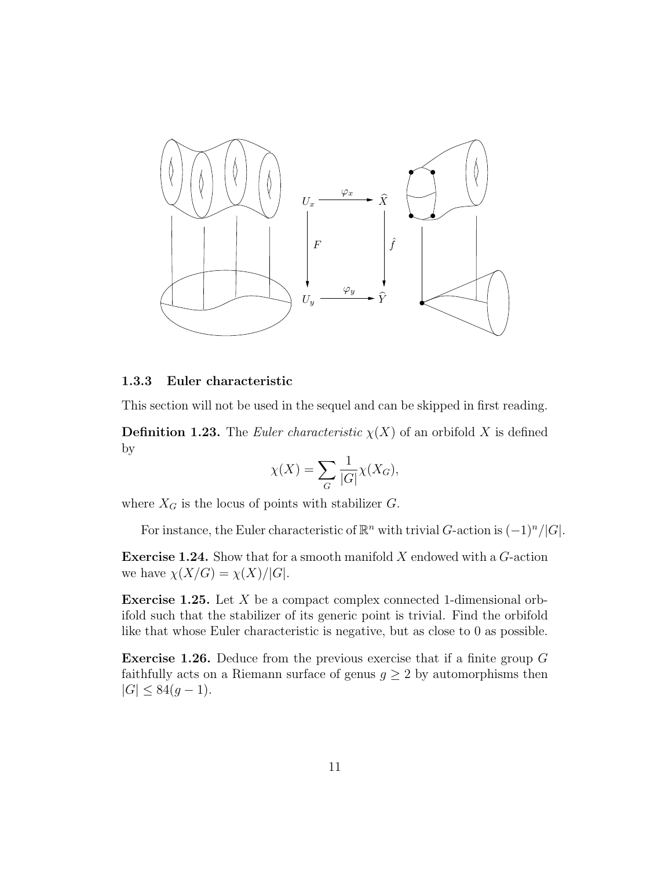

### <span id="page-10-0"></span>1.3.3 Euler characteristic

This section will not be used in the sequel and can be skipped in first reading.

**Definition 1.23.** The *Euler characteristic*  $\chi(X)$  of an orbifold X is defined by

$$
\chi(X) = \sum_G \frac{1}{|G|} \chi(X_G),
$$

where  $X_G$  is the locus of points with stabilizer  $G$ .

For instance, the Euler characteristic of  $\mathbb{R}^n$  with trivial G-action is  $(-1)^n/|G|$ .

**Exercise 1.24.** Show that for a smooth manifold  $X$  endowed with a  $G$ -action we have  $\chi(X/G) = \chi(X)/|G|$ .

Exercise 1.25. Let X be a compact complex connected 1-dimensional orbifold such that the stabilizer of its generic point is trivial. Find the orbifold like that whose Euler characteristic is negative, but as close to 0 as possible.

Exercise 1.26. Deduce from the previous exercise that if a finite group G faithfully acts on a Riemann surface of genus  $g \geq 2$  by automorphisms then  $|G| \leq 84(g-1).$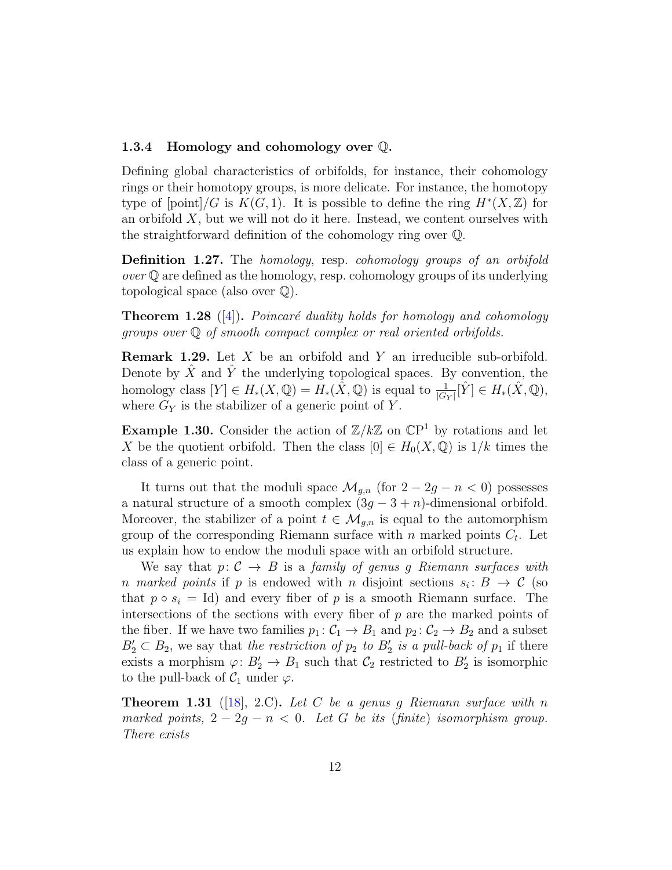#### <span id="page-11-2"></span><span id="page-11-0"></span>1.3.4 Homology and cohomology over Q.

Defining global characteristics of orbifolds, for instance, their cohomology rings or their homotopy groups, is more delicate. For instance, the homotopy type of  $[point]/G$  is  $K(G, 1)$ . It is possible to define the ring  $H^*(X, \mathbb{Z})$  for an orbifold  $X$ , but we will not do it here. Instead, we content ourselves with the straightforward definition of the cohomology ring over Q.

Definition 1.27. The homology, resp. cohomology groups of an orbifold  $over \mathbb{Q}$  are defined as the homology, resp. cohomology groups of its underlying topological space (also over  $\mathbb{Q}$ ).

**Theorem 1.28** ([\[4\]](#page-62-5)). Poincaré duality holds for homology and cohomology groups over Q of smooth compact complex or real oriented orbifolds.

**Remark 1.29.** Let  $X$  be an orbifold and  $Y$  an irreducible sub-orbifold. Denote by  $X$  and  $Y$  the underlying topological spaces. By convention, the homology class  $[Y] \in H_*(X,\mathbb{Q}) = H_*(\hat{X},\mathbb{Q})$  is equal to  $\frac{1}{|G_Y|}[\hat{Y}] \in H_*(\hat{X},\mathbb{Q}),$ where  $G_Y$  is the stabilizer of a generic point of Y.

**Example 1.30.** Consider the action of  $\mathbb{Z}/k\mathbb{Z}$  on  $\mathbb{CP}^1$  by rotations and let X be the quotient orbifold. Then the class  $[0] \in H_0(X, \mathbb{Q})$  is  $1/k$  times the class of a generic point.

It turns out that the moduli space  $\mathcal{M}_{q,n}$  (for  $2 - 2g - n < 0$ ) possesses a natural structure of a smooth complex  $(3g - 3 + n)$ -dimensional orbifold. Moreover, the stabilizer of a point  $t \in \mathcal{M}_{q,n}$  is equal to the automorphism group of the corresponding Riemann surface with  $n$  marked points  $C_t$ . Let us explain how to endow the moduli space with an orbifold structure.

We say that  $p: \mathcal{C} \to B$  is a family of genus g Riemann surfaces with n marked points if p is endowed with n disjoint sections  $s_i: B \to C$  (so that  $p \circ s_i = Id$  and every fiber of p is a smooth Riemann surface. The intersections of the sections with every fiber of  $p$  are the marked points of the fiber. If we have two families  $p_1: C_1 \to B_1$  and  $p_2: C_2 \to B_2$  and a subset  $B'_2 \subset B_2$ , we say that the restriction of  $p_2$  to  $B'_2$  is a pull-back of  $p_1$  if there exists a morphism  $\varphi: B'_2 \to B_1$  such that  $\mathcal{C}_2$  restricted to  $B'_2$  is isomorphic to the pull-back of  $\mathcal{C}_1$  under  $\varphi$ .

<span id="page-11-1"></span>**Theorem 1.31** ([\[18\]](#page-63-3), 2.C). Let C be a genus g Riemann surface with n marked points,  $2 - 2g - n < 0$ . Let G be its (finite) isomorphism group. There exists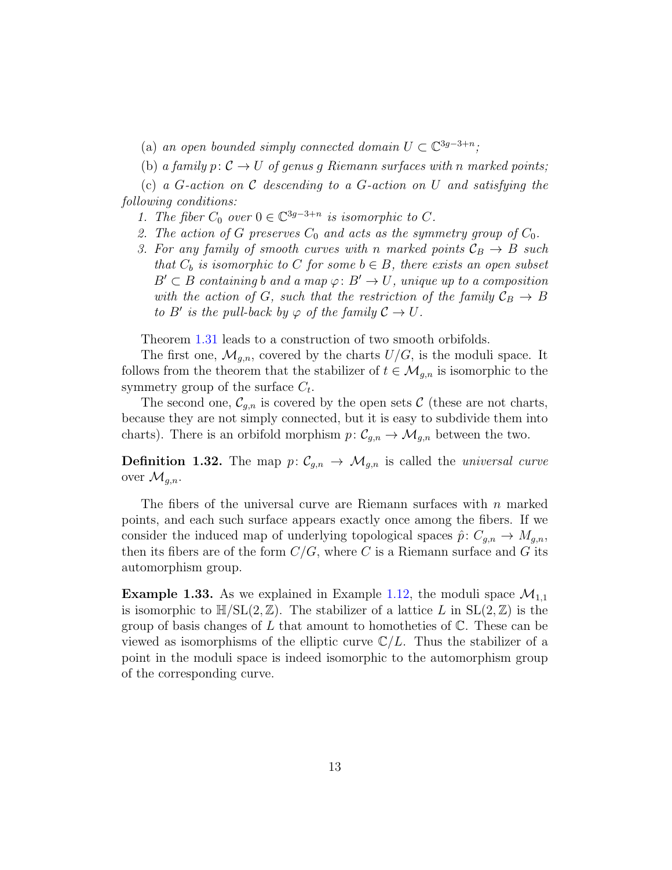- (a) an open bounded simply connected domain  $U \subset \mathbb{C}^{3g-3+n}$ ;
- (b) a family  $p: \mathcal{C} \to U$  of genus g Riemann surfaces with n marked points;

(c) a G-action on C descending to a G-action on U and satisfying the following conditions:

- 1. The fiber  $C_0$  over  $0 \in \mathbb{C}^{3g-3+n}$  is isomorphic to C.
- 2. The action of G preserves  $C_0$  and acts as the symmetry group of  $C_0$ .
- 3. For any family of smooth curves with n marked points  $\mathcal{C}_B \to B$  such that  $C_b$  is isomorphic to C for some  $b \in B$ , there exists an open subset  $B' \subset B$  containing b and a map  $\varphi: B' \to U$ , unique up to a composition with the action of G, such that the restriction of the family  $\mathcal{C}_B \to B$ to B' is the pull-back by  $\varphi$  of the family  $\mathcal{C} \to U$ .

Theorem [1.31](#page-11-1) leads to a construction of two smooth orbifolds.

The first one,  $\mathcal{M}_{g,n}$ , covered by the charts  $U/G$ , is the moduli space. It follows from the theorem that the stabilizer of  $t \in \mathcal{M}_{g,n}$  is isomorphic to the symmetry group of the surface  $C_t$ .

The second one,  $\mathcal{C}_{g,n}$  is covered by the open sets C (these are not charts, because they are not simply connected, but it is easy to subdivide them into charts). There is an orbifold morphism  $p: \mathcal{C}_{g,n} \to \mathcal{M}_{g,n}$  between the two.

**Definition 1.32.** The map  $p: \mathcal{C}_{g,n} \to \mathcal{M}_{g,n}$  is called the *universal curve* over  $\mathcal{M}_{q,n}$ .

The fibers of the universal curve are Riemann surfaces with  $n$  marked points, and each such surface appears exactly once among the fibers. If we consider the induced map of underlying topological spaces  $\hat{p}: C_{g,n} \to M_{g,n}$ , then its fibers are of the form  $C/G$ , where C is a Riemann surface and G its automorphism group.

<span id="page-12-0"></span>**Example 1.33.** As we explained in Example [1.12,](#page-5-1) the moduli space  $\mathcal{M}_{1,1}$ is isomorphic to  $\mathbb{H}/SL(2,\mathbb{Z})$ . The stabilizer of a lattice L in  $SL(2,\mathbb{Z})$  is the group of basis changes of L that amount to homotheties of  $\mathbb{C}$ . These can be viewed as isomorphisms of the elliptic curve  $\mathbb{C}/L$ . Thus the stabilizer of a point in the moduli space is indeed isomorphic to the automorphism group of the corresponding curve.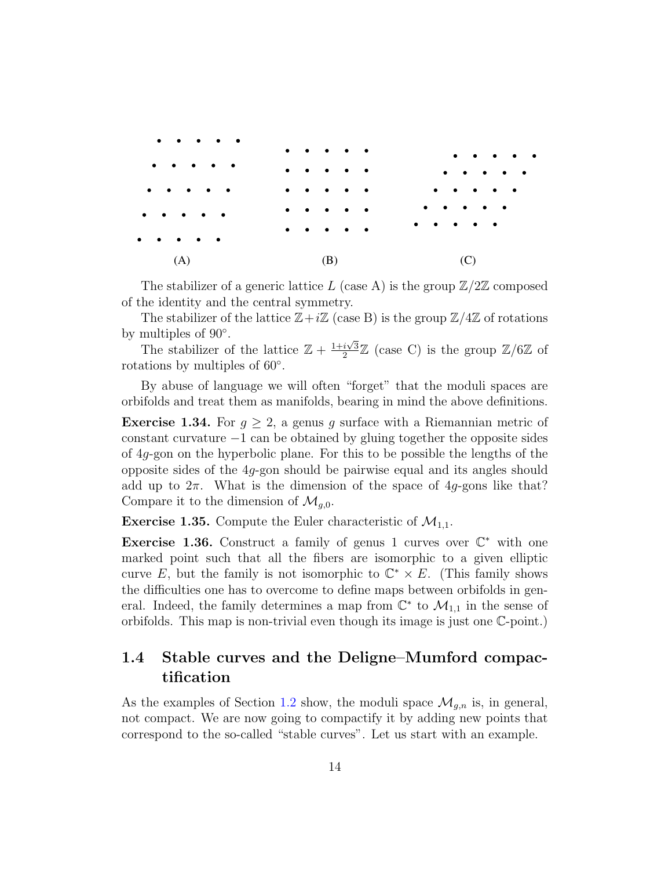

The stabilizer of a generic lattice L (case A) is the group  $\mathbb{Z}/2\mathbb{Z}$  composed of the identity and the central symmetry.

The stabilizer of the lattice  $\mathbb{Z}+i\mathbb{Z}$  (case B) is the group  $\mathbb{Z}/4\mathbb{Z}$  of rotations by multiples of 90°.

The stabilizer of the lattice  $\mathbb{Z} + \frac{1+i\sqrt{3}}{2}$  $\frac{i\sqrt{3}}{2}\mathbb{Z}$  (case C) is the group  $\mathbb{Z}/6\mathbb{Z}$  of rotations by multiples of 60◦ .

By abuse of language we will often "forget" that the moduli spaces are orbifolds and treat them as manifolds, bearing in mind the above definitions.

**Exercise 1.34.** For  $g \geq 2$ , a genus g surface with a Riemannian metric of constant curvature  $-1$  can be obtained by gluing together the opposite sides of 4g-gon on the hyperbolic plane. For this to be possible the lengths of the opposite sides of the  $4g$ -gon should be pairwise equal and its angles should add up to  $2\pi$ . What is the dimension of the space of  $4q$ -gons like that? Compare it to the dimension of  $\mathcal{M}_{q,0}$ .

**Exercise 1.35.** Compute the Euler characteristic of  $\mathcal{M}_{1,1}$ .

Exercise 1.36. Construct a family of genus 1 curves over  $\mathbb{C}^*$  with one marked point such that all the fibers are isomorphic to a given elliptic curve E, but the family is not isomorphic to  $\mathbb{C}^* \times E$ . (This family shows the difficulties one has to overcome to define maps between orbifolds in general. Indeed, the family determines a map from  $\mathbb{C}^*$  to  $\mathcal{M}_{1,1}$  in the sense of orbifolds. This map is non-trivial even though its image is just one C-point.)

## <span id="page-13-0"></span>1.4 Stable curves and the Deligne–Mumford compactification

As the examples of Section [1.2](#page-5-0) show, the moduli space  $\mathcal{M}_{q,n}$  is, in general, not compact. We are now going to compactify it by adding new points that correspond to the so-called "stable curves". Let us start with an example.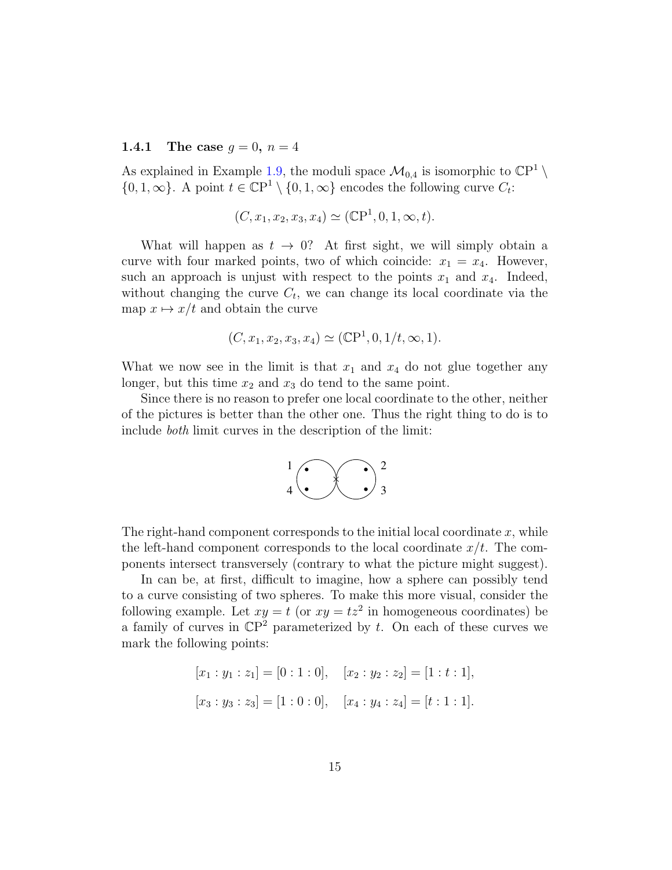#### <span id="page-14-0"></span>**1.4.1** The case  $g = 0, n = 4$

As explained in Example [1.9,](#page-5-2) the moduli space  $\mathcal{M}_{0,4}$  is isomorphic to  $\mathbb{C}\mathbb{P}^1 \setminus$  $\{0, 1, \infty\}$ . A point  $t \in \mathbb{C}P^1 \setminus \{0, 1, \infty\}$  encodes the following curve  $C_t$ :

$$
(C, x_1, x_2, x_3, x_4) \simeq (\mathbb{C}P^1, 0, 1, \infty, t).
$$

What will happen as  $t \to 0$ ? At first sight, we will simply obtain a curve with four marked points, two of which coincide:  $x_1 = x_4$ . However, such an approach is unjust with respect to the points  $x_1$  and  $x_4$ . Indeed, without changing the curve  $C_t$ , we can change its local coordinate via the map  $x \mapsto x/t$  and obtain the curve

$$
(C, x_1, x_2, x_3, x_4) \simeq (\mathbb{C}P^1, 0, 1/t, \infty, 1).
$$

What we now see in the limit is that  $x_1$  and  $x_4$  do not glue together any longer, but this time  $x_2$  and  $x_3$  do tend to the same point.

Since there is no reason to prefer one local coordinate to the other, neither of the pictures is better than the other one. Thus the right thing to do is to include both limit curves in the description of the limit:



The right-hand component corresponds to the initial local coordinate  $x$ , while the left-hand component corresponds to the local coordinate  $x/t$ . The components intersect transversely (contrary to what the picture might suggest).

In can be, at first, difficult to imagine, how a sphere can possibly tend to a curve consisting of two spheres. To make this more visual, consider the following example. Let  $xy = t$  (or  $xy = tz^2$  in homogeneous coordinates) be a family of curves in  $\mathbb{C}P^2$  parameterized by t. On each of these curves we mark the following points:

$$
[x_1 : y_1 : z_1] = [0 : 1 : 0], \quad [x_2 : y_2 : z_2] = [1 : t : 1],
$$
  

$$
[x_3 : y_3 : z_3] = [1 : 0 : 0], \quad [x_4 : y_4 : z_4] = [t : 1 : 1].
$$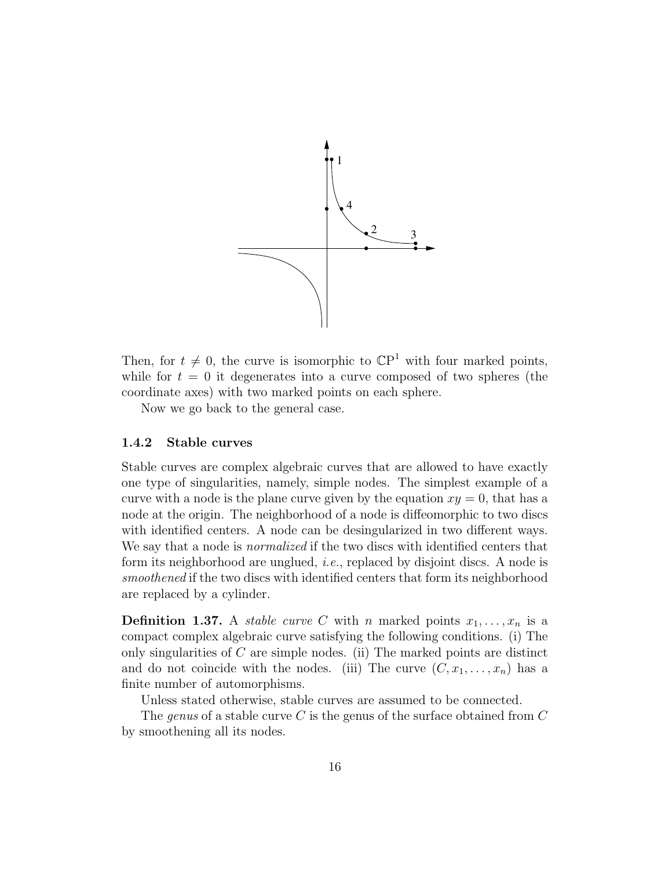

Then, for  $t \neq 0$ , the curve is isomorphic to  $\mathbb{C}P^1$  with four marked points, while for  $t = 0$  it degenerates into a curve composed of two spheres (the coordinate axes) with two marked points on each sphere.

Now we go back to the general case.

#### <span id="page-15-0"></span>1.4.2 Stable curves

Stable curves are complex algebraic curves that are allowed to have exactly one type of singularities, namely, simple nodes. The simplest example of a curve with a node is the plane curve given by the equation  $xy = 0$ , that has a node at the origin. The neighborhood of a node is diffeomorphic to two discs with identified centers. A node can be desingularized in two different ways. We say that a node is *normalized* if the two discs with identified centers that form its neighborhood are unglued, *i.e.*, replaced by disjoint discs. A node is smoothened if the two discs with identified centers that form its neighborhood are replaced by a cylinder.

**Definition 1.37.** A *stable curve C* with *n* marked points  $x_1, \ldots, x_n$  is a compact complex algebraic curve satisfying the following conditions. (i) The only singularities of  $C$  are simple nodes. (ii) The marked points are distinct and do not coincide with the nodes. (iii) The curve  $(C, x_1, \ldots, x_n)$  has a finite number of automorphisms.

Unless stated otherwise, stable curves are assumed to be connected.

The genus of a stable curve C is the genus of the surface obtained from  $C$ by smoothening all its nodes.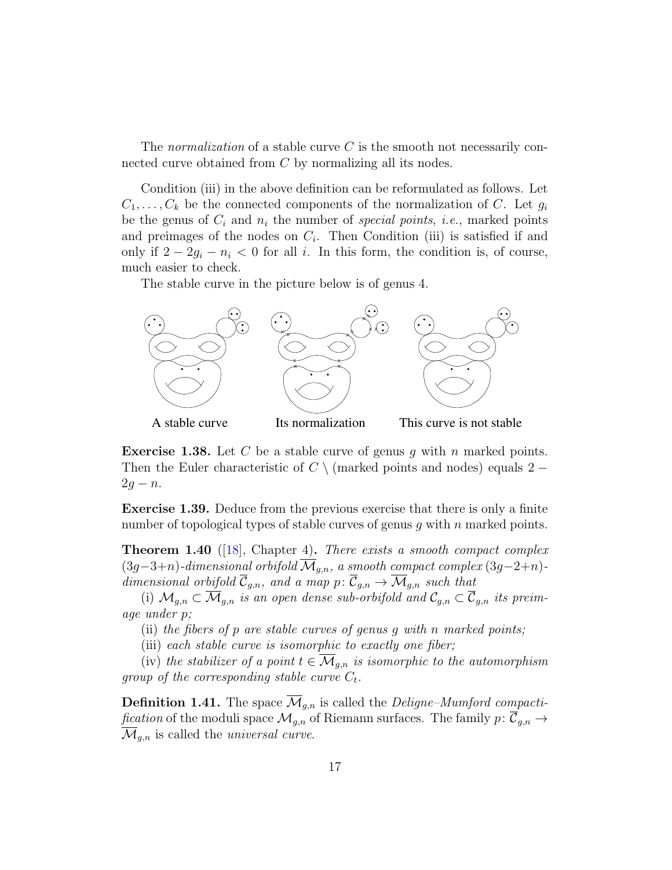<span id="page-16-0"></span>The normalization of a stable curve  $C$  is the smooth not necessarily connected curve obtained from C by normalizing all its nodes.

Condition (iii) in the above definition can be reformulated as follows. Let  $C_1, \ldots, C_k$  be the connected components of the normalization of C. Let  $g_i$ be the genus of  $C_i$  and  $n_i$  the number of special points, i.e., marked points and preimages of the nodes on  $C_i$ . Then Condition (iii) is satisfied if and only if  $2 - 2g_i - n_i < 0$  for all i. In this form, the condition is, of course, much easier to check.

The stable curve in the picture below is of genus 4.



**Exercise 1.38.** Let C be a stable curve of genus g with n marked points. Then the Euler characteristic of  $C \setminus$  (marked points and nodes) equals 2 −  $2g - n$ .

Exercise 1.39. Deduce from the previous exercise that there is only a finite number of topological types of stable curves of genus  $g$  with  $n$  marked points.

**Theorem 1.40** ([\[18\]](#page-63-3), Chapter 4). There exists a smooth compact complex  $(3g-3+n)$ -dimensional orbifold  $\overline{\mathcal{M}}_{g,n}$ , a smooth compact complex  $(3g-2+n)$ dimensional orbifold  $\overline{C}_{g,n}$ , and a map  $p: \overline{C}_{g,n} \to \overline{\mathcal{M}}_{g,n}$  such that

(i)  $\mathcal{M}_{g,n} \subset \overline{\mathcal{M}}_{g,n}$  is an open dense sub-orbifold and  $\mathcal{C}_{g,n} \subset \overline{\mathcal{C}}_{g,n}$  its preimage under p;

(ii) the fibers of p are stable curves of genus g with n marked points;

(iii) each stable curve is isomorphic to exactly one fiber;

(iv) the stabilizer of a point  $t \in \overline{\mathcal{M}}_{q,n}$  is isomorphic to the automorphism group of the corresponding stable curve  $C_t$ .

**Definition 1.41.** The space  $\mathcal{M}_{q,n}$  is called the *Deligne–Mumford compactification* of the moduli space  $\mathcal{M}_{g,n}$  of Riemann surfaces. The family  $p: \overline{\mathcal{C}}_{g,n} \to$  $\mathcal{M}_{g,n}$  is called the *universal curve*.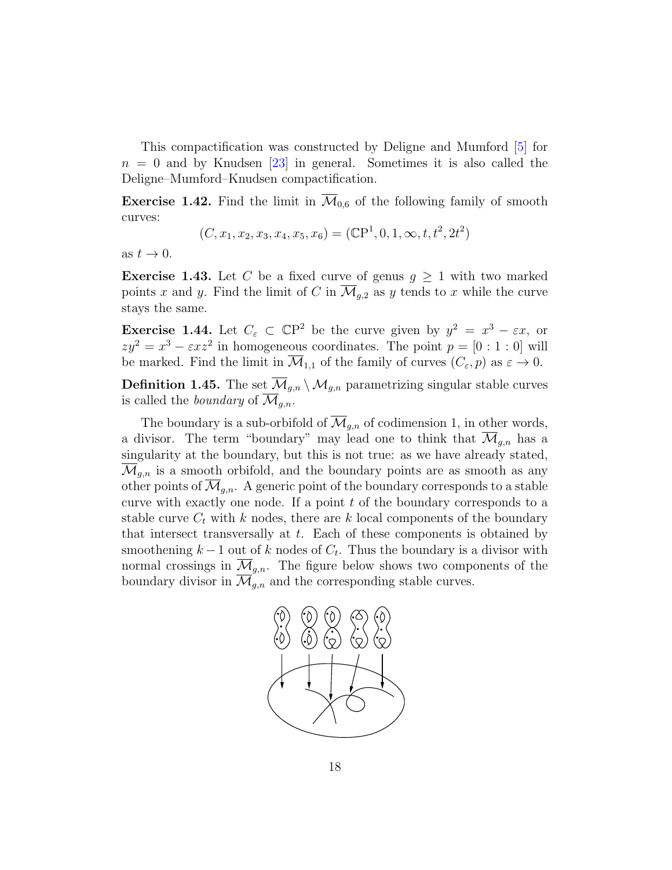<span id="page-17-3"></span>This compactification was constructed by Deligne and Mumford [\[5\]](#page-62-6) for  $n = 0$  and by Knudsen [\[23\]](#page-63-5) in general. Sometimes it is also called the Deligne–Mumford–Knudsen compactification.

<span id="page-17-1"></span>**Exercise 1.42.** Find the limit in  $\overline{\mathcal{M}}_{0,6}$  of the following family of smooth curves:

$$
(C, x_1, x_2, x_3, x_4, x_5, x_6) = (\mathbb{C}P^1, 0, 1, \infty, t, t^2, 2t^2)
$$

as  $t \to 0$ .

<span id="page-17-0"></span>**Exercise 1.43.** Let C be a fixed curve of genus  $g \geq 1$  with two marked points x and y. Find the limit of C in  $\overline{\mathcal{M}}_{g,2}$  as y tends to x while the curve stays the same.

<span id="page-17-2"></span>**Exercise 1.44.** Let  $C_{\varepsilon} \subset \mathbb{C}P^2$  be the curve given by  $y^2 = x^3 - \varepsilon x$ , or  $zy^2 = x^3 - \varepsilon x^2$  in homogeneous coordinates. The point  $p = [0:1:0]$  will be marked. Find the limit in  $\mathcal{M}_{1,1}$  of the family of curves  $(C_{\varepsilon}, p)$  as  $\varepsilon \to 0$ .

**Definition 1.45.** The set  $\overline{\mathcal{M}}_{g,n} \setminus \mathcal{M}_{g,n}$  parametrizing singular stable curves is called the *boundary* of  $\overline{\mathcal{M}}_{q,n}$ .

The boundary is a sub-orbifold of  $\overline{\mathcal{M}}_{q,n}$  of codimension 1, in other words, a divisor. The term "boundary" may lead one to think that  $\mathcal{M}_{g,n}$  has a singularity at the boundary, but this is not true: as we have already stated,  $\mathcal{M}_{q,n}$  is a smooth orbifold, and the boundary points are as smooth as any other points of  $\mathcal{M}_{g,n}$ . A generic point of the boundary corresponds to a stable curve with exactly one node. If a point t of the boundary corresponds to a stable curve  $C_t$  with k nodes, there are k local components of the boundary that intersect transversally at  $t$ . Each of these components is obtained by smoothening  $k-1$  out of k nodes of  $C_t$ . Thus the boundary is a divisor with normal crossings in  $\mathcal{M}_{g,n}$ . The figure below shows two components of the boundary divisor in  $\mathcal{M}_{q,n}$  and the corresponding stable curves.

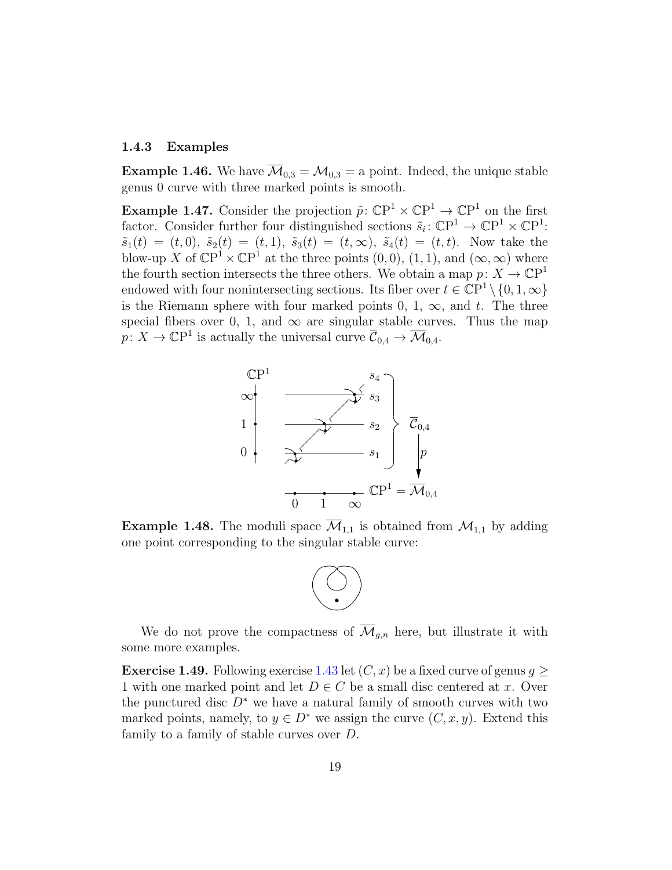#### <span id="page-18-0"></span>1.4.3 Examples

**Example 1.46.** We have  $\overline{\mathcal{M}}_{0,3} = \mathcal{M}_{0,3} =$  a point. Indeed, the unique stable genus 0 curve with three marked points is smooth.

**Example 1.47.** Consider the projection  $\tilde{p}$ :  $\mathbb{C}\mathrm{P}^1 \times \mathbb{C}\mathrm{P}^1 \to \mathbb{C}\mathrm{P}^1$  on the first factor. Consider further four distinguished sections  $\tilde{s}_i: \mathbb{C}\mathrm{P}^1 \to \mathbb{C}\mathrm{P}^1 \times \mathbb{C}\mathrm{P}^1$ :  $\tilde{s}_1(t) = (t, 0), \, \tilde{s}_2(t) = (t, 1), \, \tilde{s}_3(t) = (t, \infty), \, \tilde{s}_4(t) = (t, t).$  Now take the blow-up X of  $\mathbb{C}P^1 \times \mathbb{C}P^1$  at the three points  $(0,0), (1,1)$ , and  $(\infty,\infty)$  where the fourth section intersects the three others. We obtain a map  $p: X \to \mathbb{C}P^1$ endowed with four nonintersecting sections. Its fiber over  $t \in \mathbb{C}P^1 \setminus \{0, 1, \infty\}$ is the Riemann sphere with four marked points 0, 1,  $\infty$ , and t. The three special fibers over 0, 1, and  $\infty$  are singular stable curves. Thus the map  $p: X \to \mathbb{C}\mathrm{P}^1$  is actually the universal curve  $\overline{\mathcal{C}}_{0,4} \to \overline{\mathcal{M}}_{0,4}$ .



<span id="page-18-1"></span>**Example 1.48.** The moduli space  $\overline{\mathcal{M}}_{1,1}$  is obtained from  $\mathcal{M}_{1,1}$  by adding one point corresponding to the singular stable curve:



We do not prove the compactness of  $\overline{\mathcal{M}}_{g,n}$  here, but illustrate it with some more examples.

**Exercise 1.49.** Following exercise [1.43](#page-17-0) let  $(C, x)$  be a fixed curve of genus  $q \geq$ 1 with one marked point and let  $D \in C$  be a small disc centered at x. Over the punctured disc  $D^*$  we have a natural family of smooth curves with two marked points, namely, to  $y \in D^*$  we assign the curve  $(C, x, y)$ . Extend this family to a family of stable curves over D.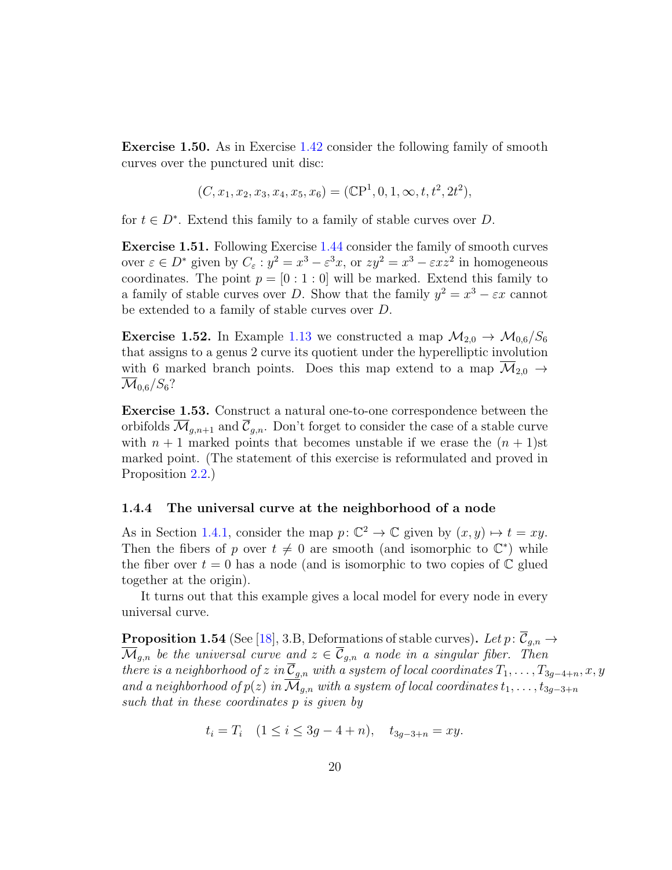<span id="page-19-1"></span>Exercise 1.50. As in Exercise [1.42](#page-17-1) consider the following family of smooth curves over the punctured unit disc:

$$
(C, x_1, x_2, x_3, x_4, x_5, x_6) = (\mathbb{C}P^1, 0, 1, \infty, t, t^2, 2t^2),
$$

for  $t \in D^*$ . Extend this family to a family of stable curves over D.

Exercise 1.51. Following Exercise [1.44](#page-17-2) consider the family of smooth curves over  $\varepsilon \in D^*$  given by  $C_{\varepsilon}: y^2 = x^3 - \varepsilon^3 x$ , or  $zy^2 = x^3 - \varepsilon xz^2$  in homogeneous coordinates. The point  $p = [0 : 1 : 0]$  will be marked. Extend this family to a family of stable curves over D. Show that the family  $y^2 = x^3 - \varepsilon x$  cannot be extended to a family of stable curves over D.

**Exercise 1.52.** In Example [1.13](#page-6-0) we constructed a map  $M_{2,0} \rightarrow M_{0,6}/S_6$ that assigns to a genus 2 curve its quotient under the hyperelliptic involution with 6 marked branch points. Does this map extend to a map  $\overline{\mathcal{M}}_{2,0} \rightarrow$  $\mathcal{M}_{0.6}/S_6$ ?

Exercise 1.53. Construct a natural one-to-one correspondence between the orbifolds  $\overline{\mathcal{M}}_{q,n+1}$  and  $\overline{\mathcal{C}}_{q,n}$ . Don't forget to consider the case of a stable curve with  $n + 1$  marked points that becomes unstable if we erase the  $(n + 1)$ st marked point. (The statement of this exercise is reformulated and proved in Proposition [2.2.](#page-21-0))

#### <span id="page-19-0"></span>1.4.4 The universal curve at the neighborhood of a node

As in Section [1.4.1,](#page-14-0) consider the map  $p: \mathbb{C}^2 \to \mathbb{C}$  given by  $(x, y) \mapsto t = xy$ . Then the fibers of p over  $t \neq 0$  are smooth (and isomorphic to  $\mathbb{C}^*$ ) while the fiber over  $t = 0$  has a node (and is isomorphic to two copies of  $\mathbb C$  glued together at the origin).

It turns out that this example gives a local model for every node in every universal curve.

**Proposition 1.54** (See [\[18\]](#page-63-3), 3.B, Deformations of stable curves). Let  $p: \overline{\mathcal{C}}_{g,n} \to$  $\overline{\mathcal{M}}_{g,n}$  be the universal curve and  $z \in \overline{\mathcal{C}}_{g,n}$  a node in a singular fiber. Then there is a neighborhood of z in  $\overline{\mathcal{C}}_{g,n}$  with a system of local coordinates  $T_1, \ldots, T_{3g-4+n}, x, y$ and a neighborhood of  $p(z)$  in  $\overline{\mathcal{M}}_{g,n}$  with a system of local coordinates  $t_1, \ldots, t_{3g-3+n}$ such that in these coordinates p is given by

 $t_i = T_i \quad (1 \leq i \leq 3g - 4 + n), \quad t_{3g-3+n} = xy.$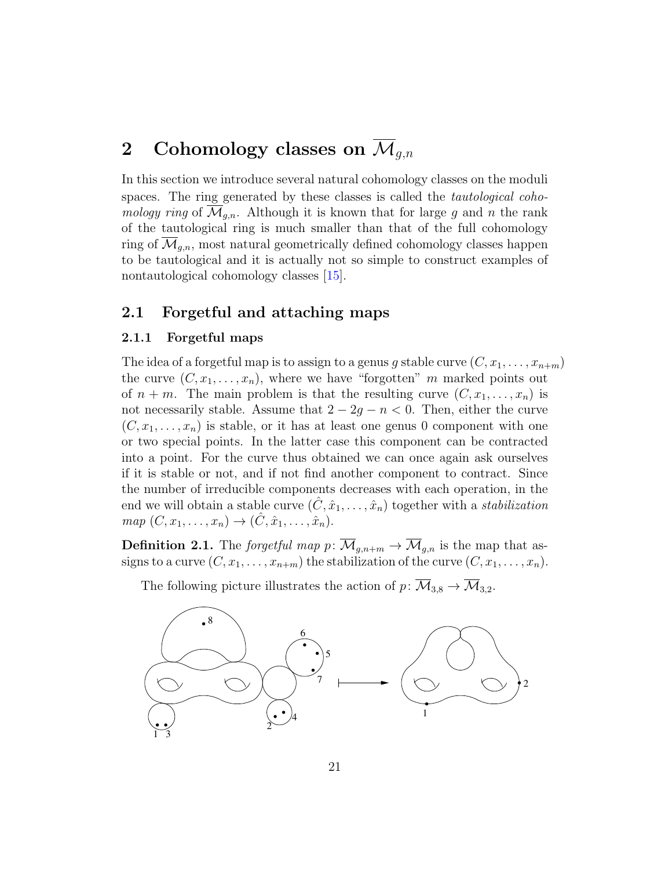# <span id="page-20-3"></span><span id="page-20-0"></span>2 Cohomology classes on  $\overline{\mathcal{M}}_{q,n}$

In this section we introduce several natural cohomology classes on the moduli spaces. The ring generated by these classes is called the *tautological coho*mology ring of  $\mathcal{M}_{q,n}$ . Although it is known that for large g and n the rank of the tautological ring is much smaller than that of the full cohomology ring of  $\mathcal{M}_{a,n}$ , most natural geometrically defined cohomology classes happen to be tautological and it is actually not so simple to construct examples of nontautological cohomology classes [\[15\]](#page-63-0).

## <span id="page-20-1"></span>2.1 Forgetful and attaching maps

#### <span id="page-20-2"></span>2.1.1 Forgetful maps

The idea of a forgetful map is to assign to a genus g stable curve  $(C, x_1, \ldots, x_{n+m})$ the curve  $(C, x_1, \ldots, x_n)$ , where we have "forgotten" m marked points out of  $n + m$ . The main problem is that the resulting curve  $(C, x_1, \ldots, x_n)$  is not necessarily stable. Assume that  $2 - 2g - n < 0$ . Then, either the curve  $(C, x_1, \ldots, x_n)$  is stable, or it has at least one genus 0 component with one or two special points. In the latter case this component can be contracted into a point. For the curve thus obtained we can once again ask ourselves if it is stable or not, and if not find another component to contract. Since the number of irreducible components decreases with each operation, in the end we will obtain a stable curve  $(\hat{C}, \hat{x}_1, \dots, \hat{x}_n)$  together with a *stabilization*  $map (C, x_1, \ldots, x_n) \to (\hat{C}, \hat{x}_1, \ldots, \hat{x}_n).$ 

**Definition 2.1.** The forgetful map  $p: \overline{\mathcal{M}}_{g,n+m} \to \overline{\mathcal{M}}_{g,n}$  is the map that assigns to a curve  $(C, x_1, \ldots, x_{n+m})$  the stabilization of the curve  $(C, x_1, \ldots, x_n)$ .



The following picture illustrates the action of  $p: \overline{M}_{3,8} \to \overline{M}_{3,2}$ .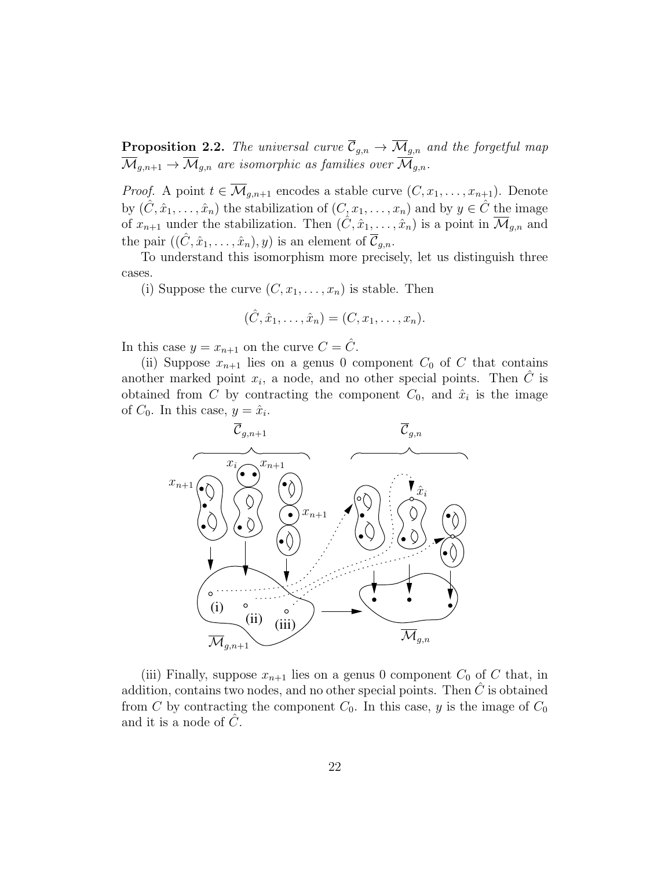<span id="page-21-0"></span>**Proposition 2.2.** The universal curve  $\overline{\mathcal{C}}_{g,n} \to \overline{\mathcal{M}}_{g,n}$  and the forgetful map  $\overline{\mathcal{M}}_{g,n+1} \to \overline{\mathcal{M}}_{g,n}$  are isomorphic as families over  $\overline{\mathcal{M}}_{g,n}$ .

*Proof.* A point  $t \in \overline{\mathcal{M}}_{g,n+1}$  encodes a stable curve  $(C, x_1, \ldots, x_{n+1})$ . Denote by  $(\hat{C}, \hat{x}_1, \ldots, \hat{x}_n)$  the stabilization of  $(C, x_1, \ldots, x_n)$  and by  $y \in \hat{C}$  the image of  $x_{n+1}$  under the stabilization. Then  $(\hat{C}, \hat{x}_1, \dots, \hat{x}_n)$  is a point in  $\overline{\mathcal{M}}_{g,n}$  and the pair  $((\hat{C}, \hat{x}_1, \ldots, \hat{x}_n), y)$  is an element of  $\mathcal{C}_{q,n}$ .

To understand this isomorphism more precisely, let us distinguish three cases.

(i) Suppose the curve  $(C, x_1, \ldots, x_n)$  is stable. Then

$$
(\hat{C}, \hat{x}_1, \ldots, \hat{x}_n) = (C, x_1, \ldots, x_n).
$$

In this case  $y = x_{n+1}$  on the curve  $C = \hat{C}$ .

(ii) Suppose  $x_{n+1}$  lies on a genus 0 component  $C_0$  of C that contains another marked point  $x_i$ , a node, and no other special points. Then  $\hat{C}$  is obtained from C by contracting the component  $C_0$ , and  $\hat{x}_i$  is the image of  $C_0$ . In this case,  $y = \hat{x}_i$ .



(iii) Finally, suppose  $x_{n+1}$  lies on a genus 0 component  $C_0$  of C that, in addition, contains two nodes, and no other special points. Then  $C$  is obtained from C by contracting the component  $C_0$ . In this case, y is the image of  $C_0$ and it is a node of  $C$ .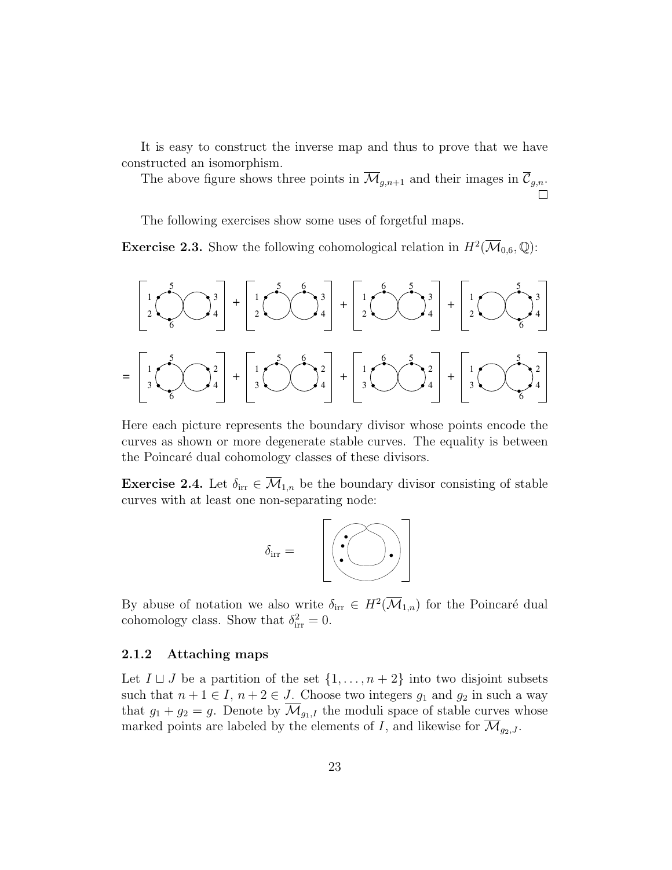It is easy to construct the inverse map and thus to prove that we have constructed an isomorphism.

The above figure shows three points in  $\overline{\mathcal{M}}_{g,n+1}$  and their images in  $\overline{\mathcal{C}}_{g,n}$ .

The following exercises show some uses of forgetful maps.

**Exercise 2.3.** Show the following cohomological relation in  $H^2(\overline{\mathcal{M}}_{0,6}, \mathbb{Q})$ :



Here each picture represents the boundary divisor whose points encode the curves as shown or more degenerate stable curves. The equality is between the Poincaré dual cohomology classes of these divisors.

**Exercise 2.4.** Let  $\delta_{irr} \in \overline{\mathcal{M}}_{1,n}$  be the boundary divisor consisting of stable curves with at least one non-separating node:



By abuse of notation we also write  $\delta_{irr} \in H^2(\overline{\mathcal M}_{1,n})$  for the Poincaré dual cohomology class. Show that  $\delta_{irr}^2 = 0$ .

#### <span id="page-22-0"></span>2.1.2 Attaching maps

Let  $I \sqcup J$  be a partition of the set  $\{1, \ldots, n+2\}$  into two disjoint subsets such that  $n + 1 \in I$ ,  $n + 2 \in J$ . Choose two integers  $g_1$  and  $g_2$  in such a way that  $g_1 + g_2 = g$ . Denote by  $\mathcal{M}_{g_1,I}$  the moduli space of stable curves whose marked points are labeled by the elements of I, and likewise for  $\overline{\mathcal{M}}_{g_2,J}$ .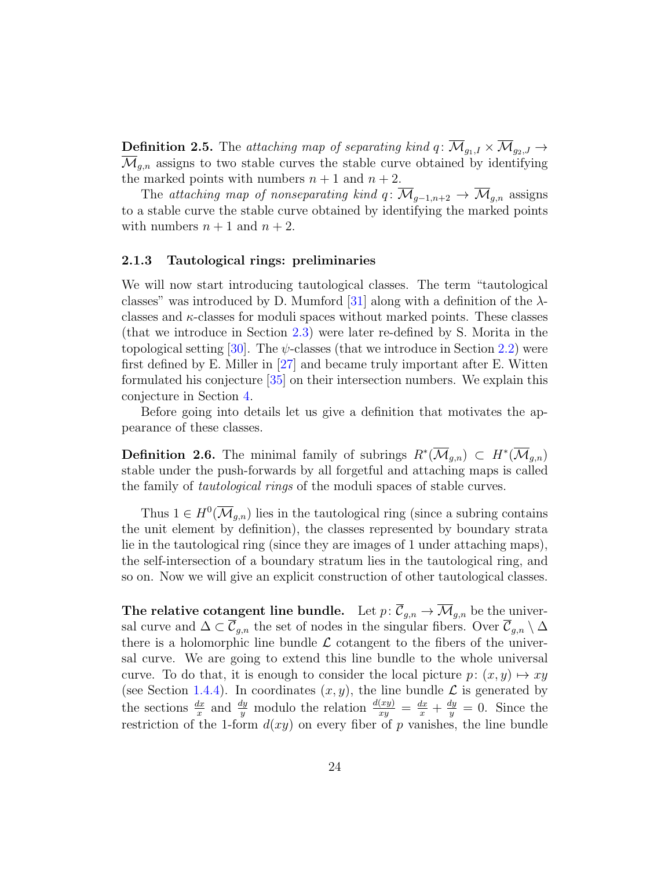<span id="page-23-2"></span>**Definition 2.5.** The attaching map of separating kind  $q: \overline{\mathcal{M}}_{g_1, I} \times \overline{\mathcal{M}}_{g_2, J} \rightarrow$  $\overline{\mathcal{M}}_{q,n}$  assigns to two stable curves the stable curve obtained by identifying the marked points with numbers  $n + 1$  and  $n + 2$ .

The attaching map of nonseparating kind q:  $\overline{\mathcal{M}}_{q-1,n+2} \to \overline{\mathcal{M}}_{q,n}$  assigns to a stable curve the stable curve obtained by identifying the marked points with numbers  $n + 1$  and  $n + 2$ .

#### <span id="page-23-0"></span>2.1.3 Tautological rings: preliminaries

We will now start introducing tautological classes. The term "tautological classes" was introduced by D. Mumford [\[31\]](#page-64-3) along with a definition of the  $\lambda$ classes and  $\kappa$ -classes for moduli spaces without marked points. These classes (that we introduce in Section [2.3\)](#page-30-0) were later re-defined by S. Morita in the topological setting [\[30\]](#page-64-4). The  $\psi$ -classes (that we introduce in Section [2.2\)](#page-25-0) were first defined by E. Miller in [\[27\]](#page-64-5) and became truly important after E. Witten formulated his conjecture [\[35\]](#page-64-6) on their intersection numbers. We explain this conjecture in Section [4.](#page-56-0)

Before going into details let us give a definition that motivates the appearance of these classes.

<span id="page-23-1"></span>**Definition 2.6.** The minimal family of subrings  $R^*(\overline{\mathcal{M}}_{g,n}) \subset H^*(\overline{\mathcal{M}}_{g,n})$ stable under the push-forwards by all forgetful and attaching maps is called the family of tautological rings of the moduli spaces of stable curves.

Thus  $1 \in H^0(\overline{\mathcal{M}}_{g,n})$  lies in the tautological ring (since a subring contains the unit element by definition), the classes represented by boundary strata lie in the tautological ring (since they are images of 1 under attaching maps), the self-intersection of a boundary stratum lies in the tautological ring, and so on. Now we will give an explicit construction of other tautological classes.

The relative cotangent line bundle. Let  $p: \overline{\mathcal{C}}_{g,n} \to \overline{\mathcal{M}}_{g,n}$  be the universal curve and  $\Delta \subset \overline{\mathcal{C}}_{g,n}$  the set of nodes in the singular fibers. Over  $\overline{\mathcal{C}}_{g,n} \setminus \Delta$ there is a holomorphic line bundle  $\mathcal L$  cotangent to the fibers of the universal curve. We are going to extend this line bundle to the whole universal curve. To do that, it is enough to consider the local picture  $p: (x, y) \mapsto xy$ (see Section [1.4.4\)](#page-19-0). In coordinates  $(x, y)$ , the line bundle  $\mathcal L$  is generated by the sections  $\frac{dx}{x}$  and  $\frac{dy}{y}$  modulo the relation  $\frac{d(xy)}{xy} = \frac{dx}{x} + \frac{dy}{y}$  $\frac{dy}{y} = 0$ . Since the restriction of the 1-form  $d(xy)$  on every fiber of p vanishes, the line bundle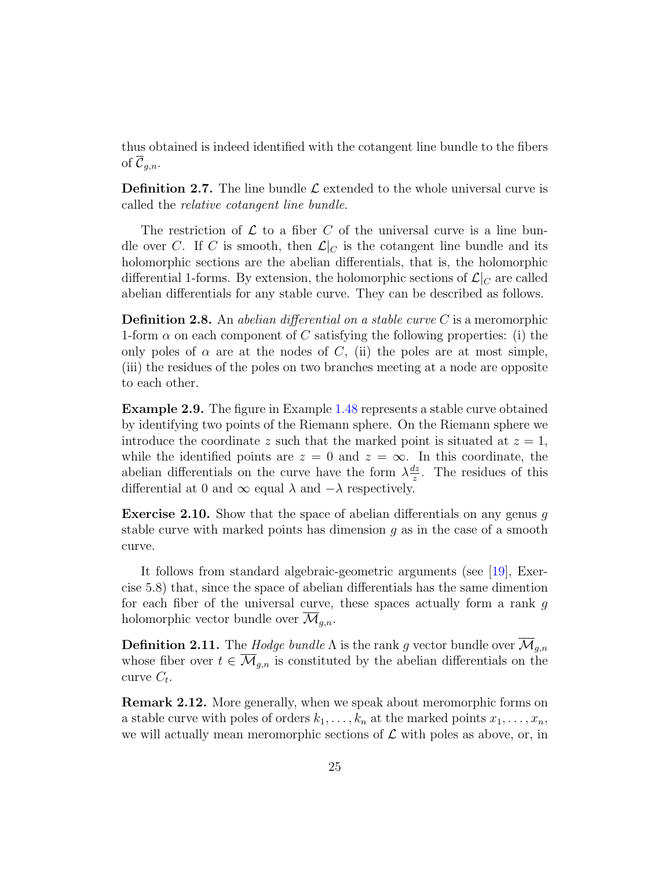<span id="page-24-2"></span>thus obtained is indeed identified with the cotangent line bundle to the fibers of  $\overline{\mathcal{C}}_{q,n}$ .

**Definition 2.7.** The line bundle  $\mathcal{L}$  extended to the whole universal curve is called the relative cotangent line bundle.

The restriction of  $\mathcal L$  to a fiber C of the universal curve is a line bundle over C. If C is smooth, then  $\mathcal{L}|_C$  is the cotangent line bundle and its holomorphic sections are the abelian differentials, that is, the holomorphic differential 1-forms. By extension, the holomorphic sections of  $\mathcal{L}|_C$  are called abelian differentials for any stable curve. They can be described as follows.

**Definition 2.8.** An abelian differential on a stable curve  $C$  is a meromorphic 1-form  $\alpha$  on each component of C satisfying the following properties: (i) the only poles of  $\alpha$  are at the nodes of C, (ii) the poles are at most simple, (iii) the residues of the poles on two branches meeting at a node are opposite to each other.

Example 2.9. The figure in Example [1.48](#page-18-1) represents a stable curve obtained by identifying two points of the Riemann sphere. On the Riemann sphere we introduce the coordinate z such that the marked point is situated at  $z = 1$ , while the identified points are  $z = 0$  and  $z = \infty$ . In this coordinate, the abelian differentials on the curve have the form  $\lambda \frac{dz}{z}$  $\frac{dz}{z}$ . The residues of this differential at 0 and  $\infty$  equal  $\lambda$  and  $-\lambda$  respectively.

**Exercise 2.10.** Show that the space of abelian differentials on any genus q stable curve with marked points has dimension  $q$  as in the case of a smooth curve.

It follows from standard algebraic-geometric arguments (see [\[19\]](#page-63-6), Exercise 5.8) that, since the space of abelian differentials has the same dimention for each fiber of the universal curve, these spaces actually form a rank  $q$ holomorphic vector bundle over  $\overline{\mathcal{M}}_{g,n}$ .

<span id="page-24-1"></span>**Definition 2.11.** The Hodge bundle  $\Lambda$  is the rank g vector bundle over  $\overline{\mathcal{M}}_{g,n}$ whose fiber over  $t \in \overline{\mathcal{M}}_{g,n}$  is constituted by the abelian differentials on the curve  $C_t$ .

<span id="page-24-0"></span>Remark 2.12. More generally, when we speak about meromorphic forms on a stable curve with poles of orders  $k_1, \ldots, k_n$  at the marked points  $x_1, \ldots, x_n$ , we will actually mean meromorphic sections of  $\mathcal L$  with poles as above, or, in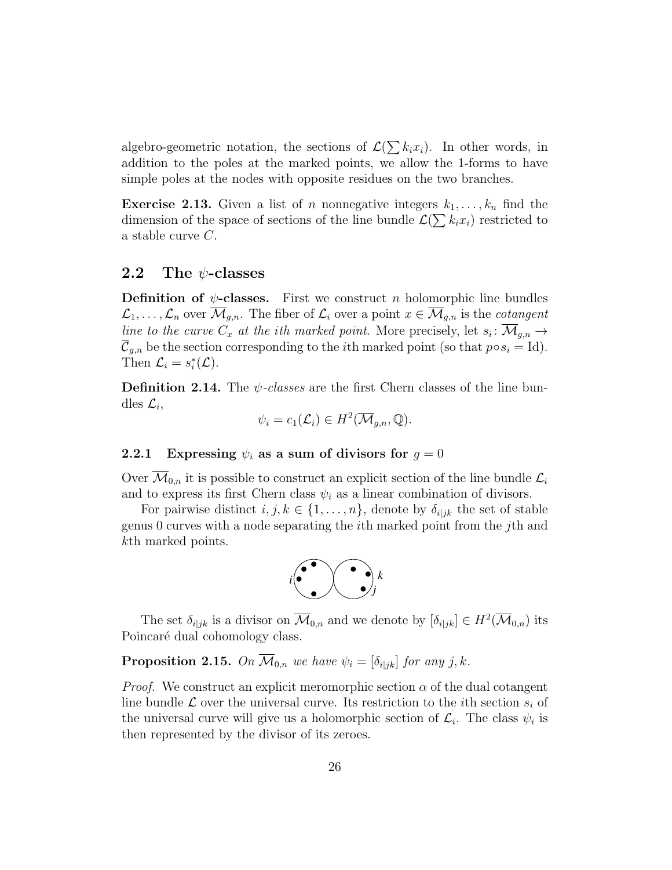algebro-geometric notation, the sections of  $\mathcal{L}(\sum k_i x_i)$ . In other words, in addition to the poles at the marked points, we allow the 1-forms to have simple poles at the nodes with opposite residues on the two branches.

**Exercise 2.13.** Given a list of n nonnegative integers  $k_1, \ldots, k_n$  find the dimension of the space of sections of the line bundle  $\mathcal{L}(\sum k_i x_i)$  restricted to a stable curve C.

## <span id="page-25-0"></span>2.2 The  $\psi$ -classes

**Definition of**  $\psi$ **-classes.** First we construct n holomorphic line bundles  $\mathcal{L}_1, \ldots, \mathcal{L}_n$  over  $\overline{\mathcal{M}}_{q,n}$ . The fiber of  $\mathcal{L}_i$  over a point  $x \in \overline{\mathcal{M}}_{q,n}$  is the *cotangent* line to the curve  $C_x$  at the ith marked point. More precisely, let  $s_i: \overline{\mathcal{M}}_{g,n} \to$  $\overline{\mathcal{C}}_{g,n}$  be the section corresponding to the *i*th marked point (so that  $p \circ s_i = \text{Id}$ ). Then  $\mathcal{L}_i = s_i^*(\mathcal{L})$ .

<span id="page-25-2"></span>**Definition 2.14.** The  $\psi$ -classes are the first Chern classes of the line bundles  $\mathcal{L}_i$ ,

$$
\psi_i = c_1(\mathcal{L}_i) \in H^2(\overline{\mathcal{M}}_{g,n}, \mathbb{Q}).
$$

#### <span id="page-25-1"></span>2.2.1 Expressing  $\psi_i$  as a sum of divisors for  $g = 0$

Over  $\mathcal{M}_{0,n}$  it is possible to construct an explicit section of the line bundle  $\mathcal{L}_i$ and to express its first Chern class  $\psi_i$  as a linear combination of divisors.

For pairwise distinct  $i, j, k \in \{1, \ldots, n\}$ , denote by  $\delta_{i|jk}$  the set of stable genus 0 curves with a node separating the ith marked point from the jth and kth marked points.



The set  $\delta_{i|jk}$  is a divisor on  $\overline{\mathcal{M}}_{0,n}$  and we denote by  $[\delta_{i|jk}] \in H^2(\overline{\mathcal{M}}_{0,n})$  its Poincaré dual cohomology class.

**Proposition 2.15.** On  $\overline{\mathcal{M}}_{0,n}$  we have  $\psi_i = [\delta_{i|jk}]$  for any j, k.

*Proof.* We construct an explicit meromorphic section  $\alpha$  of the dual cotangent line bundle  $\mathcal L$  over the universal curve. Its restriction to the *i*th section  $s_i$  of the universal curve will give us a holomorphic section of  $\mathcal{L}_i$ . The class  $\psi_i$  is then represented by the divisor of its zeroes.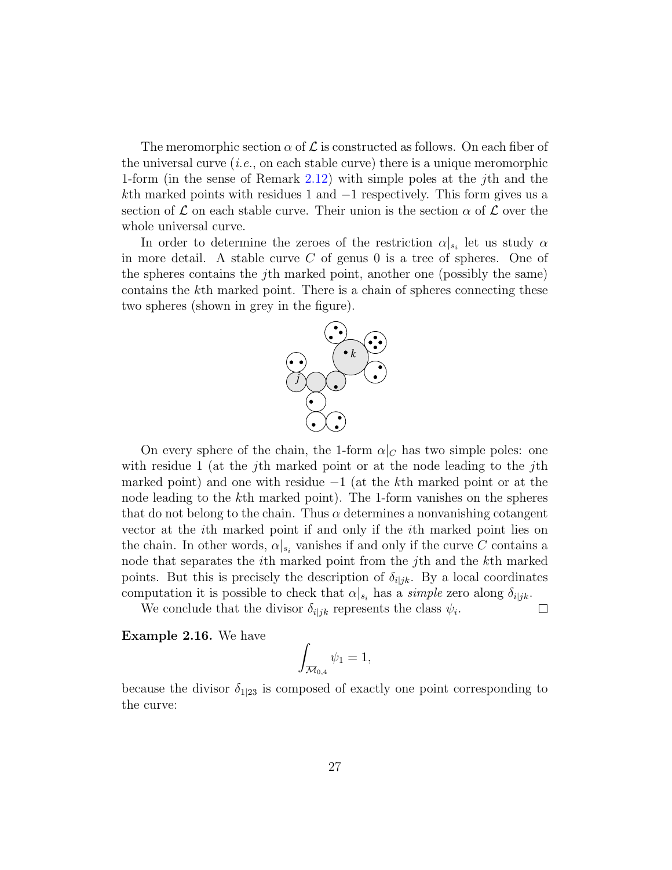The meromorphic section  $\alpha$  of  $\mathcal L$  is constructed as follows. On each fiber of the universal curve  $(i.e.,$  on each stable curve) there is a unique meromorphic 1-form (in the sense of Remark [2.12\)](#page-24-0) with simple poles at the jth and the kth marked points with residues 1 and −1 respectively. This form gives us a section of  $\mathcal L$  on each stable curve. Their union is the section  $\alpha$  of  $\mathcal L$  over the whole universal curve.

In order to determine the zeroes of the restriction  $\alpha|_{s_i}$  let us study  $\alpha$ in more detail. A stable curve  $C$  of genus 0 is a tree of spheres. One of the spheres contains the jth marked point, another one (possibly the same) contains the kth marked point. There is a chain of spheres connecting these two spheres (shown in grey in the figure).



On every sphere of the chain, the 1-form  $\alpha|_C$  has two simple poles: one with residue 1 (at the *j*th marked point or at the node leading to the *j*th marked point) and one with residue  $-1$  (at the k<sup>th</sup> marked point or at the node leading to the kth marked point). The 1-form vanishes on the spheres that do not belong to the chain. Thus  $\alpha$  determines a nonvanishing cotangent vector at the ith marked point if and only if the ith marked point lies on the chain. In other words,  $\alpha|_{s_i}$  vanishes if and only if the curve C contains a node that separates the ith marked point from the jth and the kth marked points. But this is precisely the description of  $\delta_{i|jk}$ . By a local coordinates computation it is possible to check that  $\alpha|_{s_i}$  has a simple zero along  $\delta_{i|jk}$ .

We conclude that the divisor  $\delta_{i|jk}$  represents the class  $\psi_i$ .  $\Box$ 

<span id="page-26-0"></span>Example 2.16. We have

$$
\int_{\overline{\mathcal{M}}_{0,4}} \psi_1 = 1,
$$

because the divisor  $\delta_{1|23}$  is composed of exactly one point corresponding to the curve: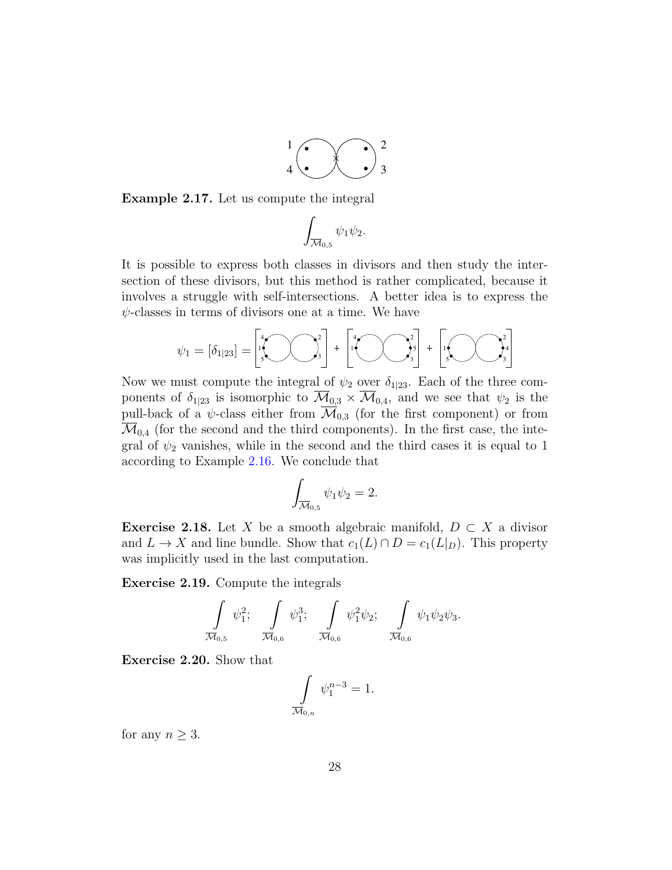

Example 2.17. Let us compute the integral

$$
\int_{\overline{\mathcal{M}}_{0,5}} \psi_1 \psi_2.
$$

It is possible to express both classes in divisors and then study the intersection of these divisors, but this method is rather complicated, because it involves a struggle with self-intersections. A better idea is to express the  $\psi$ -classes in terms of divisors one at a time. We have

$$
\psi_1 = [\delta_{1|23}] = \begin{bmatrix} 4 \\ 1 \\ 5 \end{bmatrix} \begin{bmatrix} 2 \\ 3 \end{bmatrix} + \begin{bmatrix} 4 \\ 1 \\ 5 \end{bmatrix} \begin{bmatrix} 2 \\ 5 \\ 5 \end{bmatrix} + \begin{bmatrix} 2 \\ 1 \\ 5 \end{bmatrix} \begin{bmatrix} 2 \\ 3 \\ 3 \end{bmatrix}
$$

Now we must compute the integral of  $\psi_2$  over  $\delta_{1|23}$ . Each of the three components of  $\delta_{1|23}$  is isomorphic to  $\mathcal{M}_{0,3} \times \mathcal{M}_{0,4}$ , and we see that  $\psi_2$  is the pull-back of a  $\psi$ -class either from  $\overline{\mathcal{M}}_{0,3}$  (for the first component) or from  $\mathcal{M}_{0,4}$  (for the second and the third components). In the first case, the integral of  $\psi_2$  vanishes, while in the second and the third cases it is equal to 1 according to Example [2.16.](#page-26-0) We conclude that

$$
\int_{\overline{\mathcal{M}}_{0,5}} \psi_1 \psi_2 = 2.
$$

**Exercise 2.18.** Let X be a smooth algebraic manifold,  $D \subset X$  a divisor and  $L \to X$  and line bundle. Show that  $c_1(L) \cap D = c_1(L|_D)$ . This property was implicitly used in the last computation.

Exercise 2.19. Compute the integrals

$$
\int_{\overline{\mathcal{M}}_{0,5}} \psi_1^2; \quad \int_{\overline{\mathcal{M}}_{0,6}} \psi_1^3; \quad \int_{\overline{\mathcal{M}}_{0,6}} \psi_1^2 \psi_2; \quad \int_{\overline{\mathcal{M}}_{0,6}} \psi_1 \psi_2 \psi_3.
$$

Exercise 2.20. Show that

$$
\int\limits_{\overline{\mathcal{M}}_{0,n}} \psi_1^{n-3} = 1.
$$

for any  $n \geq 3$ .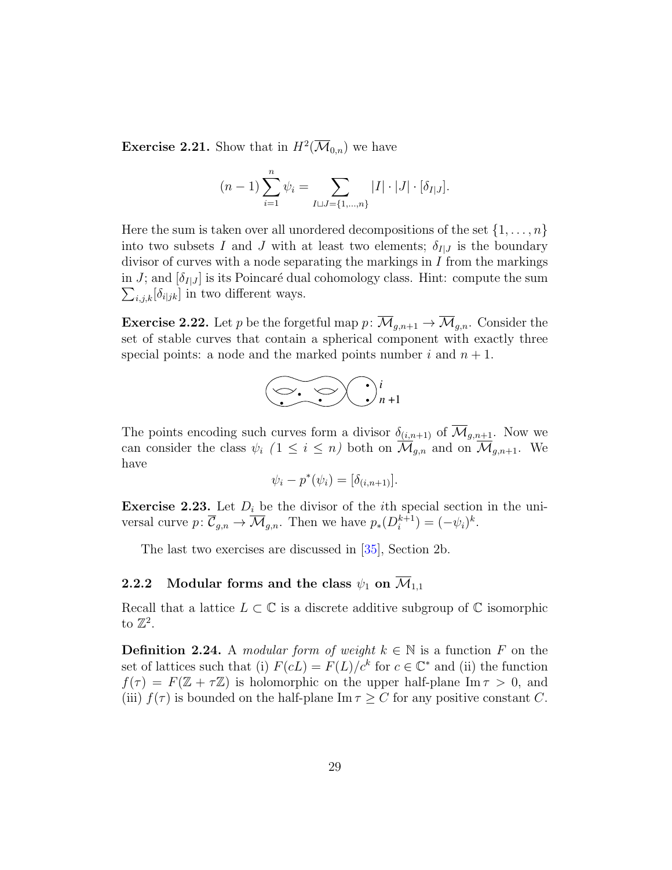<span id="page-28-3"></span>**Exercise 2.21.** Show that in  $H^2(\overline{\mathcal{M}}_{0,n})$  we have

$$
(n-1)\sum_{i=1}^{n} \psi_i = \sum_{I \sqcup J = \{1, \dots, n\}} |I| \cdot |J| \cdot [\delta_{I|J}].
$$

Here the sum is taken over all unordered decompositions of the set  $\{1, \ldots, n\}$ into two subsets I and J with at least two elements;  $\delta_{I|J}$  is the boundary divisor of curves with a node separating the markings in  $I$  from the markings in J; and  $[\delta_{I|J}]$  is its Poincaré dual cohomology class. Hint: compute the sum  $\sum_{i,j,k} [\delta_{i|jk}]$  in two different ways.

<span id="page-28-2"></span>**Exercise 2.22.** Let p be the forgetful map  $p: \overline{\mathcal{M}}_{g,n+1} \to \overline{\mathcal{M}}_{g,n}$ . Consider the set of stable curves that contain a spherical component with exactly three special points: a node and the marked points number i and  $n + 1$ .



The points encoding such curves form a divisor  $\delta_{(i,n+1)}$  of  $\overline{\mathcal{M}}_{g,n+1}$ . Now we can consider the class  $\psi_i$   $(1 \leq i \leq n)$  both on  $\overline{\mathcal{M}}_{g,n}$  and on  $\overline{\mathcal{M}}_{g,n+1}$ . We have

$$
\psi_i - p^*(\psi_i) = [\delta_{(i,n+1)}].
$$

<span id="page-28-1"></span>**Exercise 2.23.** Let  $D_i$  be the divisor of the *i*th special section in the universal curve  $p: \overline{\mathcal{C}}_{g,n} \to \overline{\mathcal{M}}_{g,n}$ . Then we have  $p_*(D_i^{k+1})$  $i^{k+1}$ ) =  $(-\psi_i)^k$ .

The last two exercises are discussed in [\[35\]](#page-64-6), Section 2b.

## <span id="page-28-0"></span>2.2.2 Modular forms and the class  $\psi_1$  on  $\overline{\mathcal{M}}_{1,1}$

Recall that a lattice  $L \subset \mathbb{C}$  is a discrete additive subgroup of  $\mathbb{C}$  isomorphic to  $\mathbb{Z}^2$ .

**Definition 2.24.** A modular form of weight  $k \in \mathbb{N}$  is a function F on the set of lattices such that (i)  $F(cL) = F(L)/c^k$  for  $c \in \mathbb{C}^*$  and (ii) the function  $f(\tau) = F(\mathbb{Z} + \tau \mathbb{Z})$  is holomorphic on the upper half-plane Im  $\tau > 0$ , and (iii)  $f(\tau)$  is bounded on the half-plane Im  $\tau > C$  for any positive constant C.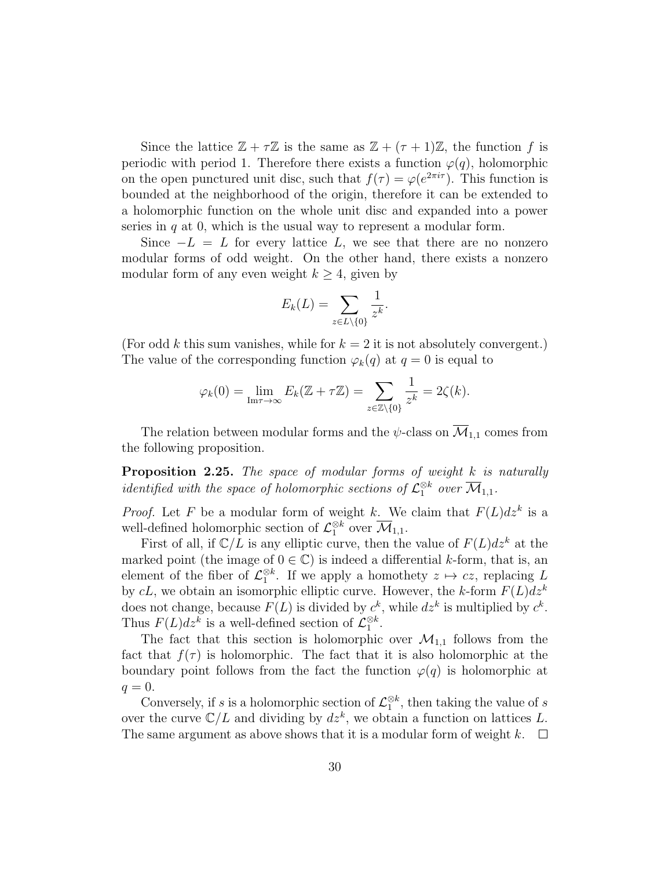Since the lattice  $\mathbb{Z} + \tau \mathbb{Z}$  is the same as  $\mathbb{Z} + (\tau + 1)\mathbb{Z}$ , the function f is periodic with period 1. Therefore there exists a function  $\varphi(q)$ , holomorphic on the open punctured unit disc, such that  $f(\tau) = \varphi(e^{2\pi i \tau})$ . This function is bounded at the neighborhood of the origin, therefore it can be extended to a holomorphic function on the whole unit disc and expanded into a power series in  $q$  at 0, which is the usual way to represent a modular form.

Since  $-L = L$  for every lattice L, we see that there are no nonzero modular forms of odd weight. On the other hand, there exists a nonzero modular form of any even weight  $k \geq 4$ , given by

$$
E_k(L) = \sum_{z \in L \setminus \{0\}} \frac{1}{z^k}.
$$

(For odd k this sum vanishes, while for  $k = 2$  it is not absolutely convergent.) The value of the corresponding function  $\varphi_k(q)$  at  $q=0$  is equal to

$$
\varphi_k(0) = \lim_{\mathrm{Im}\tau \to \infty} E_k(\mathbb{Z} + \tau \mathbb{Z}) = \sum_{z \in \mathbb{Z} \setminus \{0\}} \frac{1}{z^k} = 2\zeta(k).
$$

The relation between modular forms and the  $\psi$ -class on  $\overline{\mathcal{M}}_{1,1}$  comes from the following proposition.

Proposition 2.25. The space of modular forms of weight k is naturally identified with the space of holomorphic sections of  $\mathcal{L}_1^{\otimes k}$  over  $\overline{\mathcal{M}}_{1,1}$ .

*Proof.* Let F be a modular form of weight k. We claim that  $F(L)dz^k$  is a well-defined holomorphic section of  $\mathcal{L}_1^{\otimes k}$  over  $\overline{\mathcal{M}}_{1,1}$ .

First of all, if  $\mathbb{C}/L$  is any elliptic curve, then the value of  $F(L)dz^k$  at the marked point (the image of  $0 \in \mathbb{C}$ ) is indeed a differential k-form, that is, an element of the fiber of  $\mathcal{L}_1^{\otimes k}$ . If we apply a homothety  $z \mapsto cz$ , replacing L by cL, we obtain an isomorphic elliptic curve. However, the k-form  $F(L)dz^k$ does not change, because  $F(L)$  is divided by  $c^k$ , while  $dz^k$  is multiplied by  $c^k$ . Thus  $F(L)dz^k$  is a well-defined section of  $\mathcal{L}_1^{\otimes k}$ .

The fact that this section is holomorphic over  $\mathcal{M}_{1,1}$  follows from the fact that  $f(\tau)$  is holomorphic. The fact that it is also holomorphic at the boundary point follows from the fact the function  $\varphi(q)$  is holomorphic at  $q=0.$ 

Conversely, if s is a holomorphic section of  $\mathcal{L}_1^{\otimes k}$ , then taking the value of s over the curve  $\mathbb{C}/L$  and dividing by  $dz^k$ , we obtain a function on lattices L. The same argument as above shows that it is a modular form of weight k.  $\Box$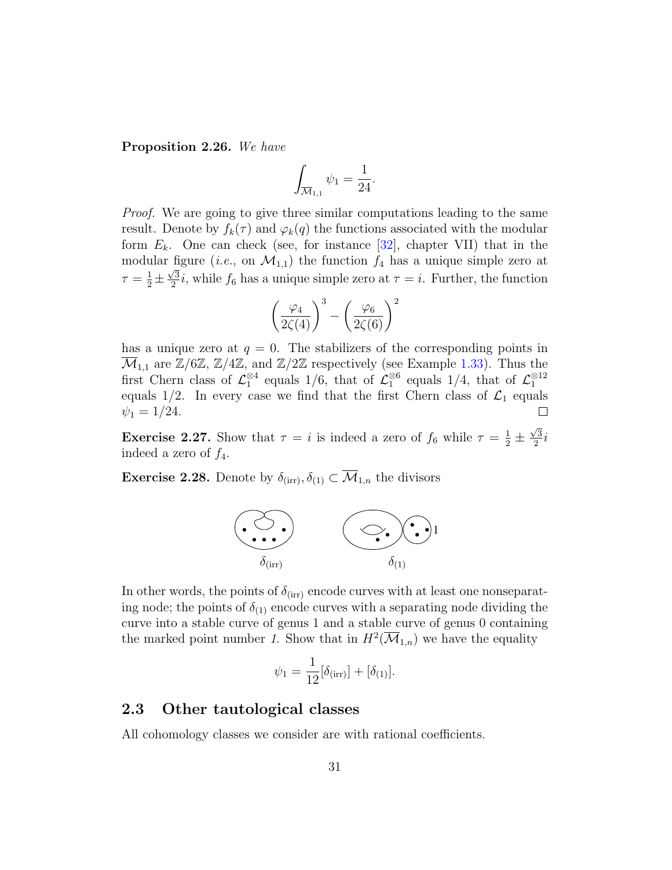<span id="page-30-1"></span>Proposition 2.26. We have

$$
\int_{\overline{\mathcal{M}}_{1,1}} \psi_1 = \frac{1}{24}.
$$

Proof. We are going to give three similar computations leading to the same result. Denote by  $f_k(\tau)$  and  $\varphi_k(q)$  the functions associated with the modular form  $E_k$ . One can check (see, for instance [\[32\]](#page-64-7), chapter VII) that in the modular figure (*i.e.*, on  $\mathcal{M}_{1,1}$ ) the function  $f_4$  has a unique simple zero at  $\tau = \frac{1}{2} \pm \frac{\sqrt{3}}{2}$  $\frac{\sqrt{3}}{2}i$ , while  $f_6$  has a unique simple zero at  $\tau = i$ . Further, the function

$$
\left(\frac{\varphi_4}{2\zeta(4)}\right)^3 - \left(\frac{\varphi_6}{2\zeta(6)}\right)^2
$$

has a unique zero at  $q = 0$ . The stabilizers of the corresponding points in  $\overline{\mathcal{M}}_{1,1}$  are  $\mathbb{Z}/6\mathbb{Z}, \mathbb{Z}/4\mathbb{Z},$  and  $\mathbb{Z}/2\mathbb{Z}$  respectively (see Example [1.33\)](#page-12-0). Thus the first Chern class of  $\mathcal{L}_1^{\otimes 4}$  equals 1/6, that of  $\mathcal{L}_1^{\otimes 6}$  equals 1/4, that of  $\mathcal{L}_1^{\otimes 12}$ equals  $1/2$ . In every case we find that the first Chern class of  $\mathcal{L}_1$  equals  $\psi_1 = 1/24.$  $\Box$ 

**Exercise 2.27.** Show that  $\tau = i$  is indeed a zero of  $f_6$  while  $\tau = \frac{1}{2} \pm \frac{1}{2}$  $\sqrt{3}$  $\frac{\sqrt{3}}{2}i$ indeed a zero of  $f_4$ .

**Exercise 2.28.** Denote by  $\delta_{\text{(irr)}}, \delta_{(1)} \subset \overline{\mathcal{M}}_{1,n}$  the divisors



In other words, the points of  $\delta_{\text{(irr)}}$  encode curves with at least one nonseparating node; the points of  $\delta_{(1)}$  encode curves with a separating node dividing the curve into a stable curve of genus 1 and a stable curve of genus 0 containing the marked point number 1. Show that in  $H^2(\overline{\mathcal M}_{1,n})$  we have the equality

$$
\psi_1 = \frac{1}{12} [\delta_{\text{(irr)}}] + [\delta_{(1)}].
$$

## <span id="page-30-0"></span>2.3 Other tautological classes

All cohomology classes we consider are with rational coefficients.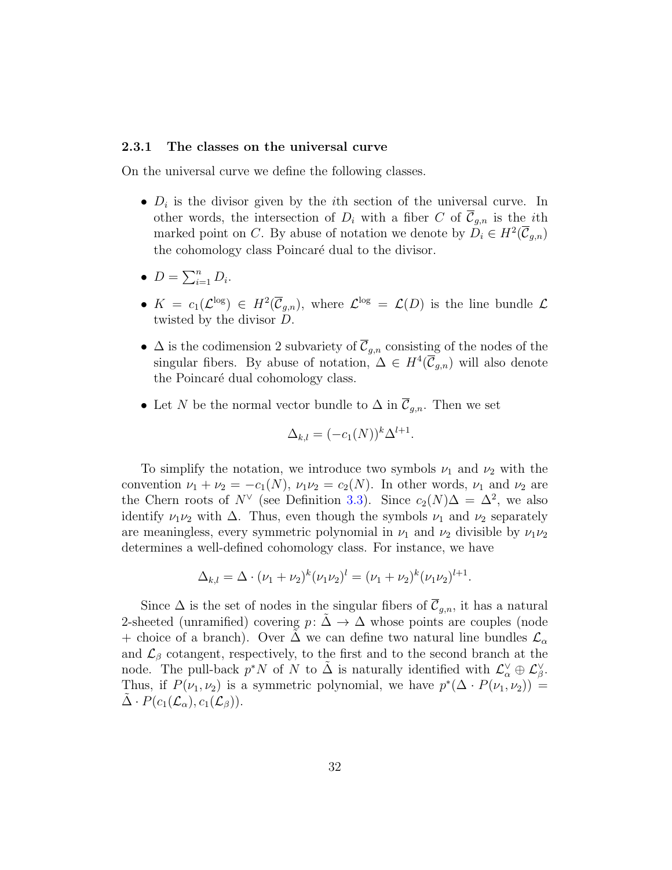#### <span id="page-31-0"></span>2.3.1 The classes on the universal curve

On the universal curve we define the following classes.

- $D_i$  is the divisor given by the *i*th section of the universal curve. In other words, the intersection of  $D_i$  with a fiber C of  $\overline{C}_{q,n}$  is the *i*th marked point on C. By abuse of notation we denote by  $D_i \in H^2(\overline{C}_{g,n})$ the cohomology class Poincaré dual to the divisor.
- $D = \sum_{i=1}^n D_i$ .
- $K = c_1(\mathcal{L}^{\log}) \in H^2(\overline{\mathcal{C}}_{g,n}),$  where  $\mathcal{L}^{\log} = \mathcal{L}(D)$  is the line bundle  $\mathcal{L}$ twisted by the divisor D.
- $\Delta$  is the codimension 2 subvariety of  $\overline{\mathcal{C}}_{g,n}$  consisting of the nodes of the singular fibers. By abuse of notation,  $\Delta \in H^4(\overline{C}_{g,n})$  will also denote the Poincaré dual cohomology class.
- Let N be the normal vector bundle to  $\Delta$  in  $\overline{\mathcal{C}}_{g,n}$ . Then we set

$$
\Delta_{k,l} = (-c_1(N))^k \Delta^{l+1}.
$$

To simplify the notation, we introduce two symbols  $\nu_1$  and  $\nu_2$  with the convention  $\nu_1 + \nu_2 = -c_1(N)$ ,  $\nu_1 \nu_2 = c_2(N)$ . In other words,  $\nu_1$  and  $\nu_2$  are the Chern roots of  $N^{\vee}$  (see Definition [3.3\)](#page-35-1). Since  $c_2(N)\Delta = \Delta^2$ , we also identify  $\nu_1\nu_2$  with  $\Delta$ . Thus, even though the symbols  $\nu_1$  and  $\nu_2$  separately are meaningless, every symmetric polynomial in  $\nu_1$  and  $\nu_2$  divisible by  $\nu_1\nu_2$ determines a well-defined cohomology class. For instance, we have

$$
\Delta_{k,l} = \Delta \cdot (\nu_1 + \nu_2)^k (\nu_1 \nu_2)^l = (\nu_1 + \nu_2)^k (\nu_1 \nu_2)^{l+1}.
$$

Since  $\Delta$  is the set of nodes in the singular fibers of  $\overline{\mathcal{C}}_{g,n}$ , it has a natural 2-sheeted (unramified) covering  $p: \Delta \rightarrow \Delta$  whose points are couples (node + choice of a branch). Over  $\Delta$  we can define two natural line bundles  $\mathcal{L}_{\alpha}$ and  $\mathcal{L}_{\beta}$  cotangent, respectively, to the first and to the second branch at the node. The pull-back  $p^*N$  of N to  $\tilde{\Delta}$  is naturally identified with  $\mathcal{L}_{\alpha}^{\vee} \oplus \mathcal{L}_{\beta}^{\vee}$ . Thus, if  $P(\nu_1, \nu_2)$  is a symmetric polynomial, we have  $p^*(\Delta \cdot P(\nu_1, \nu_2))$  =  $\Delta \cdot P(c_1(\mathcal{L}_{\alpha}), c_1(\mathcal{L}_{\beta})).$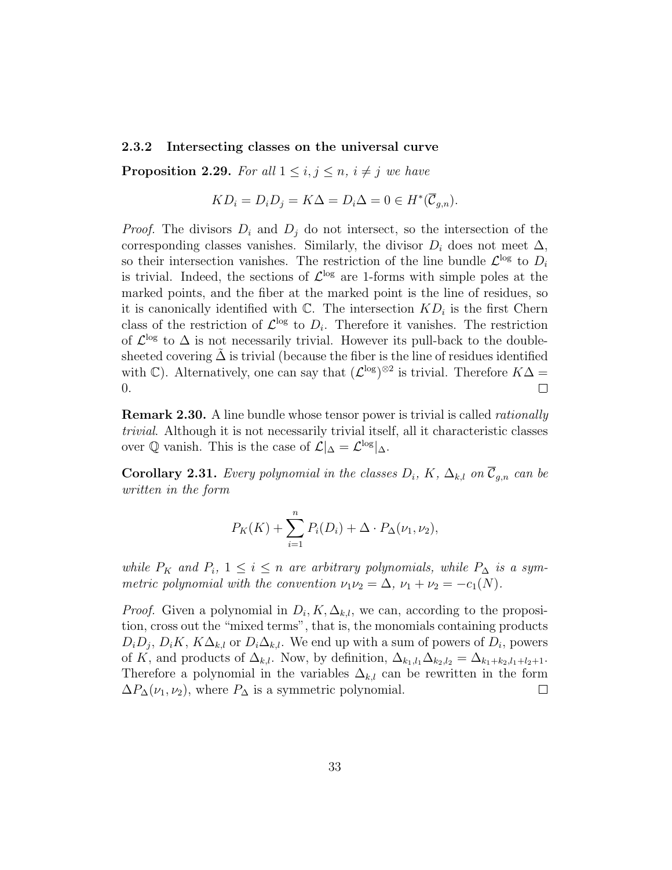#### <span id="page-32-0"></span>2.3.2 Intersecting classes on the universal curve

**Proposition 2.29.** For all  $1 \leq i, j \leq n, i \neq j$  we have

$$
KD_i = D_i D_j = K\Delta = D_i \Delta = 0 \in H^*(\overline{C}_{g,n}).
$$

*Proof.* The divisors  $D_i$  and  $D_j$  do not intersect, so the intersection of the corresponding classes vanishes. Similarly, the divisor  $D_i$  does not meet  $\Delta$ , so their intersection vanishes. The restriction of the line bundle  $\mathcal{L}^{\log}$  to  $D_i$ is trivial. Indeed, the sections of  $\mathcal{L}^{\text{log}}$  are 1-forms with simple poles at the marked points, and the fiber at the marked point is the line of residues, so it is canonically identified with  $\mathbb{C}$ . The intersection  $KD_i$  is the first Chern class of the restriction of  $\mathcal{L}^{\log}$  to  $D_i$ . Therefore it vanishes. The restriction of  $\mathcal{L}^{\text{log}}$  to  $\Delta$  is not necessarily trivial. However its pull-back to the doublesheeted covering  $\Delta$  is trivial (because the fiber is the line of residues identified with  $\mathbb{C}$ ). Alternatively, one can say that  $(\mathcal{L}^{\log})^{\otimes 2}$  is trivial. Therefore  $K\Delta =$ 0.  $\Box$ 

**Remark 2.30.** A line bundle whose tensor power is trivial is called *rationally* trivial. Although it is not necessarily trivial itself, all it characteristic classes over  $\mathbb Q$  vanish. This is the case of  $\mathcal L|_{\Delta} = \mathcal L^{\log}|_{\Delta}$ .

**Corollary 2.31.** Every polynomial in the classes  $D_i$ , K,  $\Delta_{k,l}$  on  $\overline{\mathcal{C}}_{g,n}$  can be written in the form

$$
P_K(K) + \sum_{i=1}^n P_i(D_i) + \Delta \cdot P_{\Delta}(\nu_1, \nu_2),
$$

while  $P_K$  and  $P_i$ ,  $1 \leq i \leq n$  are arbitrary polynomials, while  $P_{\Delta}$  is a symmetric polynomial with the convention  $\nu_1\nu_2 = \Delta$ ,  $\nu_1 + \nu_2 = -c_1(N)$ .

*Proof.* Given a polynomial in  $D_i, K, \Delta_{k,l}$ , we can, according to the proposition, cross out the "mixed terms", that is, the monomials containing products  $D_i D_j$ ,  $D_i K$ ,  $K \Delta_{k,l}$  or  $D_i \Delta_{k,l}$ . We end up with a sum of powers of  $D_i$ , powers of K, and products of  $\Delta_{k,l}$ . Now, by definition,  $\Delta_{k_1,l_1}\Delta_{k_2,l_2}=\Delta_{k_1+k_2,l_1+l_2+1}$ . Therefore a polynomial in the variables  $\Delta_{k,l}$  can be rewritten in the form  $\Delta P_{\Delta}(\nu_1, \nu_2)$ , where  $P_{\Delta}$  is a symmetric polynomial.  $\Box$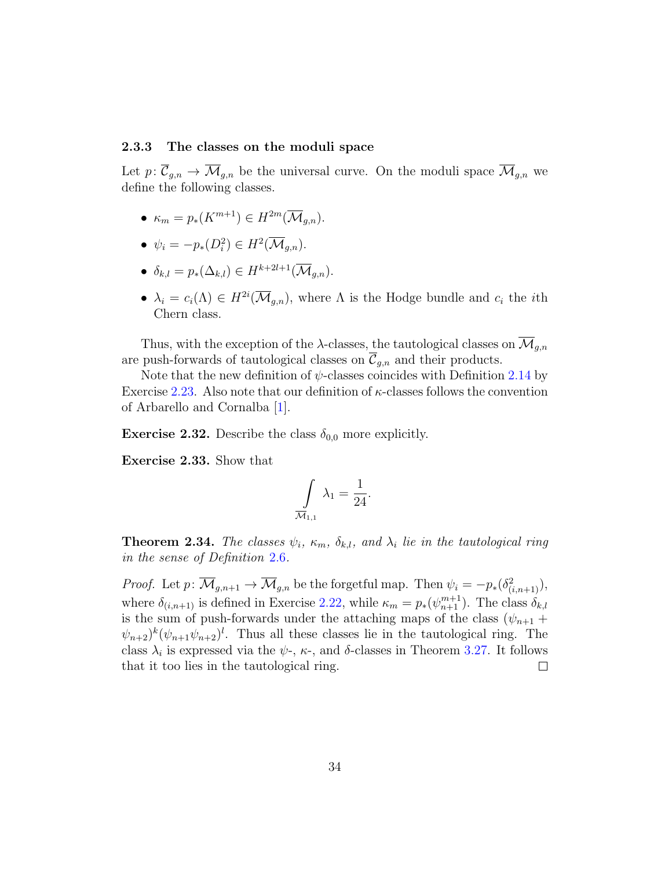#### <span id="page-33-1"></span><span id="page-33-0"></span>2.3.3 The classes on the moduli space

Let  $p: \overline{\mathcal{C}}_{g,n} \to \overline{\mathcal{M}}_{g,n}$  be the universal curve. On the moduli space  $\overline{\mathcal{M}}_{g,n}$  we define the following classes.

- $\kappa_m = p_*(K^{m+1}) \in H^{2m}(\overline{\mathcal{M}}_{q,n}).$
- $\psi_i = -p_*(D_i^2) \in H^2(\overline{\mathcal{M}}_{g,n}).$
- $\delta_{k,l} = p_*(\Delta_{k,l}) \in H^{k+2l+1}(\overline{\mathcal{M}}_{q,n}).$
- $\lambda_i = c_i(\Lambda) \in H^{2i}(\overline{\mathcal{M}}_{g,n}),$  where  $\Lambda$  is the Hodge bundle and  $c_i$  the *i*th Chern class.

Thus, with the exception of the  $\lambda$ -classes, the tautological classes on  $\overline{\mathcal{M}}_{q,n}$ are push-forwards of tautological classes on  $\overline{C}_{q,n}$  and their products.

Note that the new definition of  $\psi$ -classes coincides with Definition [2.14](#page-25-2) by Exercise [2.23.](#page-28-1) Also note that our definition of  $\kappa$ -classes follows the convention of Arbarello and Cornalba [\[1\]](#page-61-1).

**Exercise 2.32.** Describe the class  $\delta_{0,0}$  more explicitly.

Exercise 2.33. Show that

$$
\int\limits_{\overline{\mathcal{M}}_{1,1}} \lambda_1 = \frac{1}{24}.
$$

**Theorem 2.34.** The classes  $\psi_i$ ,  $\kappa_m$ ,  $\delta_{k,l}$ , and  $\lambda_i$  lie in the tautological ring in the sense of Definition [2.6](#page-23-1).

*Proof.* Let  $p: \overline{\mathcal{M}}_{g,n+1} \to \overline{\mathcal{M}}_{g,n}$  be the forgetful map. Then  $\psi_i = -p_*(\delta^2_{(i,n+1)}),$ where  $\delta_{(i,n+1)}$  is defined in Exercise [2.22,](#page-28-2) while  $\kappa_m = p_*(\psi_{n+1}^{m+1})$ . The class  $\delta_{k,l}$ is the sum of push-forwards under the attaching maps of the class  $(\psi_{n+1} +$  $(\psi_{n+2})^k(\psi_{n+1}\psi_{n+2})^l$ . Thus all these classes lie in the tautological ring. The class  $\lambda_i$  is expressed via the  $\psi$ -,  $\kappa$ -, and  $\delta$ -classes in Theorem [3.27.](#page-48-0) It follows that it too lies in the tautological ring.  $\Box$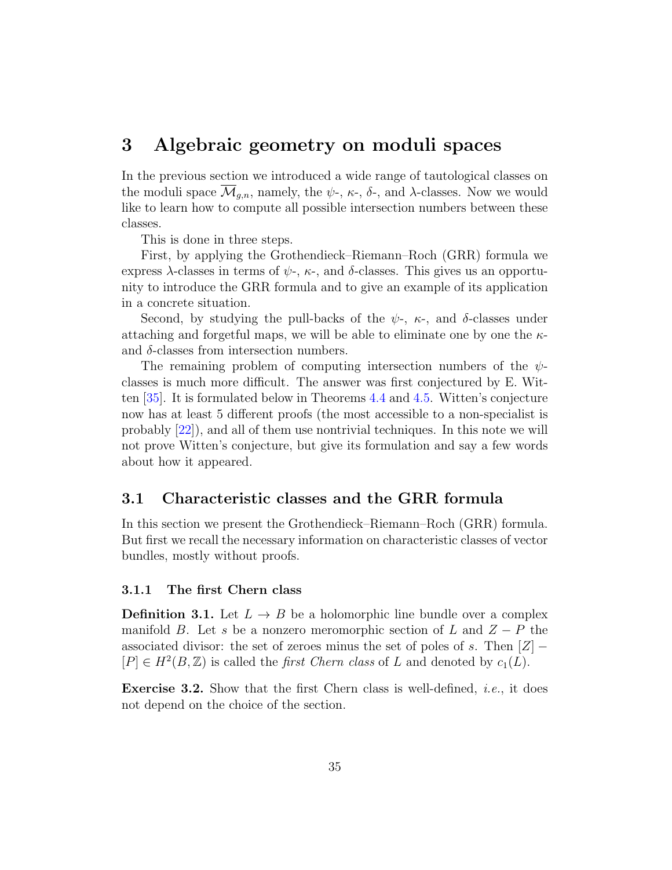## <span id="page-34-3"></span><span id="page-34-0"></span>3 Algebraic geometry on moduli spaces

In the previous section we introduced a wide range of tautological classes on the moduli space  $\mathcal{M}_{q,n}$ , namely, the  $\psi$ -,  $\kappa$ -,  $\delta$ -, and  $\lambda$ -classes. Now we would like to learn how to compute all possible intersection numbers between these classes.

This is done in three steps.

First, by applying the Grothendieck–Riemann–Roch (GRR) formula we express  $\lambda$ -classes in terms of  $\psi$ -,  $\kappa$ -, and  $\delta$ -classes. This gives us an opportunity to introduce the GRR formula and to give an example of its application in a concrete situation.

Second, by studying the pull-backs of the  $\psi$ -,  $\kappa$ -, and  $\delta$ -classes under attaching and forgetful maps, we will be able to eliminate one by one the  $\kappa$ and  $\delta$ -classes from intersection numbers.

The remaining problem of computing intersection numbers of the  $\psi$ classes is much more difficult. The answer was first conjectured by E. Witten [\[35\]](#page-64-6). It is formulated below in Theorems [4.4](#page-58-1) and [4.5.](#page-59-0) Witten's conjecture now has at least 5 different proofs (the most accessible to a non-specialist is probably [\[22\]](#page-63-7)), and all of them use nontrivial techniques. In this note we will not prove Witten's conjecture, but give its formulation and say a few words about how it appeared.

## <span id="page-34-1"></span>3.1 Characteristic classes and the GRR formula

In this section we present the Grothendieck–Riemann–Roch (GRR) formula. But first we recall the necessary information on characteristic classes of vector bundles, mostly without proofs.

#### <span id="page-34-2"></span>3.1.1 The first Chern class

**Definition 3.1.** Let  $L \rightarrow B$  be a holomorphic line bundle over a complex manifold B. Let s be a nonzero meromorphic section of L and  $Z - P$  the associated divisor: the set of zeroes minus the set of poles of s. Then  $[Z]$  –  $[P] \in H^2(B, \mathbb{Z})$  is called the *first Chern class* of L and denoted by  $c_1(L)$ .

**Exercise 3.2.** Show that the first Chern class is well-defined, *i.e.*, it does not depend on the choice of the section.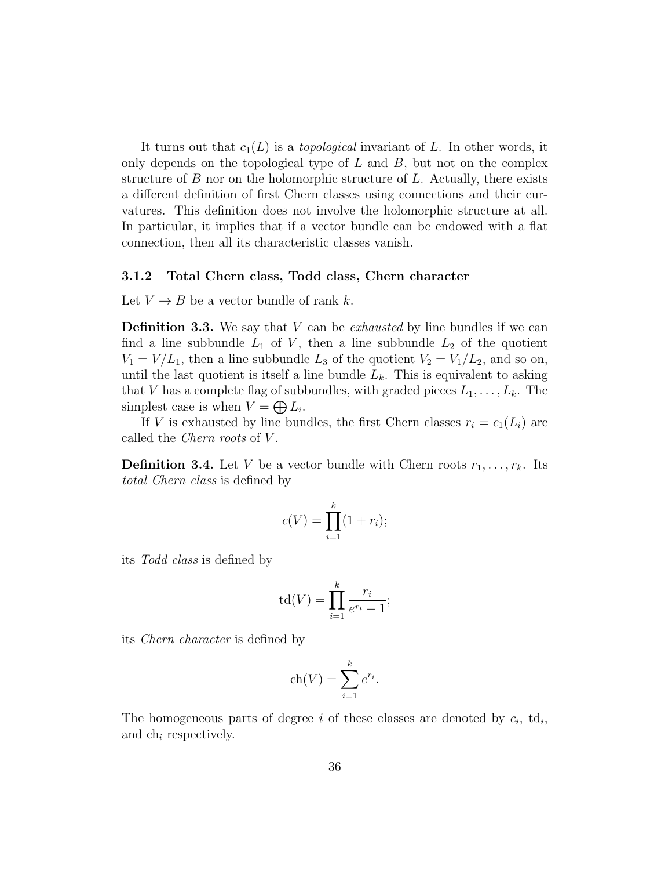It turns out that  $c_1(L)$  is a *topological* invariant of L. In other words, it only depends on the topological type of  $L$  and  $B$ , but not on the complex structure of  $B$  nor on the holomorphic structure of  $L$ . Actually, there exists a different definition of first Chern classes using connections and their curvatures. This definition does not involve the holomorphic structure at all. In particular, it implies that if a vector bundle can be endowed with a flat connection, then all its characteristic classes vanish.

#### <span id="page-35-0"></span>3.1.2 Total Chern class, Todd class, Chern character

Let  $V \to B$  be a vector bundle of rank k.

<span id="page-35-1"></span>**Definition 3.3.** We say that  $V$  can be *exhausted* by line bundles if we can find a line subbundle  $L_1$  of V, then a line subbundle  $L_2$  of the quotient  $V_1 = V/L_1$ , then a line subbundle  $L_3$  of the quotient  $V_2 = V_1/L_2$ , and so on, until the last quotient is itself a line bundle  $L_k$ . This is equivalent to asking that V has a complete flag of subbundles, with graded pieces  $L_1, \ldots, L_k$ . The simplest case is when  $V = \bigoplus L_i$ .

If V is exhausted by line bundles, the first Chern classes  $r_i = c_1(L_i)$  are called the *Chern roots* of V.

**Definition 3.4.** Let V be a vector bundle with Chern roots  $r_1, \ldots, r_k$ . Its total Chern class is defined by

$$
c(V) = \prod_{i=1}^{k} (1+r_i);
$$

its Todd class is defined by

$$
\operatorname{td}(V) = \prod_{i=1}^k \frac{r_i}{e^{r_i} - 1};
$$

its Chern character is defined by

$$
ch(V) = \sum_{i=1}^{k} e^{r_i}.
$$

The homogeneous parts of degree i of these classes are denoted by  $c_i$ , td<sub>i</sub>, and ch<sup>i</sup> respectively.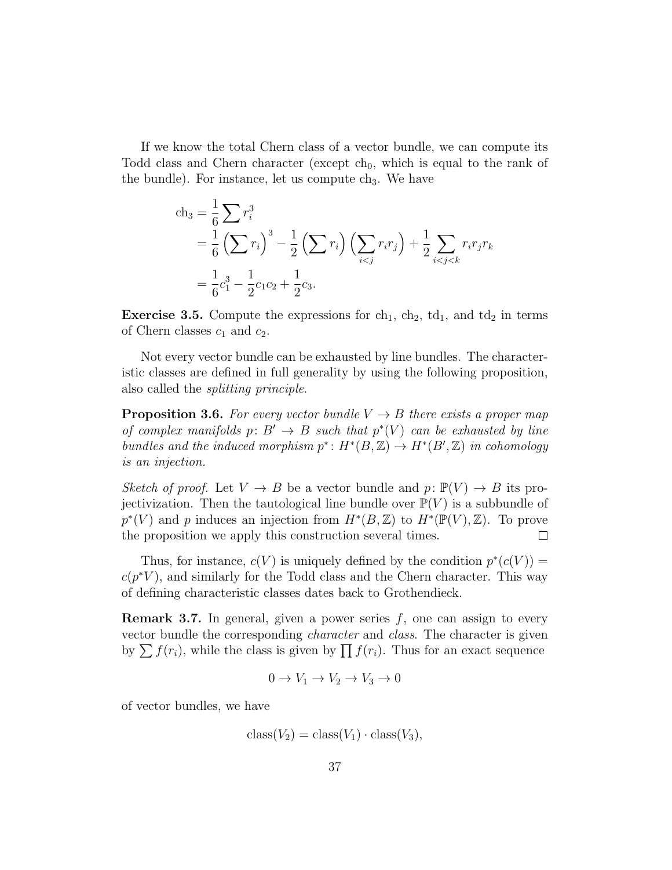If we know the total Chern class of a vector bundle, we can compute its Todd class and Chern character (except  $ch_0$ , which is equal to the rank of the bundle). For instance, let us compute  $ch<sub>3</sub>$ . We have

$$
ch_3 = \frac{1}{6} \sum r_i^3
$$
  
=  $\frac{1}{6} (\sum r_i)^3 - \frac{1}{2} (\sum r_i) (\sum_{i < j} r_i r_j) + \frac{1}{2} \sum_{i < j < k} r_i r_j r_k$   
=  $\frac{1}{6} c_1^3 - \frac{1}{2} c_1 c_2 + \frac{1}{2} c_3.$ 

**Exercise 3.5.** Compute the expressions for  $ch_1$ ,  $ch_2$ ,  $td_1$ , and  $td_2$  in terms of Chern classes  $c_1$  and  $c_2$ .

Not every vector bundle can be exhausted by line bundles. The characteristic classes are defined in full generality by using the following proposition, also called the splitting principle.

**Proposition 3.6.** For every vector bundle  $V \rightarrow B$  there exists a proper map of complex manifolds  $p: B' \to B$  such that  $p^*(V)$  can be exhausted by line bundles and the induced morphism  $p^*: H^*(B, \mathbb{Z}) \to H^*(B', \mathbb{Z})$  in cohomology is an injection.

Sketch of proof. Let  $V \to B$  be a vector bundle and  $p: \mathbb{P}(V) \to B$  its projectivization. Then the tautological line bundle over  $\mathbb{P}(V)$  is a subbundle of  $p^*(V)$  and p induces an injection from  $H^*(B, \mathbb{Z})$  to  $H^*(\mathbb{P}(V), \mathbb{Z})$ . To prove the proposition we apply this construction several times.  $\Box$ 

Thus, for instance,  $c(V)$  is uniquely defined by the condition  $p^*(c(V))$  =  $c(p^*V)$ , and similarly for the Todd class and the Chern character. This way of defining characteristic classes dates back to Grothendieck.

<span id="page-36-0"></span>**Remark 3.7.** In general, given a power series  $f$ , one can assign to every vector bundle the corresponding character and class. The character is given by  $\sum f(r_i)$ , while the class is given by  $\prod f(r_i)$ . Thus for an exact sequence

$$
0 \to V_1 \to V_2 \to V_3 \to 0
$$

of vector bundles, we have

$$
class(V_2) = class(V_1) \cdot class(V_3),
$$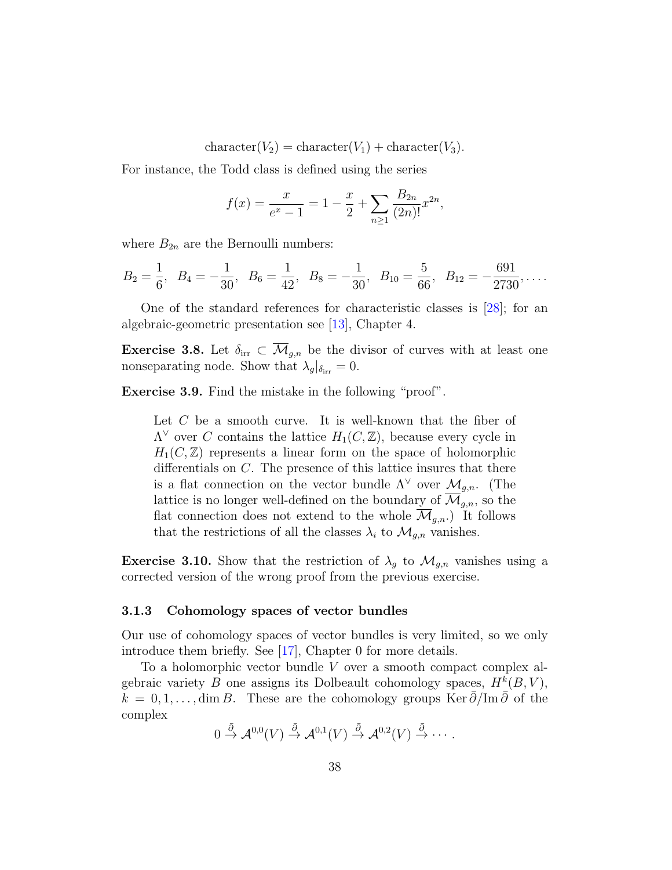character( $V_2$ ) = character( $V_1$ ) + character( $V_3$ ).

<span id="page-37-1"></span>For instance, the Todd class is defined using the series

$$
f(x) = \frac{x}{e^x - 1} = 1 - \frac{x}{2} + \sum_{n \ge 1} \frac{B_{2n}}{(2n)!} x^{2n},
$$

where  $B_{2n}$  are the Bernoulli numbers:

$$
B_2 = \frac{1}{6}
$$
,  $B_4 = -\frac{1}{30}$ ,  $B_6 = \frac{1}{42}$ ,  $B_8 = -\frac{1}{30}$ ,  $B_{10} = \frac{5}{66}$ ,  $B_{12} = -\frac{691}{2730}$ ,...

One of the standard references for characteristic classes is [\[28\]](#page-64-8); for an algebraic-geometric presentation see [\[13\]](#page-63-8), Chapter 4.

**Exercise 3.8.** Let  $\delta_{irr} \subset \overline{\mathcal{M}}_{g,n}$  be the divisor of curves with at least one nonseparating node. Show that  $\lambda_g|_{\delta_{irr}} = 0$ .

Exercise 3.9. Find the mistake in the following "proof".

Let  $C$  be a smooth curve. It is well-known that the fiber of  $\Lambda^{\vee}$  over C contains the lattice  $H_1(C, \mathbb{Z})$ , because every cycle in  $H_1(C,\mathbb{Z})$  represents a linear form on the space of holomorphic differentials on C. The presence of this lattice insures that there is a flat connection on the vector bundle  $\Lambda^{\vee}$  over  $\mathcal{M}_{q,n}$ . (The lattice is no longer well-defined on the boundary of  $\overline{\mathcal{M}}_{g,n}$ , so the flat connection does not extend to the whole  $\overline{\mathcal{M}}_{q,n}$ . It follows that the restrictions of all the classes  $\lambda_i$  to  $\mathcal{M}_{q,n}$  vanishes.

**Exercise 3.10.** Show that the restriction of  $\lambda_q$  to  $\mathcal{M}_{q,n}$  vanishes using a corrected version of the wrong proof from the previous exercise.

#### <span id="page-37-0"></span>3.1.3 Cohomology spaces of vector bundles

Our use of cohomology spaces of vector bundles is very limited, so we only introduce them briefly. See [\[17\]](#page-63-9), Chapter 0 for more details.

To a holomorphic vector bundle V over a smooth compact complex algebraic variety B one assigns its Dolbeault cohomology spaces,  $H^k(B, V)$ ,  $k = 0, 1, \ldots, \dim B$ . These are the cohomology groups Ker  $\bar{\partial}/\text{Im }\bar{\partial}$  of the complex

$$
0 \stackrel{\bar{\partial}}{\rightarrow} \mathcal{A}^{0,0}(V) \stackrel{\bar{\partial}}{\rightarrow} \mathcal{A}^{0,1}(V) \stackrel{\bar{\partial}}{\rightarrow} \mathcal{A}^{0,2}(V) \stackrel{\bar{\partial}}{\rightarrow} \cdots.
$$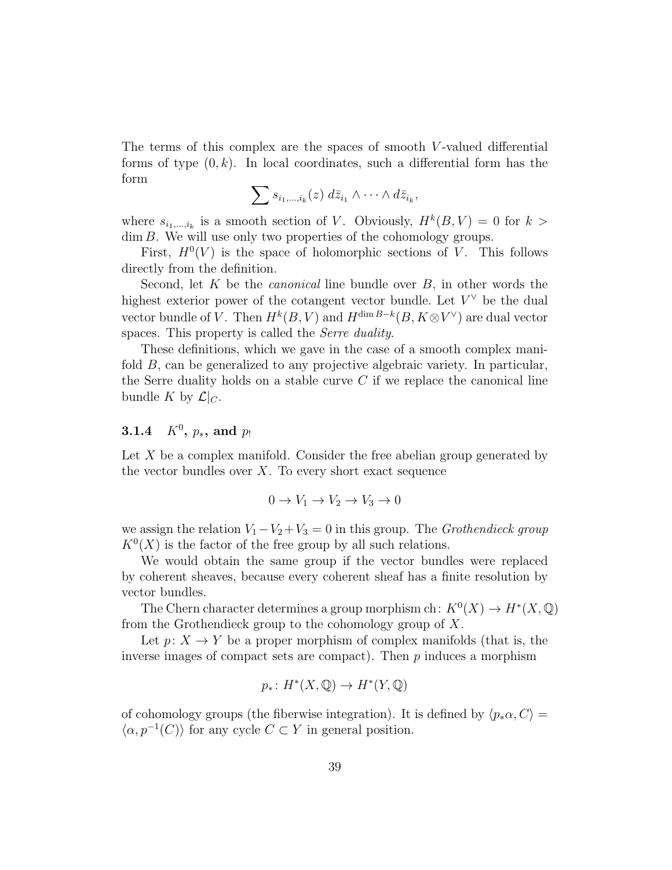The terms of this complex are the spaces of smooth V -valued differential forms of type  $(0, k)$ . In local coordinates, such a differential form has the form

$$
\sum s_{i_1,\dots,i_k}(z) d\bar{z}_{i_1} \wedge \dots \wedge d\bar{z}_{i_k},
$$

where  $s_{i_1,\dots,i_k}$  is a smooth section of V. Obviously,  $H^k(B, V) = 0$  for  $k >$ dim B. We will use only two properties of the cohomology groups.

First,  $H^0(V)$  is the space of holomorphic sections of V. This follows directly from the definition.

Second, let  $K$  be the *canonical* line bundle over  $B$ , in other words the highest exterior power of the cotangent vector bundle. Let  $V^{\vee}$  be the dual vector bundle of V. Then  $H^k(B, V)$  and  $H^{\dim B-k}(B, K \otimes V^{\vee})$  are dual vector spaces. This property is called the *Serre duality*.

These definitions, which we gave in the case of a smooth complex manifold B, can be generalized to any projective algebraic variety. In particular, the Serre duality holds on a stable curve  $C$  if we replace the canonical line bundle K by  $\mathcal{L}|_C$ .

## <span id="page-38-0"></span> $3.1.4\quad K^0, \, p_* , \, \text{and}\,\, p_!$

Let X be a complex manifold. Consider the free abelian group generated by the vector bundles over  $X$ . To every short exact sequence

$$
0 \to V_1 \to V_2 \to V_3 \to 0
$$

we assign the relation  $V_1-V_2+V_3=0$  in this group. The Grothendieck group  $K^0(X)$  is the factor of the free group by all such relations.

We would obtain the same group if the vector bundles were replaced by coherent sheaves, because every coherent sheaf has a finite resolution by vector bundles.

The Chern character determines a group morphism ch:  $K^0(X) \to H^*(X, \mathbb{Q})$ from the Grothendieck group to the cohomology group of  $X$ .

Let  $p: X \to Y$  be a proper morphism of complex manifolds (that is, the inverse images of compact sets are compact). Then  $p$  induces a morphism

$$
p_*\colon H^*(X,\mathbb{Q})\to H^*(Y,\mathbb{Q})
$$

of cohomology groups (the fiberwise integration). It is defined by  $\langle p_*\alpha, C \rangle =$  $\langle \alpha, p^{-1}(C) \rangle$  for any cycle  $C \subset Y$  in general position.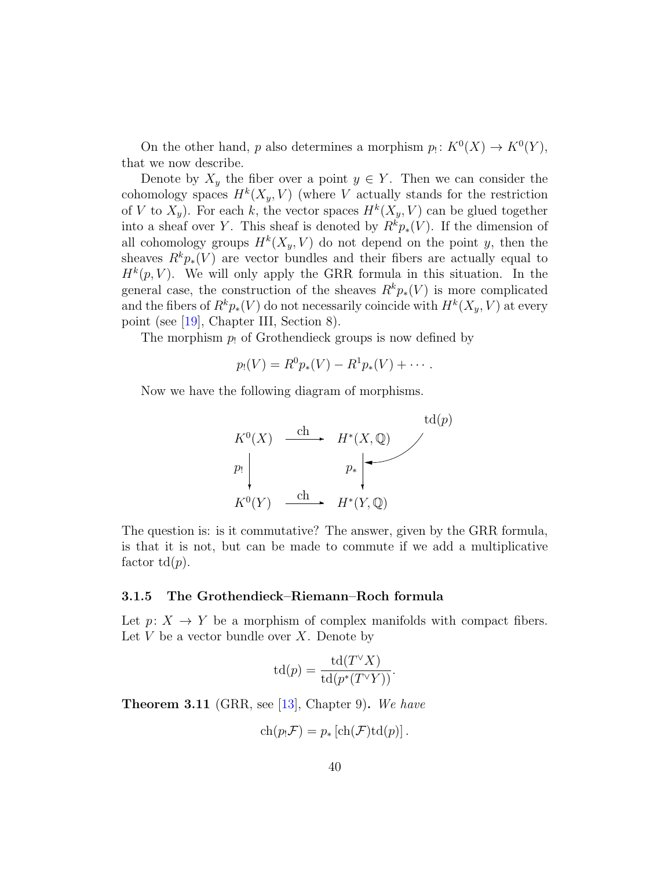<span id="page-39-1"></span>On the other hand, p also determines a morphism  $p_! \colon K^0(X) \to K^0(Y)$ , that we now describe.

Denote by  $X_y$  the fiber over a point  $y \in Y$ . Then we can consider the cohomology spaces  $H^k(X_y, V)$  (where V actually stands for the restriction of V to  $X_y$ ). For each k, the vector spaces  $H^k(X_y, V)$  can be glued together into a sheaf over Y. This sheaf is denoted by  $R^k p_*(V)$ . If the dimension of all cohomology groups  $H^k(X_y, V)$  do not depend on the point y, then the sheaves  $R^k p_*(V)$  are vector bundles and their fibers are actually equal to  $H^k(p, V)$ . We will only apply the GRR formula in this situation. In the general case, the construction of the sheaves  $R^k p_*(V)$  is more complicated and the fibers of  $R^k p_*(V)$  do not necessarily coincide with  $H^k(X_y, V)$  at every point (see [\[19\]](#page-63-6), Chapter III, Section 8).

The morphism  $p_1$  of Grothendieck groups is now defined by

$$
p_!(V) = R^0 p_*(V) - R^1 p_*(V) + \cdots.
$$

Now we have the following diagram of morphisms.



The question is: is it commutative? The answer, given by the GRR formula, is that it is not, but can be made to commute if we add a multiplicative factor  $td(p)$ .

#### <span id="page-39-0"></span>3.1.5 The Grothendieck–Riemann–Roch formula

Let  $p: X \to Y$  be a morphism of complex manifolds with compact fibers. Let  $V$  be a vector bundle over  $X$ . Denote by

$$
td(p) = \frac{td(T^{\vee}X)}{td(p^*(T^{\vee}Y))}.
$$

**Theorem 3.11** (GRR, see [\[13\]](#page-63-8), Chapter 9). We have

$$
ch(p_!\mathcal{F}) = p_* [ch(\mathcal{F})td(p)].
$$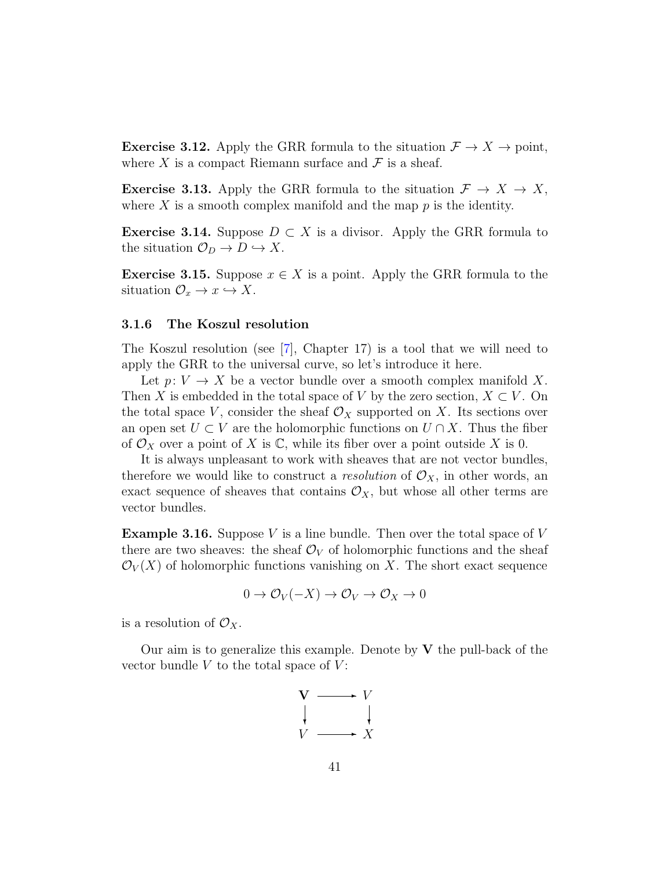<span id="page-40-1"></span>**Exercise 3.12.** Apply the GRR formula to the situation  $\mathcal{F} \to X \to \text{point}$ , where X is a compact Riemann surface and  $\mathcal F$  is a sheaf.

**Exercise 3.13.** Apply the GRR formula to the situation  $\mathcal{F} \to X \to X$ , where  $X$  is a smooth complex manifold and the map  $p$  is the identity.

**Exercise 3.14.** Suppose  $D \subset X$  is a divisor. Apply the GRR formula to the situation  $\mathcal{O}_D \to D \hookrightarrow X$ .

**Exercise 3.15.** Suppose  $x \in X$  is a point. Apply the GRR formula to the situation  $\mathcal{O}_x \to x \hookrightarrow X$ .

#### <span id="page-40-0"></span>3.1.6 The Koszul resolution

The Koszul resolution (see [\[7\]](#page-62-7), Chapter 17) is a tool that we will need to apply the GRR to the universal curve, so let's introduce it here.

Let  $p: V \to X$  be a vector bundle over a smooth complex manifold X. Then X is embedded in the total space of V by the zero section,  $X \subset V$ . On the total space V, consider the sheaf  $\mathcal{O}_X$  supported on X. Its sections over an open set  $U \subset V$  are the holomorphic functions on  $U \cap X$ . Thus the fiber of  $\mathcal{O}_X$  over a point of X is  $\mathbb{C}$ , while its fiber over a point outside X is 0.

It is always unpleasant to work with sheaves that are not vector bundles, therefore we would like to construct a *resolution* of  $\mathcal{O}_X$ , in other words, an exact sequence of sheaves that contains  $\mathcal{O}_X$ , but whose all other terms are vector bundles.

**Example 3.16.** Suppose V is a line bundle. Then over the total space of V there are two sheaves: the sheaf  $\mathcal{O}_V$  of holomorphic functions and the sheaf  $\mathcal{O}_V(X)$  of holomorphic functions vanishing on X. The short exact sequence

$$
0 \to \mathcal{O}_V(-X) \to \mathcal{O}_V \to \mathcal{O}_X \to 0
$$

is a resolution of  $\mathcal{O}_X$ .

Our aim is to generalize this example. Denote by  $V$  the pull-back of the vector bundle  $V$  to the total space of  $V$ :

$$
\begin{array}{ccc}\nV & \longrightarrow & V \\
\downarrow & & \downarrow \\
V & \longrightarrow & X\n\end{array}
$$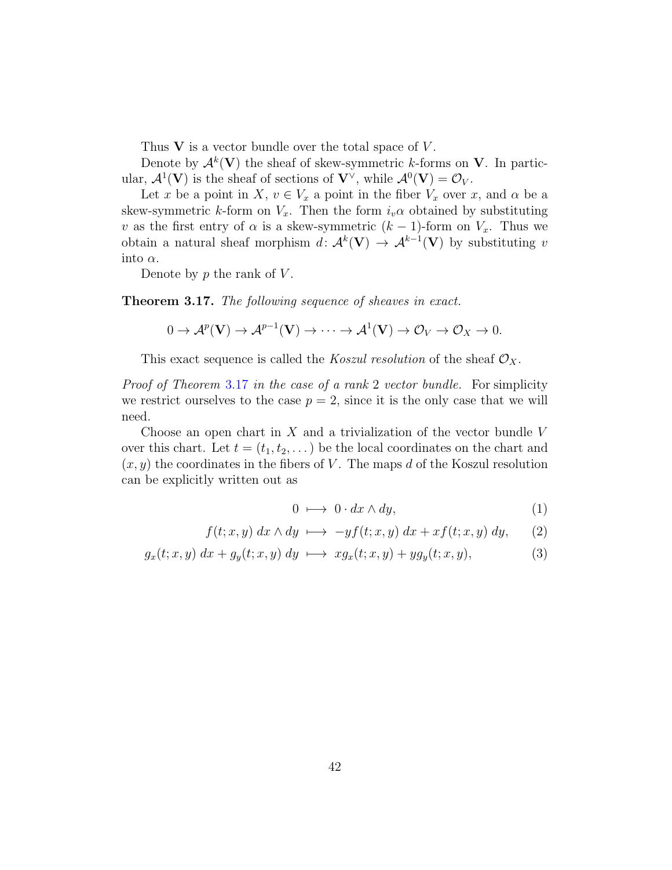Thus  $V$  is a vector bundle over the total space of  $V$ .

Denote by  $\mathcal{A}^k(\mathbf{V})$  the sheaf of skew-symmetric k-forms on V. In particular,  $\mathcal{A}^1(\mathbf{V})$  is the sheaf of sections of  $\mathbf{V}^\vee$ , while  $\mathcal{A}^0(\mathbf{V}) = \mathcal{O}_V$ .

Let x be a point in X,  $v \in V_x$  a point in the fiber  $V_x$  over x, and  $\alpha$  be a skew-symmetric k-form on  $V_x$ . Then the form  $i_v\alpha$  obtained by substituting v as the first entry of  $\alpha$  is a skew-symmetric  $(k-1)$ -form on  $V_x$ . Thus we obtain a natural sheaf morphism  $d: \mathcal{A}^k(\mathbf{V}) \to \mathcal{A}^{k-1}(\mathbf{V})$  by substituting v into  $\alpha$ .

Denote by  $p$  the rank of  $V$ .

<span id="page-41-0"></span>Theorem 3.17. The following sequence of sheaves in exact.

$$
0 \to \mathcal{A}^p(\mathbf{V}) \to \mathcal{A}^{p-1}(\mathbf{V}) \to \cdots \to \mathcal{A}^1(\mathbf{V}) \to \mathcal{O}_V \to \mathcal{O}_X \to 0.
$$

This exact sequence is called the *Koszul resolution* of the sheaf  $\mathcal{O}_X$ .

Proof of Theorem [3.17](#page-41-0) in the case of a rank 2 vector bundle. For simplicity we restrict ourselves to the case  $p = 2$ , since it is the only case that we will need.

Choose an open chart in  $X$  and a trivialization of the vector bundle  $V$ over this chart. Let  $t = (t_1, t_2, ...)$  be the local coordinates on the chart and  $(x, y)$  the coordinates in the fibers of V. The maps d of the Koszul resolution can be explicitly written out as

$$
0 \mapsto 0 \cdot dx \wedge dy,\tag{1}
$$

$$
f(t; x, y) dx \wedge dy \mapsto -y f(t; x, y) dx + x f(t; x, y) dy,
$$
 (2)

$$
g_x(t; x, y) dx + g_y(t; x, y) dy \mapsto xg_x(t; x, y) + yg_y(t; x, y), \tag{3}
$$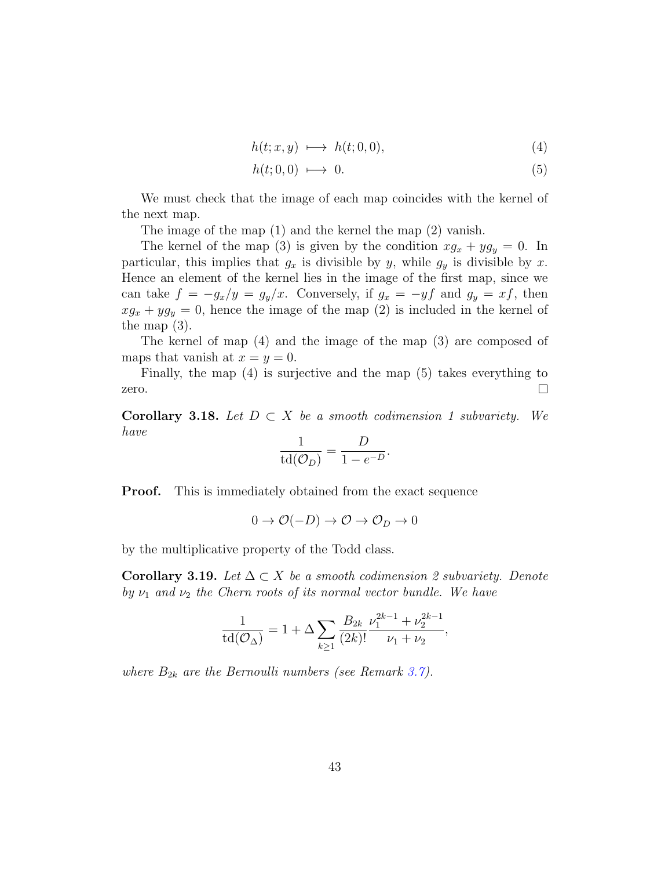$$
h(t; x, y) \longmapsto h(t; 0, 0), \tag{4}
$$

$$
h(t;0,0) \longmapsto 0. \tag{5}
$$

We must check that the image of each map coincides with the kernel of the next map.

The image of the map (1) and the kernel the map (2) vanish.

The kernel of the map (3) is given by the condition  $x g_x + y g_y = 0$ . In particular, this implies that  $g_x$  is divisible by y, while  $g_y$  is divisible by x. Hence an element of the kernel lies in the image of the first map, since we can take  $f = -g_x/y = g_y/x$ . Conversely, if  $g_x = -yf$  and  $g_y = xf$ , then  $xg_x + yg_y = 0$ , hence the image of the map (2) is included in the kernel of the map (3).

The kernel of map (4) and the image of the map (3) are composed of maps that vanish at  $x = y = 0$ .

Finally, the map (4) is surjective and the map (5) takes everything to  $\Box$ zero.

<span id="page-42-1"></span>Corollary 3.18. Let  $D \subset X$  be a smooth codimension 1 subvariety. We have

$$
\frac{1}{\operatorname{td}(\mathcal{O}_D)} = \frac{D}{1 - e^{-D}}.
$$

Proof. This is immediately obtained from the exact sequence

$$
0 \to \mathcal{O}(-D) \to \mathcal{O} \to \mathcal{O}_D \to 0
$$

by the multiplicative property of the Todd class.

<span id="page-42-0"></span>**Corollary 3.19.** Let  $\Delta \subset X$  be a smooth codimension 2 subvariety. Denote by  $\nu_1$  and  $\nu_2$  the Chern roots of its normal vector bundle. We have

$$
\frac{1}{\operatorname{td}(\mathcal{O}_{\Delta})} = 1 + \Delta \sum_{k \ge 1} \frac{B_{2k}}{(2k)!} \frac{\nu_1^{2k-1} + \nu_2^{2k-1}}{\nu_1 + \nu_2},
$$

where  $B_{2k}$  are the Bernoulli numbers (see Remark [3.7\)](#page-36-0).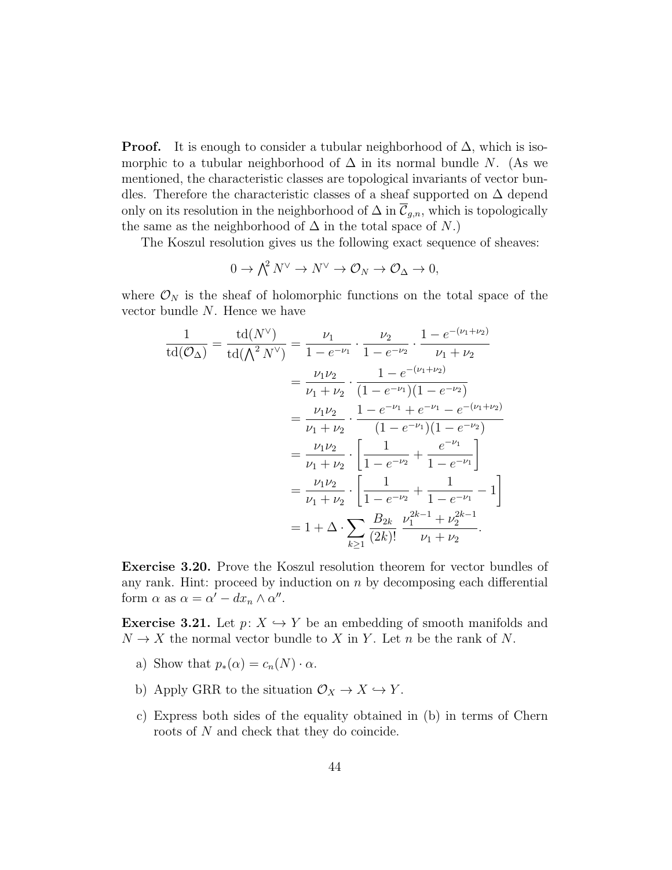**Proof.** It is enough to consider a tubular neighborhood of  $\Delta$ , which is isomorphic to a tubular neighborhood of  $\Delta$  in its normal bundle N. (As we mentioned, the characteristic classes are topological invariants of vector bundles. Therefore the characteristic classes of a sheaf supported on  $\Delta$  depend only on its resolution in the neighborhood of  $\Delta$  in  $\overline{\mathcal{C}}_{g,n}$ , which is topologically the same as the neighborhood of  $\Delta$  in the total space of N.)

The Koszul resolution gives us the following exact sequence of sheaves:

$$
0 \to \bigwedge^2 N^\vee \to N^\vee \to \mathcal{O}_N \to \mathcal{O}_\Delta \to 0,
$$

where  $\mathcal{O}_N$  is the sheaf of holomorphic functions on the total space of the vector bundle N. Hence we have

$$
\frac{1}{\text{td}(\mathcal{O}_{\Delta})} = \frac{\text{td}(N^{\vee})}{\text{td}(\Lambda^{2} N^{\vee})} = \frac{\nu_{1}}{1 - e^{-\nu_{1}}} \cdot \frac{\nu_{2}}{1 - e^{-\nu_{2}}} \cdot \frac{1 - e^{-(\nu_{1} + \nu_{2})}}{\nu_{1} + \nu_{2}}
$$
\n
$$
= \frac{\nu_{1} \nu_{2}}{\nu_{1} + \nu_{2}} \cdot \frac{1 - e^{-(\nu_{1} + \nu_{2})}}{(1 - e^{-\nu_{1}})(1 - e^{-\nu_{2}})}
$$
\n
$$
= \frac{\nu_{1} \nu_{2}}{\nu_{1} + \nu_{2}} \cdot \frac{1 - e^{-\nu_{1}} + e^{-\nu_{1}} - e^{-(\nu_{1} + \nu_{2})}}{(1 - e^{-\nu_{1}})(1 - e^{-\nu_{2}})}
$$
\n
$$
= \frac{\nu_{1} \nu_{2}}{\nu_{1} + \nu_{2}} \cdot \left[ \frac{1}{1 - e^{-\nu_{2}}} + \frac{e^{-\nu_{1}}}{1 - e^{-\nu_{1}}} \right]
$$
\n
$$
= \frac{\nu_{1} \nu_{2}}{\nu_{1} + \nu_{2}} \cdot \left[ \frac{1}{1 - e^{-\nu_{2}}} + \frac{1}{1 - e^{-\nu_{1}}} - 1 \right]
$$
\n
$$
= 1 + \Delta \cdot \sum_{k \ge 1} \frac{B_{2k}}{(2k)!} \cdot \frac{\nu_{1}^{2k-1} + \nu_{2}^{2k-1}}{\nu_{1} + \nu_{2}}.
$$

Exercise 3.20. Prove the Koszul resolution theorem for vector bundles of any rank. Hint: proceed by induction on  $n$  by decomposing each differential form  $\alpha$  as  $\alpha = \alpha' - dx_n \wedge \alpha''$ .

**Exercise 3.21.** Let  $p: X \hookrightarrow Y$  be an embedding of smooth manifolds and  $N \to X$  the normal vector bundle to X in Y. Let n be the rank of N.

- a) Show that  $p_*(\alpha) = c_n(N) \cdot \alpha$ .
- b) Apply GRR to the situation  $\mathcal{O}_X \to X \hookrightarrow Y$ .
- c) Express both sides of the equality obtained in (b) in terms of Chern roots of N and check that they do coincide.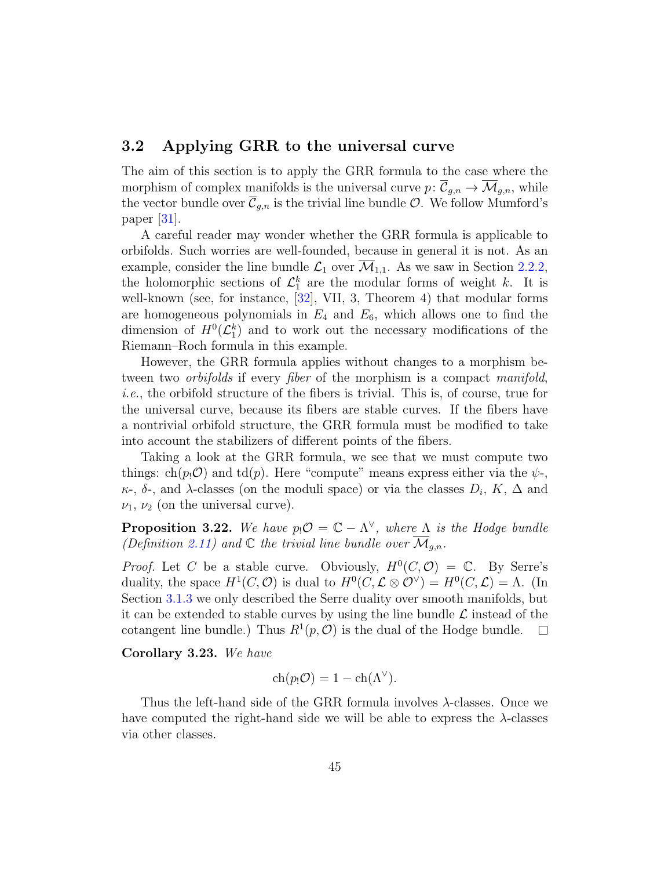## <span id="page-44-1"></span><span id="page-44-0"></span>3.2 Applying GRR to the universal curve

The aim of this section is to apply the GRR formula to the case where the morphism of complex manifolds is the universal curve  $p: \overline{C}_{g,n} \to \overline{\mathcal{M}}_{g,n}$ , while the vector bundle over  $\overline{\mathcal{C}}_{g,n}$  is the trivial line bundle  $\mathcal{O}$ . We follow Mumford's paper  $|31|$ .

A careful reader may wonder whether the GRR formula is applicable to orbifolds. Such worries are well-founded, because in general it is not. As an example, consider the line bundle  $\mathcal{L}_1$  over  $\overline{\mathcal{M}}_{1,1}$ . As we saw in Section [2.2.2,](#page-28-0) the holomorphic sections of  $\mathcal{L}_1^k$  are the modular forms of weight k. It is well-known (see, for instance, [\[32\]](#page-64-7), VII, 3, Theorem 4) that modular forms are homogeneous polynomials in  $E_4$  and  $E_6$ , which allows one to find the dimension of  $H^0(\mathcal{L}_1^k)$  and to work out the necessary modifications of the Riemann–Roch formula in this example.

However, the GRR formula applies without changes to a morphism between two *orbifolds* if every *fiber* of the morphism is a compact *manifold*, i.e., the orbifold structure of the fibers is trivial. This is, of course, true for the universal curve, because its fibers are stable curves. If the fibers have a nontrivial orbifold structure, the GRR formula must be modified to take into account the stabilizers of different points of the fibers.

Taking a look at the GRR formula, we see that we must compute two things: ch( $p_1$ O) and td( $p$ ). Here "compute" means express either via the  $\psi$ - $\kappa$ -,  $\delta$ -, and  $\lambda$ -classes (on the moduli space) or via the classes  $D_i$ ,  $K$ ,  $\Delta$  and  $\nu_1, \nu_2$  (on the universal curve).

**Proposition 3.22.** We have  $p_1 \mathcal{O} = \mathbb{C} - \Lambda^{\vee}$ , where  $\Lambda$  is the Hodge bundle (Definition [2.11\)](#page-24-1) and  $\mathbb C$  the trivial line bundle over  $\overline{\mathcal{M}}_{q,n}$ .

*Proof.* Let C be a stable curve. Obviously,  $H^0(C, \mathcal{O}) = \mathbb{C}$ . By Serre's duality, the space  $H^1(C, \mathcal{O})$  is dual to  $H^0(C, \mathcal{L} \otimes \mathcal{O}^{\vee}) = H^0(C, \mathcal{L}) = \Lambda$ . (In Section [3.1.3](#page-37-0) we only described the Serre duality over smooth manifolds, but it can be extended to stable curves by using the line bundle  $\mathcal L$  instead of the cotangent line bundle.) Thus  $R^1(p, \mathcal{O})$  is the dual of the Hodge bundle.  $\Box$ 

Corollary 3.23. We have

$$
ch(p_!\mathcal{O})=1-ch(\Lambda^\vee).
$$

Thus the left-hand side of the GRR formula involves  $\lambda$ -classes. Once we have computed the right-hand side we will be able to express the  $\lambda$ -classes via other classes.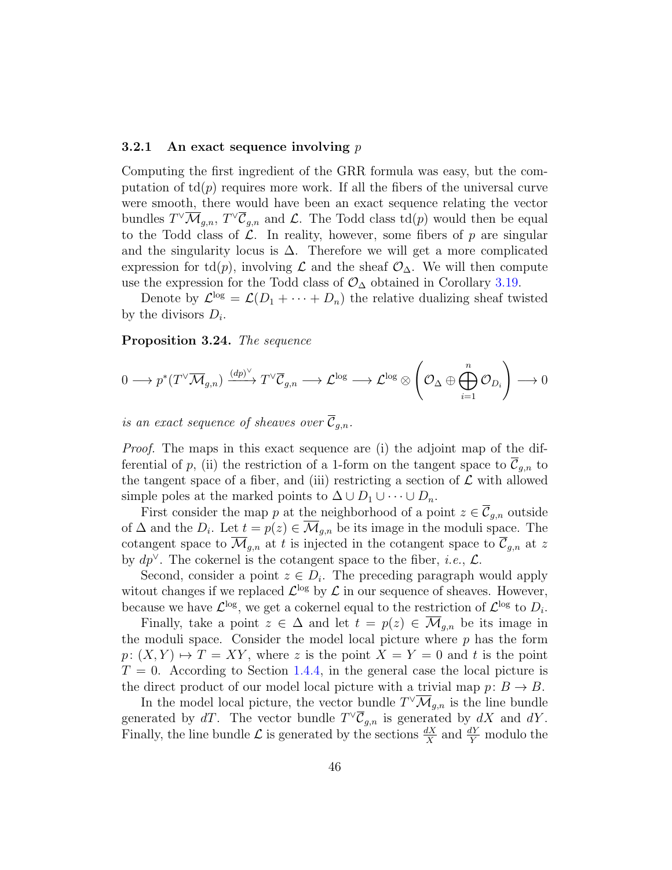#### <span id="page-45-0"></span>3.2.1 An exact sequence involving  $p$

Computing the first ingredient of the GRR formula was easy, but the computation of  $\text{td}(p)$  requires more work. If all the fibers of the universal curve were smooth, there would have been an exact sequence relating the vector bundles  $T^{\vee} \overline{\mathcal{M}}_{g,n}$ ,  $T^{\vee} \overline{\mathcal{C}}_{g,n}$  and  $\mathcal{L}$ . The Todd class  $\mathrm{td}(p)$  would then be equal to the Todd class of  $\mathcal{L}$ . In reality, however, some fibers of p are singular and the singularity locus is  $\Delta$ . Therefore we will get a more complicated expression for td(p), involving  $\mathcal L$  and the sheaf  $\mathcal O_{\Delta}$ . We will then compute use the expression for the Todd class of  $\mathcal{O}_{\Delta}$  obtained in Corollary [3.19.](#page-42-0)

Denote by  $\mathcal{L}^{\text{log}} = \mathcal{L}(D_1 + \cdots + D_n)$  the relative dualizing sheaf twisted by the divisors  $D_i$ .

#### <span id="page-45-1"></span>Proposition 3.24. The sequence

$$
0 \longrightarrow p^*(T^{\vee} \overline{\mathcal{M}}_{g,n}) \xrightarrow{(dp)^{\vee}} T^{\vee} \overline{\mathcal{C}}_{g,n} \longrightarrow \mathcal{L}^{\log} \longrightarrow \mathcal{L}^{\log} \otimes \left(\mathcal{O}_{\Delta} \oplus \bigoplus_{i=1}^n \mathcal{O}_{D_i}\right) \longrightarrow 0
$$

is an exact sequence of sheaves over  $\overline{\mathcal{C}}_{g,n}$ .

Proof. The maps in this exact sequence are (i) the adjoint map of the differential of p, (ii) the restriction of a 1-form on the tangent space to  $\overline{\mathcal{C}}_{q,n}$  to the tangent space of a fiber, and (iii) restricting a section of  $\mathcal L$  with allowed simple poles at the marked points to  $\Delta \cup D_1 \cup \cdots \cup D_n$ .

First consider the map p at the neighborhood of a point  $z \in \overline{\mathcal{C}}_{g,n}$  outside of  $\Delta$  and the  $D_i$ . Let  $t = p(z) \in \overline{\mathcal{M}}_{g,n}$  be its image in the moduli space. The cotangent space to  $\overline{\mathcal{M}}_{g,n}$  at t is injected in the cotangent space to  $\overline{\mathcal{C}}_{g,n}$  at z by  $dp^{\vee}$ . The cokernel is the cotangent space to the fiber, *i.e.*,  $\mathcal{L}$ .

Second, consider a point  $z \in D_i$ . The preceding paragraph would apply witout changes if we replaced  $\mathcal{L}^{\log}$  by  $\mathcal{L}$  in our sequence of sheaves. However, because we have  $\mathcal{L}^{\text{log}}$ , we get a cokernel equal to the restriction of  $\mathcal{L}^{\text{log}}$  to  $D_i$ .

Finally, take a point  $z \in \Delta$  and let  $t = p(z) \in \overline{\mathcal{M}}_{q,n}$  be its image in the moduli space. Consider the model local picture where  $p$  has the form  $p: (X, Y) \mapsto T = XY$ , where z is the point  $X = Y = 0$  and t is the point  $T = 0$ . According to Section [1.4.4,](#page-19-0) in the general case the local picture is the direct product of our model local picture with a trivial map  $p: B \to B$ .

In the model local picture, the vector bundle  $T^{\vee} \overline{\mathcal{M}}_{g,n}$  is the line bundle generated by dT. The vector bundle  $T^{\vee} \overline{\mathcal{C}}_{g,n}$  is generated by dX and dY. Finally, the line bundle  $\mathcal L$  is generated by the sections  $\frac{dX}{X}$  and  $\frac{dY}{Y}$  modulo the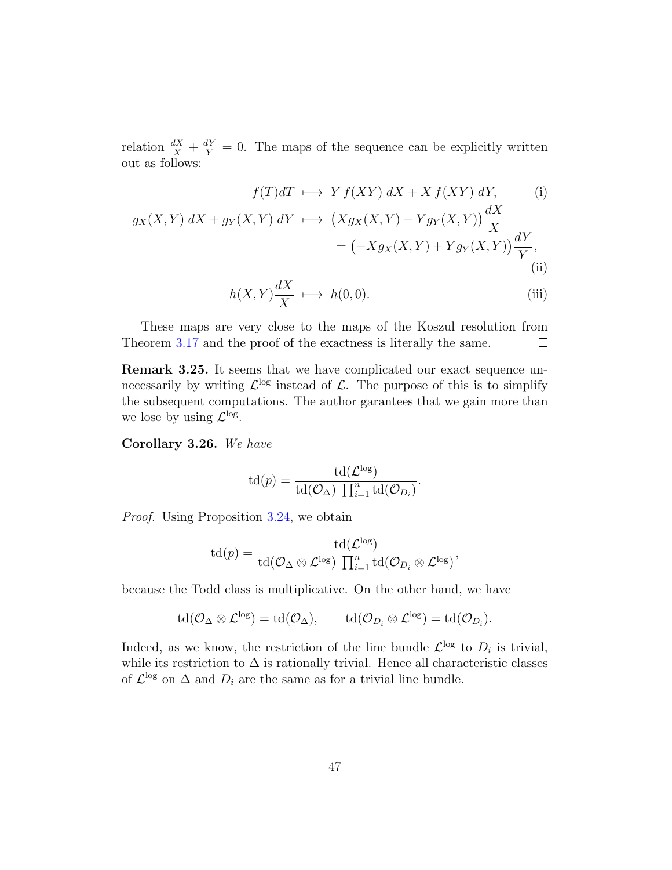relation  $\frac{dX}{X} + \frac{dY}{Y} = 0$ . The maps of the sequence can be explicitly written out as follows:

$$
f(T)dT \longmapsto Y f(XY) dX + X f(XY) dY,
$$
 (i)  

$$
g_X(X,Y) dX + g_Y(X,Y) dY \longmapsto (Xg_X(X,Y) - Yg_Y(X,Y)) \frac{dX}{X}
$$

$$
= (-Xg_X(X,Y) + Yg_Y(X,Y)) \frac{dY}{Y},
$$
 (ii)

$$
h(X,Y)\frac{dX}{X} \longrightarrow h(0,0). \tag{iii}
$$

.

These maps are very close to the maps of the Koszul resolution from Theorem [3.17](#page-41-0) and the proof of the exactness is literally the same.  $\Box$ 

Remark 3.25. It seems that we have complicated our exact sequence unnecessarily by writing  $\mathcal{L}^{\text{log}}$  instead of  $\mathcal{L}$ . The purpose of this is to simplify the subsequent computations. The author garantees that we gain more than we lose by using  $\mathcal{L}^{\log}$ .

<span id="page-46-0"></span>Corollary 3.26. We have

$$
\mathrm{td}(p) = \frac{\mathrm{td}(\mathcal{L}^{\mathrm{log}})}{\mathrm{td}(\mathcal{O}_{\Delta}) \prod_{i=1}^{n} \mathrm{td}(\mathcal{O}_{D_i})}
$$

Proof. Using Proposition [3.24,](#page-45-1) we obtain

$$
\mathrm{td}(p) = \frac{\mathrm{td}(\mathcal{L}^{\mathrm{log}})}{\mathrm{td}(\mathcal{O}_{\Delta}\otimes \mathcal{L}^{\mathrm{log}})\ \prod_{i=1}^n \mathrm{td}(\mathcal{O}_{D_i}\otimes \mathcal{L}^{\mathrm{log}})},
$$

because the Todd class is multiplicative. On the other hand, we have

$$
\operatorname{td}(\mathcal{O}_\Delta \otimes \mathcal{L}^{\log}) = \operatorname{td}(\mathcal{O}_\Delta), \quad \operatorname{td}(\mathcal{O}_{D_i} \otimes \mathcal{L}^{\log}) = \operatorname{td}(\mathcal{O}_{D_i}).
$$

Indeed, as we know, the restriction of the line bundle  $\mathcal{L}^{\log}$  to  $D_i$  is trivial, while its restriction to  $\Delta$  is rationally trivial. Hence all characteristic classes of  $\mathcal{L}^{\text{log}}$  on  $\Delta$  and  $D_i$  are the same as for a trivial line bundle.  $\Box$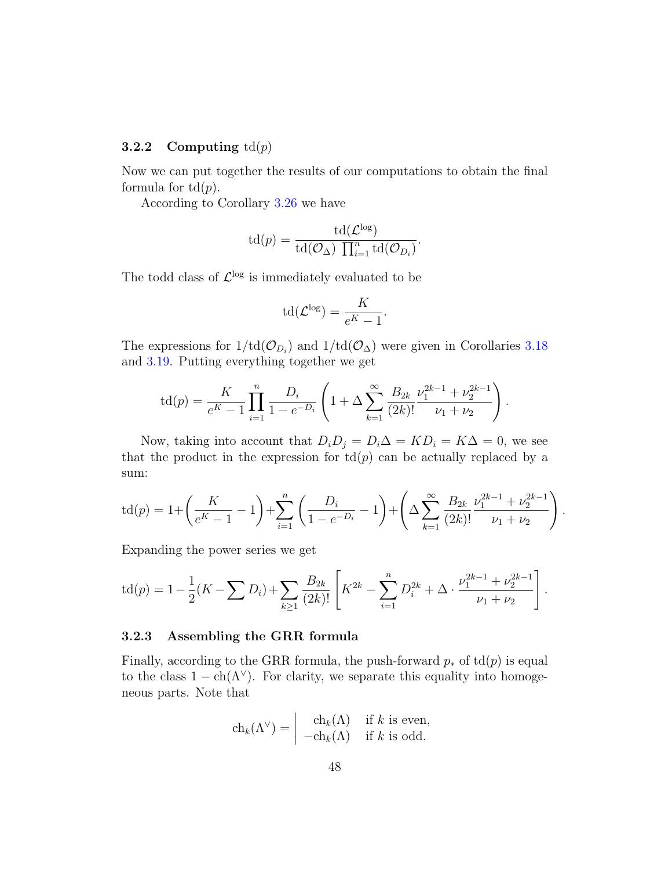#### <span id="page-47-0"></span>**3.2.2** Computing  $td(p)$

Now we can put together the results of our computations to obtain the final formula for  $td(p)$ .

According to Corollary [3.26](#page-46-0) we have

$$
\mathrm{td}(p) = \frac{\mathrm{td}(\mathcal{L}^{\mathrm{log}})}{\mathrm{td}(\mathcal{O}_{\Delta}) \prod_{i=1}^{n} \mathrm{td}(\mathcal{O}_{D_i})}.
$$

The todd class of  $\mathcal{L}^{\log}$  is immediately evaluated to be

$$
\mathrm{td}(\mathcal{L}^{\log}) = \frac{K}{e^K - 1}.
$$

The expressions for  $1/\text{td}(\mathcal{O}_{D_i})$  and  $1/\text{td}(\mathcal{O}_{\Delta})$  were given in Corollaries [3.18](#page-42-1) and [3.19.](#page-42-0) Putting everything together we get

$$
\operatorname{td}(p) = \frac{K}{e^{K} - 1} \prod_{i=1}^{n} \frac{D_i}{1 - e^{-D_i}} \left( 1 + \Delta \sum_{k=1}^{\infty} \frac{B_{2k}}{(2k)!} \frac{\nu_1^{2k-1} + \nu_2^{2k-1}}{\nu_1 + \nu_2} \right).
$$

Now, taking into account that  $D_iD_j = D_i\Delta = KD_i = K\Delta = 0$ , we see that the product in the expression for  $\text{td}(p)$  can be actually replaced by a sum:

$$
\operatorname{td}(p) = 1 + \left(\frac{K}{e^{K} - 1} - 1\right) + \sum_{i=1}^{n} \left(\frac{D_{i}}{1 - e^{-D_{i}}} - 1\right) + \left(\Delta \sum_{k=1}^{\infty} \frac{B_{2k}}{(2k)!} \frac{\nu_{1}^{2k-1} + \nu_{2}^{2k-1}}{\nu_{1} + \nu_{2}}\right).
$$

Expanding the power series we get

$$
\operatorname{td}(p) = 1 - \frac{1}{2}(K - \sum D_i) + \sum_{k \ge 1} \frac{B_{2k}}{(2k)!} \left[ K^{2k} - \sum_{i=1}^n D_i^{2k} + \Delta \cdot \frac{\nu_1^{2k-1} + \nu_2^{2k-1}}{\nu_1 + \nu_2} \right].
$$

#### <span id="page-47-1"></span>3.2.3 Assembling the GRR formula

Finally, according to the GRR formula, the push-forward  $p_*$  of td $(p)$  is equal to the class  $1 - \text{ch}(\Lambda^{\vee})$ . For clarity, we separate this equality into homogeneous parts. Note that

$$
\operatorname{ch}_k(\Lambda^\vee) = \begin{vmatrix} \operatorname{ch}_k(\Lambda) & \text{if } k \text{ is even,} \\ -\operatorname{ch}_k(\Lambda) & \text{if } k \text{ is odd.} \end{vmatrix}
$$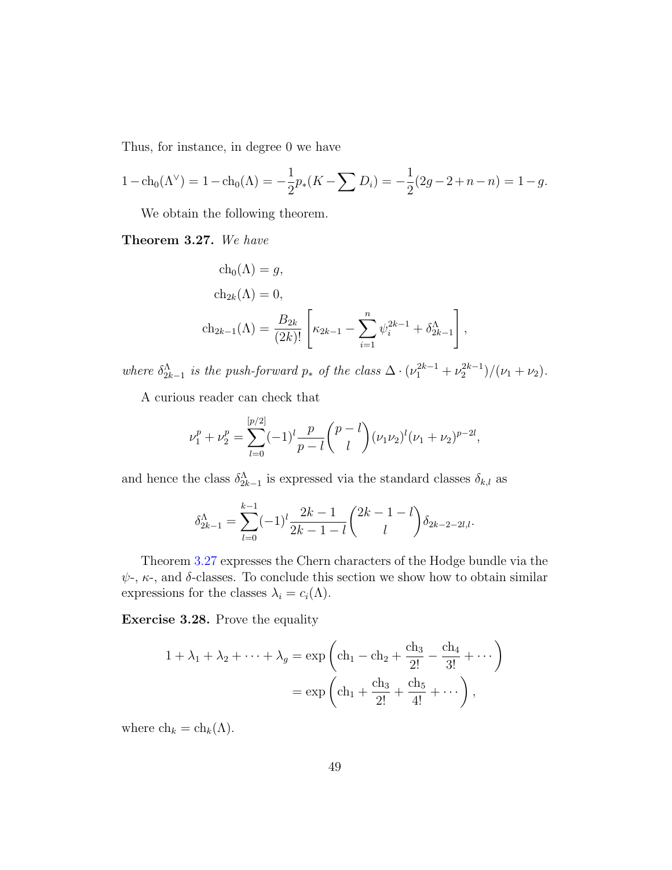Thus, for instance, in degree 0 we have

$$
1 - \mathrm{ch}_0(\Lambda^\vee) = 1 - \mathrm{ch}_0(\Lambda) = -\frac{1}{2}p_*(K - \sum D_i) = -\frac{1}{2}(2g - 2 + n - n) = 1 - g.
$$

We obtain the following theorem.

<span id="page-48-0"></span>Theorem 3.27. We have

$$
ch_0(\Lambda) = g,
$$
  
\n
$$
ch_{2k}(\Lambda) = 0,
$$
  
\n
$$
ch_{2k-1}(\Lambda) = \frac{B_{2k}}{(2k)!} \left[ \kappa_{2k-1} - \sum_{i=1}^n \psi_i^{2k-1} + \delta_{2k-1}^{\Lambda} \right],
$$

where  $\delta_{2k-1}^{\Lambda}$  is the push-forward  $p_*$  of the class  $\Delta \cdot (\nu_1^{2k-1} + \nu_2^{2k-1})/(\nu_1 + \nu_2)$ .

A curious reader can check that

$$
\nu_1^p + \nu_2^p = \sum_{l=0}^{[p/2]} (-1)^l \frac{p}{p-l} {p-l \choose l} (\nu_1 \nu_2)^l (\nu_1 + \nu_2)^{p-2l},
$$

and hence the class  $\delta_{2k-1}^{\Lambda}$  is expressed via the standard classes  $\delta_{k,l}$  as

$$
\delta_{2k-1}^{\Lambda} = \sum_{l=0}^{k-1} (-1)^l \frac{2k-1}{2k-1-l} {2k-1-l \choose l} \delta_{2k-2-2l,l}.
$$

Theorem [3.27](#page-48-0) expresses the Chern characters of the Hodge bundle via the  $\psi$ -,  $\kappa$ -, and  $\delta$ -classes. To conclude this section we show how to obtain similar expressions for the classes  $\lambda_i = c_i(\Lambda)$ .

Exercise 3.28. Prove the equality

$$
1 + \lambda_1 + \lambda_2 + \dots + \lambda_g = \exp\left( \text{ch}_1 - \text{ch}_2 + \frac{\text{ch}_3}{2!} - \frac{\text{ch}_4}{3!} + \dots \right)
$$
  
=  $\exp\left( \text{ch}_1 + \frac{\text{ch}_3}{2!} + \frac{\text{ch}_5}{4!} + \dots \right),$ 

where  $\ch_k = \ch_k(\Lambda)$ .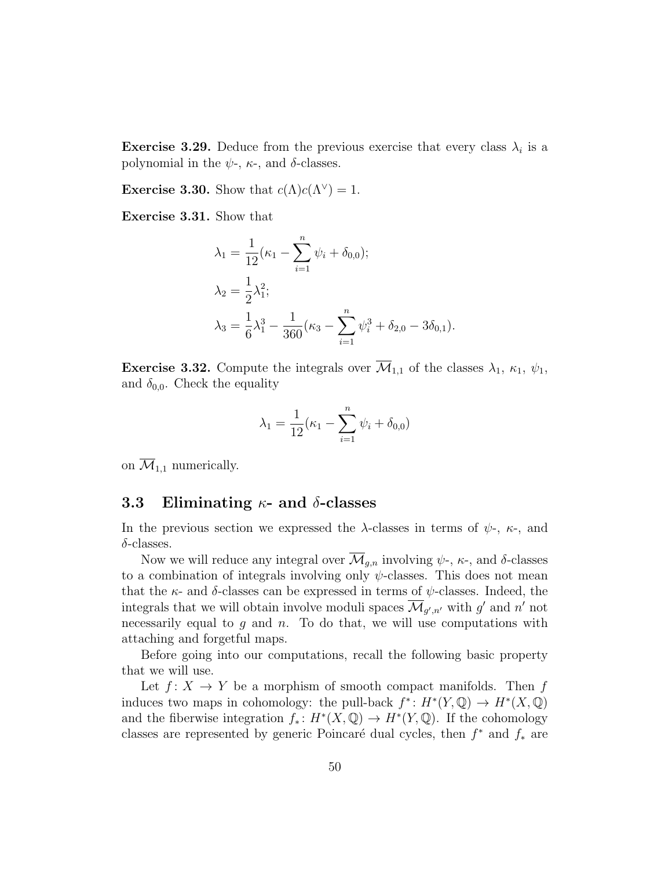**Exercise 3.29.** Deduce from the previous exercise that every class  $\lambda_i$  is a polynomial in the  $\psi$ -,  $\kappa$ -, and  $\delta$ -classes.

**Exercise 3.30.** Show that  $c(\Lambda)c(\Lambda^{\vee})=1$ .

Exercise 3.31. Show that

$$
\lambda_1 = \frac{1}{12} (\kappa_1 - \sum_{i=1}^n \psi_i + \delta_{0,0});
$$
  
\n
$$
\lambda_2 = \frac{1}{2} \lambda_1^2;
$$
  
\n
$$
\lambda_3 = \frac{1}{6} \lambda_1^3 - \frac{1}{360} (\kappa_3 - \sum_{i=1}^n \psi_i^3 + \delta_{2,0} - 3\delta_{0,1}).
$$

**Exercise 3.32.** Compute the integrals over  $\overline{\mathcal{M}}_{1,1}$  of the classes  $\lambda_1$ ,  $\kappa_1$ ,  $\psi_1$ , and  $\delta_{0,0}$ . Check the equality

$$
\lambda_1 = \frac{1}{12} (\kappa_1 - \sum_{i=1}^n \psi_i + \delta_{0,0})
$$

on  $\overline{\mathcal{M}}_{1,1}$  numerically.

## <span id="page-49-0"></span>3.3 Eliminating  $\kappa$ - and  $\delta$ -classes

In the previous section we expressed the  $\lambda$ -classes in terms of  $\psi$ -,  $\kappa$ -, and  $\delta$ -classes.

Now we will reduce any integral over  $\overline{\mathcal{M}}_{g,n}$  involving  $\psi$ -,  $\kappa$ -, and  $\delta$ -classes to a combination of integrals involving only  $\psi$ -classes. This does not mean that the  $\kappa$ - and  $\delta$ -classes can be expressed in terms of  $\psi$ -classes. Indeed, the integrals that we will obtain involve moduli spaces  $\overline{\mathcal{M}}_{g',n'}$  with  $g'$  and  $n'$  not necessarily equal to q and  $n$ . To do that, we will use computations with attaching and forgetful maps.

Before going into our computations, recall the following basic property that we will use.

Let  $f: X \to Y$  be a morphism of smooth compact manifolds. Then f induces two maps in cohomology: the pull-back  $f^*: H^*(Y, \mathbb{Q}) \to H^*(X, \mathbb{Q})$ and the fiberwise integration  $f_*: H^*(X, \mathbb{Q}) \to H^*(Y, \mathbb{Q})$ . If the cohomology classes are represented by generic Poincaré dual cycles, then  $f^*$  and  $f_*$  are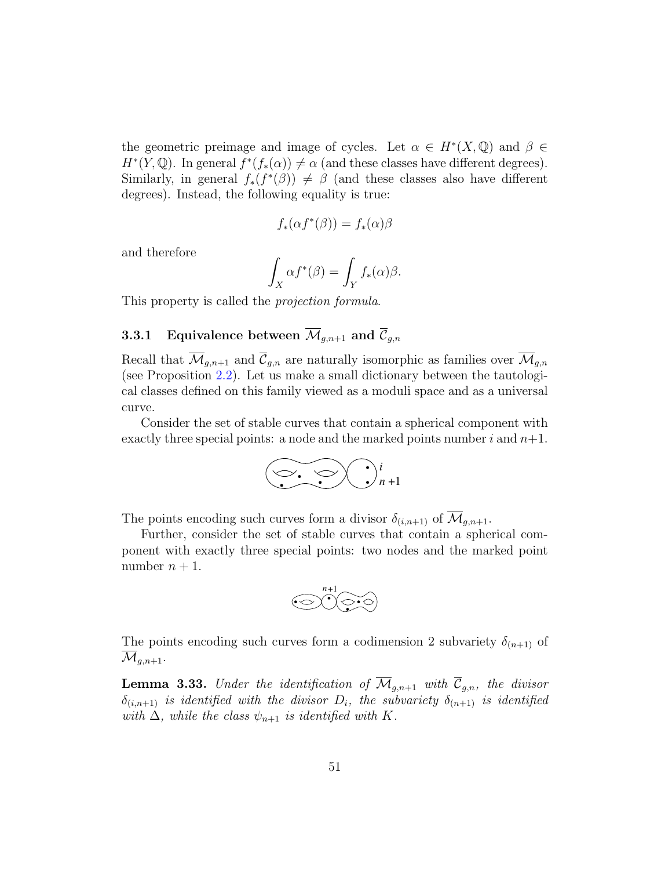the geometric preimage and image of cycles. Let  $\alpha \in H^*(X, \mathbb{Q})$  and  $\beta \in$  $H^*(Y, \mathbb{Q})$ . In general  $f^*(f_*(\alpha)) \neq \alpha$  (and these classes have different degrees). Similarly, in general  $f_*(f^*(\beta)) \neq \beta$  (and these classes also have different degrees). Instead, the following equality is true:

$$
f_*(\alpha f^*(\beta)) = f_*(\alpha)\beta
$$

and therefore

$$
\int_X \alpha f^*(\beta) = \int_Y f_*(\alpha)\beta.
$$

This property is called the projection formula.

# <span id="page-50-0"></span>**3.3.1** Equivalence between  $\overline{\mathcal{M}}_{g,n+1}$  and  $\overline{\mathcal{C}}_{g,n}$

Recall that  $\overline{\mathcal{M}}_{g,n+1}$  and  $\overline{\mathcal{C}}_{g,n}$  are naturally isomorphic as families over  $\overline{\mathcal{M}}_{g,n}$ (see Proposition [2.2\)](#page-21-0). Let us make a small dictionary between the tautological classes defined on this family viewed as a moduli space and as a universal curve.

Consider the set of stable curves that contain a spherical component with exactly three special points: a node and the marked points number i and  $n+1$ .



The points encoding such curves form a divisor  $\delta_{(i,n+1)}$  of  $\overline{\mathcal{M}}_{q,n+1}$ .

Further, consider the set of stable curves that contain a spherical component with exactly three special points: two nodes and the marked point number  $n + 1$ .



The points encoding such curves form a codimension 2 subvariety  $\delta_{(n+1)}$  of  $\mathcal{M}_{q,n+1}.$ 

<span id="page-50-1"></span>**Lemma 3.33.** Under the identification of  $\overline{\mathcal{M}}_{g,n+1}$  with  $\overline{\mathcal{C}}_{g,n}$ , the divisor  $\delta_{(i,n+1)}$  is identified with the divisor  $D_i$ , the subvariety  $\delta_{(n+1)}$  is identified with  $\Delta$ , while the class  $\psi_{n+1}$  is identified with K.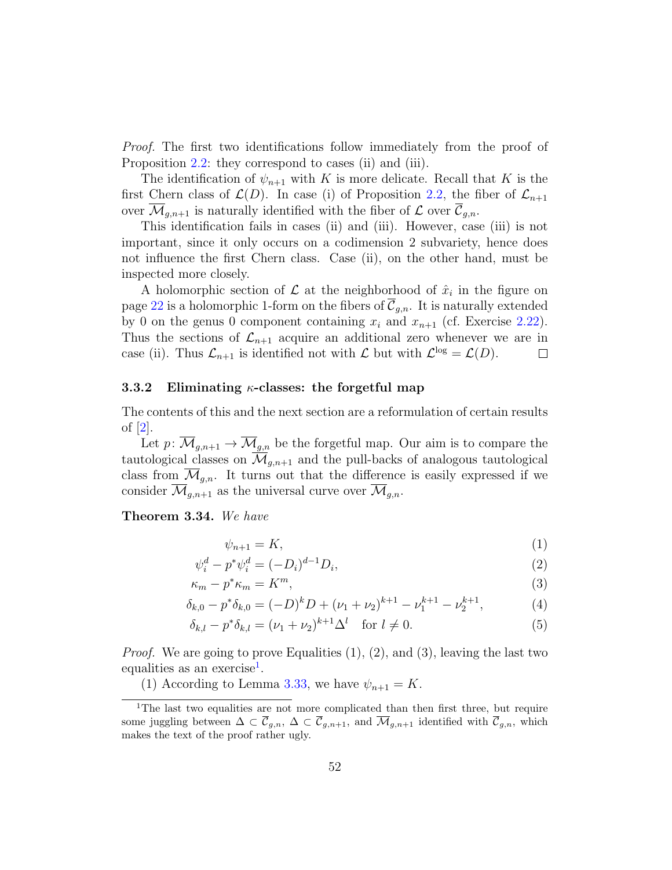<span id="page-51-3"></span>Proof. The first two identifications follow immediately from the proof of Proposition [2.2:](#page-21-0) they correspond to cases (ii) and (iii).

The identification of  $\psi_{n+1}$  with K is more delicate. Recall that K is the first Chern class of  $\mathcal{L}(D)$ . In case (i) of Proposition [2.2,](#page-21-0) the fiber of  $\mathcal{L}_{n+1}$ over  $\mathcal{M}_{q,n+1}$  is naturally identified with the fiber of  $\mathcal L$  over  $\mathcal C_{q,n}$ .

This identification fails in cases (ii) and (iii). However, case (iii) is not important, since it only occurs on a codimension 2 subvariety, hence does not influence the first Chern class. Case (ii), on the other hand, must be inspected more closely.

A holomorphic section of  $\mathcal L$  at the neighborhood of  $\hat x_i$  in the figure on page [22](#page-21-0) is a holomorphic 1-form on the fibers of  $\overline{\mathcal{C}}_{g,n}$ . It is naturally extended by 0 on the genus 0 component containing  $x_i$  and  $x_{n+1}$  (cf. Exercise [2.22\)](#page-28-2). Thus the sections of  $\mathcal{L}_{n+1}$  acquire an additional zero whenever we are in case (ii). Thus  $\mathcal{L}_{n+1}$  is identified not with  $\mathcal{L}$  but with  $\mathcal{L}^{\text{log}} = \mathcal{L}(D)$ .  $\Box$ 

#### <span id="page-51-0"></span>3.3.2 Eliminating  $\kappa$ -classes: the forgetful map

The contents of this and the next section are a reformulation of certain results of [\[2\]](#page-62-8).

Let  $p: \overline{\mathcal{M}}_{g,n+1} \to \overline{\mathcal{M}}_{g,n}$  be the forgetful map. Our aim is to compare the tautological classes on  $\overline{\mathcal{M}}_{g,n+1}$  and the pull-backs of analogous tautological class from  $\mathcal{M}_{q,n}$ . It turns out that the difference is easily expressed if we consider  $\mathcal{M}_{g,n+1}$  as the universal curve over  $\mathcal{M}_{g,n}$ .

<span id="page-51-2"></span>Theorem 3.34. We have

$$
\psi_{n+1} = K,\tag{1}
$$

$$
\psi_i^d - p^* \psi_i^d = (-D_i)^{d-1} D_i,\tag{2}
$$

$$
\kappa_m - p^* \kappa_m = K^m,\tag{3}
$$

$$
\delta_{k,0} - p^* \delta_{k,0} = (-D)^k D + (\nu_1 + \nu_2)^{k+1} - \nu_1^{k+1} - \nu_2^{k+1},\tag{4}
$$

$$
\delta_{k,l} - p^* \delta_{k,l} = (\nu_1 + \nu_2)^{k+1} \Delta^l \quad \text{for } l \neq 0.
$$
\n
$$
(5)
$$

*Proof.* We are going to prove Equalities  $(1), (2),$  and  $(3),$  leaving the last two equalities as an exercise<sup>[1](#page-51-1)</sup>.

<span id="page-51-1"></span>(1) According to Lemma [3.33,](#page-50-1) we have  $\psi_{n+1} = K$ .

<sup>&</sup>lt;sup>1</sup>The last two equalities are not more complicated than then first three, but require some juggling between  $\Delta \subset \overline{\mathcal{C}}_{g,n}$ ,  $\Delta \subset \overline{\mathcal{C}}_{g,n+1}$ , and  $\overline{\mathcal{M}}_{g,n+1}$  identified with  $\overline{\mathcal{C}}_{g,n}$ , which makes the text of the proof rather ugly.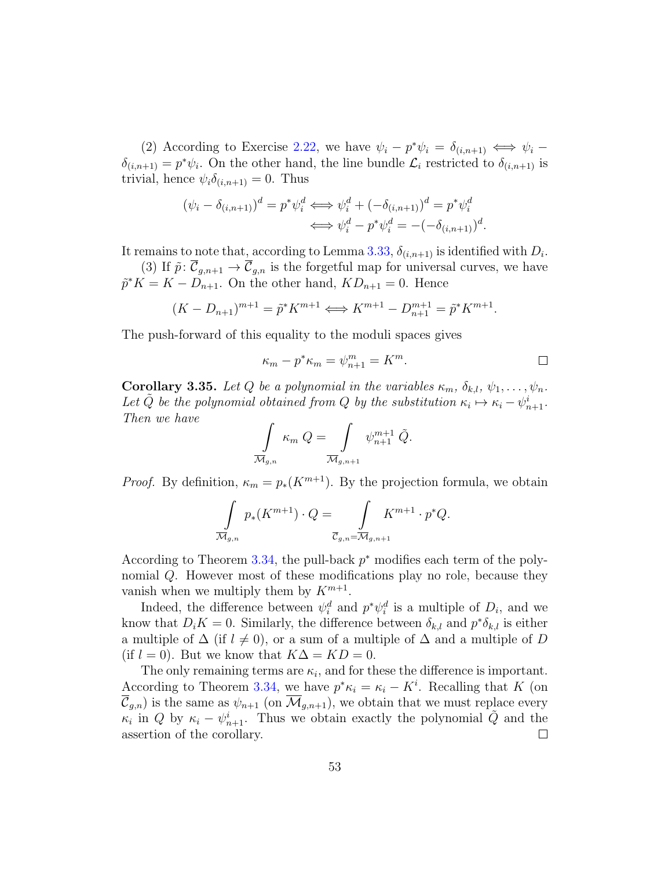(2) According to Exercise [2.22,](#page-28-2) we have  $\psi_i - p^* \psi_i = \delta_{(i,n+1)} \iff \psi_i - p^* \psi_i$  $\delta_{(i,n+1)} = p^* \psi_i$ . On the other hand, the line bundle  $\mathcal{L}_i$  restricted to  $\delta_{(i,n+1)}$  is trivial, hence  $\psi_i \delta_{(i,n+1)} = 0$ . Thus

$$
(\psi_i - \delta_{(i,n+1)})^d = p^* \psi_i^d \iff \psi_i^d + (-\delta_{(i,n+1)})^d = p^* \psi_i^d
$$
  

$$
\iff \psi_i^d - p^* \psi_i^d = -(-\delta_{(i,n+1)})^d.
$$

It remains to note that, according to Lemma [3.33,](#page-50-1)  $\delta_{(i,n+1)}$  is identified with  $D_i$ .

(3) If  $\tilde{p}$ :  $\overline{\mathcal{C}}_{g,n+1} \to \overline{\mathcal{C}}_{g,n}$  is the forgetful map for universal curves, we have  $\tilde{p}^*K = K - D_{n+1}$ . On the other hand,  $KD_{n+1} = 0$ . Hence

$$
(K - D_{n+1})^{m+1} = \tilde{p}^* K^{m+1} \Longleftrightarrow K^{m+1} - D_{n+1}^{m+1} = \tilde{p}^* K^{m+1}.
$$

The push-forward of this equality to the moduli spaces gives

$$
\kappa_m - p^* \kappa_m = \psi_{n+1}^m = K^m.
$$

<span id="page-52-0"></span>**Corollary 3.35.** Let Q be a polynomial in the variables  $\kappa_m$ ,  $\delta_{k,l}$ ,  $\psi_1, \ldots, \psi_n$ . Let  $\tilde{Q}$  be the polynomial obtained from Q by the substitution  $\kappa_i \mapsto \kappa_i - \psi_{n+1}^i$ . Then we have

$$
\int\limits_{\overline{\mathcal{M}}_{g,n}} \kappa_m Q = \int\limits_{\overline{\mathcal{M}}_{g,n+1}} \psi_{n+1}^{m+1} \tilde{Q}.
$$

*Proof.* By definition,  $\kappa_m = p_*(K^{m+1})$ . By the projection formula, we obtain

$$
\int\limits_{\overline{\mathcal{M}}_{g,n}} p_*(K^{m+1}) \cdot Q = \int\limits_{\overline{\mathcal{C}}_{g,n} = \overline{\mathcal{M}}_{g,n+1}} K^{m+1} \cdot p^* Q.
$$

According to Theorem [3.34,](#page-51-2) the pull-back  $p^*$  modifies each term of the polynomial Q. However most of these modifications play no role, because they vanish when we multiply them by  $K^{m+1}$ .

Indeed, the difference between  $\psi_i^d$  and  $p^*\psi_i^d$  is a multiple of  $D_i$ , and we know that  $D_i K = 0$ . Similarly, the difference between  $\delta_{k,l}$  and  $p^* \delta_{k,l}$  is either a multiple of  $\Delta$  (if  $l \neq 0$ ), or a sum of a multiple of  $\Delta$  and a multiple of D (if  $l = 0$ ). But we know that  $K\Delta = KD = 0$ .

The only remaining terms are  $\kappa_i$ , and for these the difference is important. According to Theorem [3.34,](#page-51-2) we have  $p^*\kappa_i = \kappa_i - K^i$ . Recalling that K (on  $\overline{\mathcal{C}}_{g,n}$  is the same as  $\psi_{n+1}$  (on  $\overline{\mathcal{M}}_{g,n+1}$ ), we obtain that we must replace every  $\kappa_i$  in Q by  $\kappa_i - \psi_{n+1}^i$ . Thus we obtain exactly the polynomial  $\tilde{Q}$  and the assertion of the corollary.  $\Box$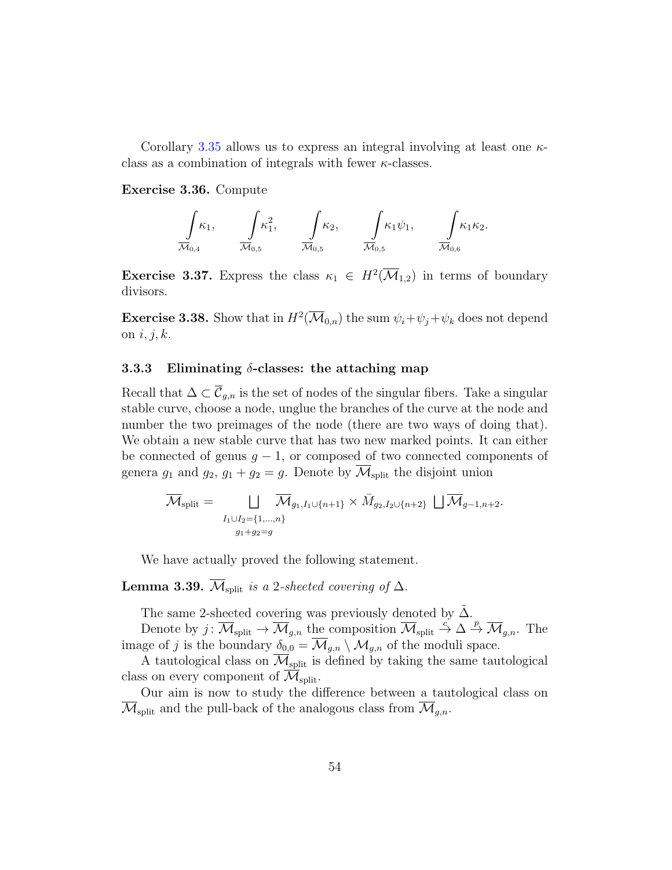Corollary [3.35](#page-52-0) allows us to express an integral involving at least one  $\kappa$ class as a combination of integrals with fewer  $\kappa$ -classes.

#### Exercise 3.36. Compute

$$
\int_{\overline{\mathcal{M}}_{0,4}} \kappa_1, \qquad \int_{\overline{\mathcal{M}}_{0,5}} \kappa_1^2, \qquad \int_{\overline{\mathcal{M}}_{0,5}} \kappa_2, \qquad \int_{\overline{\mathcal{M}}_{0,5}} \kappa_1 \psi_1, \qquad \int_{\overline{\mathcal{M}}_{0,6}} \kappa_1 \kappa_2.
$$

**Exercise 3.37.** Express the class  $\kappa_1 \in H^2(\overline{\mathcal{M}}_{1,2})$  in terms of boundary divisors.

**Exercise 3.38.** Show that in  $H^2(\overline{\mathcal{M}}_{0,n})$  the sum  $\psi_i + \psi_j + \psi_k$  does not depend on  $i, j, k$ .

#### <span id="page-53-0"></span>3.3.3 Eliminating  $\delta$ -classes: the attaching map

Recall that  $\Delta \subset \overline{\mathcal{C}}_{g,n}$  is the set of nodes of the singular fibers. Take a singular stable curve, choose a node, unglue the branches of the curve at the node and number the two preimages of the node (there are two ways of doing that). We obtain a new stable curve that has two new marked points. It can either be connected of genus  $g - 1$ , or composed of two connected components of genera  $g_1$  and  $g_2$ ,  $g_1 + g_2 = g$ . Denote by  $\overline{\mathcal{M}}_{split}$  the disjoint union

$$
\overline{\mathcal{M}}_{split} = \bigcup_{\substack{I_1 \cup I_2 = \{1,\ldots,n\} \\ g_1 + g_2 = g}} \overline{\mathcal{M}}_{g_1, I_1 \cup \{n+1\}} \times \overline{M}_{g_2, I_2 \cup \{n+2\}} \sqcup \overline{\mathcal{M}}_{g-1, n+2}.
$$

We have actually proved the following statement.

## **Lemma 3.39.**  $\overline{\mathcal{M}}_{\text{split}}$  is a 2-sheeted covering of  $\Delta$ .

The same 2-sheeted covering was previously denoted by  $\tilde{\Delta}$ .

Denote by  $j: \overline{\mathcal{M}}_{split} \to \overline{\mathcal{M}}_{g,n}$  the composition  $\overline{\mathcal{M}}_{split} \stackrel{c}{\to} \Delta \stackrel{p}{\to} \overline{\mathcal{M}}_{g,n}$ . The image of j is the boundary  $\delta_{0,0} = \overline{\mathcal{M}}_{g,n} \setminus \mathcal{M}_{g,n}$  of the moduli space.

A tautological class on  $\overline{\mathcal{M}}_{\text{split}}$  is defined by taking the same tautological class on every component of  $\mathcal{M}_{\text{split}}$ .

Our aim is now to study the difference between a tautological class on  $\overline{\mathcal{M}}_{\text{split}}$  and the pull-back of the analogous class from  $\overline{\mathcal{M}}_{q,n}$ .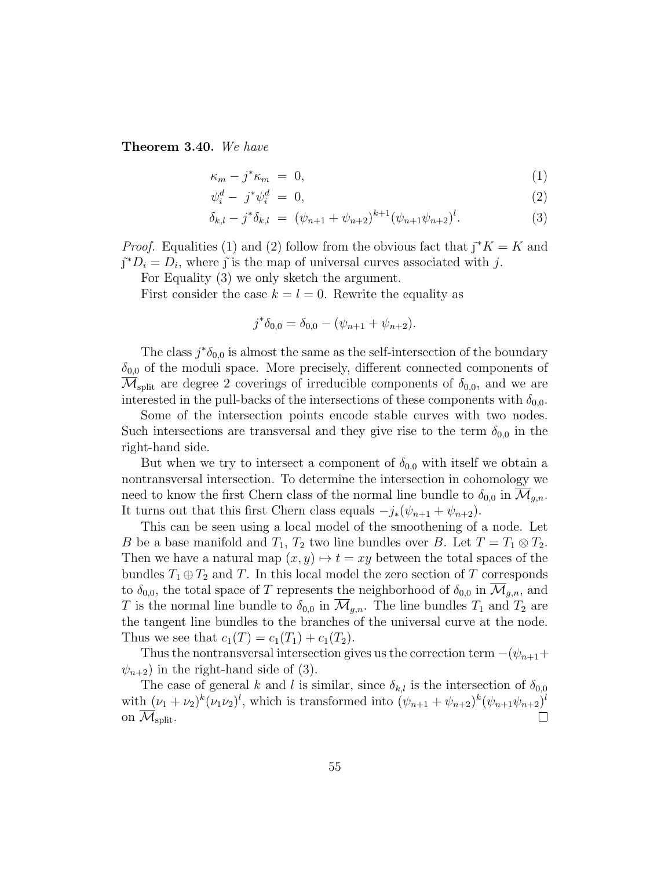<span id="page-54-0"></span>Theorem 3.40. We have

$$
\kappa_m - j^* \kappa_m = 0, \tag{1}
$$

$$
\psi_i^d - j^* \psi_i^d = 0,\tag{2}
$$

$$
\delta_{k,l} - j^* \delta_{k,l} = (\psi_{n+1} + \psi_{n+2})^{k+1} (\psi_{n+1} \psi_{n+2})^l.
$$
 (3)

*Proof.* Equalities (1) and (2) follow from the obvious fact that  $\tilde{j}^*K = K$  and  $\tilde{\jmath}^*D_i = D_i$ , where  $\tilde{\jmath}$  is the map of universal curves associated with j.

For Equality (3) we only sketch the argument.

First consider the case  $k = l = 0$ . Rewrite the equality as

$$
j^*\delta_{0,0} = \delta_{0,0} - (\psi_{n+1} + \psi_{n+2}).
$$

The class  $j^*\delta_{0,0}$  is almost the same as the self-intersection of the boundary  $\delta_{0,0}$  of the moduli space. More precisely, different connected components of  $\mathcal{M}_{split}$  are degree 2 coverings of irreducible components of  $\delta_{0,0}$ , and we are interested in the pull-backs of the intersections of these components with  $\delta_{0,0}$ .

Some of the intersection points encode stable curves with two nodes. Such intersections are transversal and they give rise to the term  $\delta_{0,0}$  in the right-hand side.

But when we try to intersect a component of  $\delta_{0,0}$  with itself we obtain a nontransversal intersection. To determine the intersection in cohomology we need to know the first Chern class of the normal line bundle to  $\delta_{0,0}$  in  $\mathcal{M}_{q,n}$ . It turns out that this first Chern class equals  $-j_*(\psi_{n+1} + \psi_{n+2})$ .

This can be seen using a local model of the smoothening of a node. Let B be a base manifold and  $T_1$ ,  $T_2$  two line bundles over B. Let  $T = T_1 \otimes T_2$ . Then we have a natural map  $(x, y) \mapsto t = xy$  between the total spaces of the bundles  $T_1 \oplus T_2$  and T. In this local model the zero section of T corresponds to  $\delta_{0,0}$ , the total space of T represents the neighborhood of  $\delta_{0,0}$  in  $\mathcal{M}_{g,n}$ , and T is the normal line bundle to  $\delta_{0,0}$  in  $\mathcal{M}_{q,n}$ . The line bundles  $T_1$  and  $T_2$  are the tangent line bundles to the branches of the universal curve at the node. Thus we see that  $c_1(T) = c_1(T_1) + c_1(T_2)$ .

Thus the nontransversal intersection gives us the correction term  $-(\psi_{n+1}+$  $\psi_{n+2}$ ) in the right-hand side of (3).

The case of general k and l is similar, since  $\delta_{k,l}$  is the intersection of  $\delta_{0,0}$ with  $(\nu_1 + \nu_2)^k (\nu_1 \nu_2)^l$ , which is transformed into  $(\psi_{n+1} + \psi_{n+2})^k (\psi_{n+1} \psi_{n+2})^l$ on  $\mathcal{M}_{\text{split}}$ .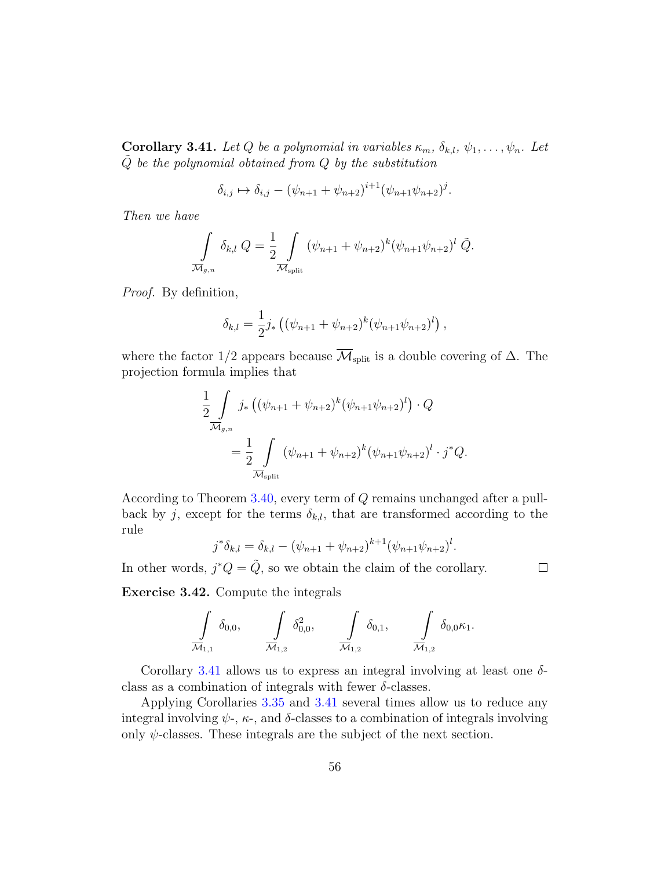<span id="page-55-0"></span>**Corollary 3.41.** Let Q be a polynomial in variables  $\kappa_m$ ,  $\delta_{k,l}$ ,  $\psi_1, \ldots, \psi_n$ . Let  $\tilde{Q}$  be the polynomial obtained from  $Q$  by the substitution

$$
\delta_{i,j} \mapsto \delta_{i,j} - (\psi_{n+1} + \psi_{n+2})^{i+1} (\psi_{n+1} \psi_{n+2})^j.
$$

Then we have

$$
\int_{\overline{\mathcal{M}}_{g,n}} \delta_{k,l} Q = \frac{1}{2} \int_{\overline{\mathcal{M}}_{\text{split}}} (\psi_{n+1} + \psi_{n+2})^k (\psi_{n+1} \psi_{n+2})^l \tilde{Q}.
$$

Proof. By definition,

$$
\delta_{k,l} = \frac{1}{2} j_* \left( (\psi_{n+1} + \psi_{n+2})^k (\psi_{n+1} \psi_{n+2})^l \right),
$$

where the factor 1/2 appears because  $\overline{\mathcal{M}}_{split}$  is a double covering of  $\Delta$ . The projection formula implies that

$$
\frac{1}{2} \int_{\overline{\mathcal{M}}_{g,n}} j_* \left( (\psi_{n+1} + \psi_{n+2})^k (\psi_{n+1} \psi_{n+2})^l \right) \cdot Q
$$
\n
$$
= \frac{1}{2} \int_{\overline{\mathcal{M}}_{\text{split}}} (\psi_{n+1} + \psi_{n+2})^k (\psi_{n+1} \psi_{n+2})^l \cdot j^* Q.
$$

According to Theorem [3.40,](#page-54-0) every term of Q remains unchanged after a pullback by j, except for the terms  $\delta_{k,l}$ , that are transformed according to the rule

$$
j^*\delta_{k,l} = \delta_{k,l} - (\psi_{n+1} + \psi_{n+2})^{k+1} (\psi_{n+1}\psi_{n+2})^l.
$$

 $\Box$ 

In other words,  $j^*Q = \tilde{Q}$ , so we obtain the claim of the corollary.

Exercise 3.42. Compute the integrals

$$
\int_{\overline{\mathcal{M}}_{1,1}} \delta_{0,0}, \qquad \int_{\overline{\mathcal{M}}_{1,2}} \delta_{0,0}^2, \qquad \int_{\overline{\mathcal{M}}_{1,2}} \delta_{0,1}, \qquad \int_{\overline{\mathcal{M}}_{1,2}} \delta_{0,0} \kappa_1.
$$

Corollary [3.41](#page-55-0) allows us to express an integral involving at least one  $\delta$ class as a combination of integrals with fewer  $\delta$ -classes.

Applying Corollaries [3.35](#page-52-0) and [3.41](#page-55-0) several times allow us to reduce any integral involving  $\psi$ -,  $\kappa$ -, and  $\delta$ -classes to a combination of integrals involving only  $\psi$ -classes. These integrals are the subject of the next section.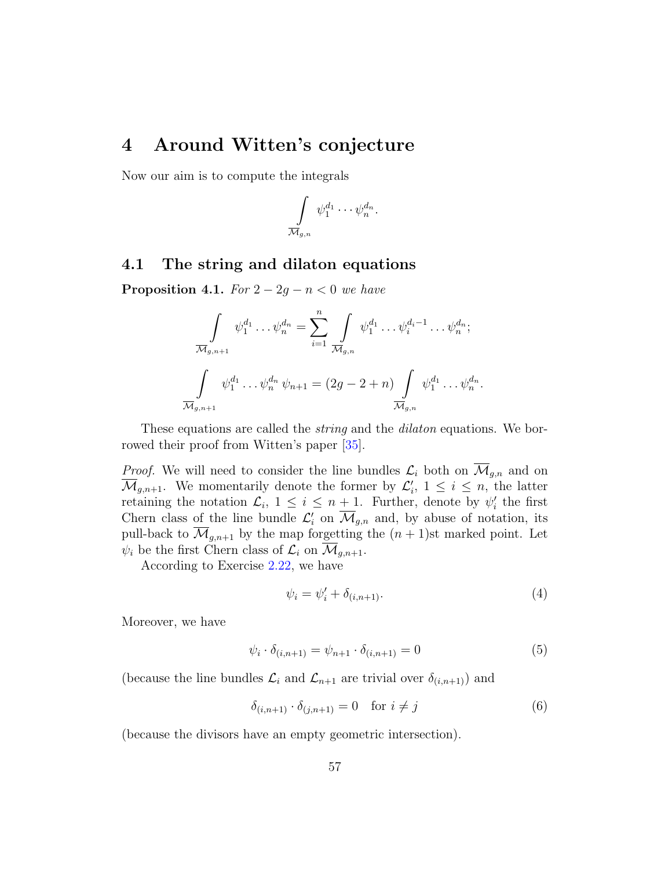## <span id="page-56-2"></span><span id="page-56-0"></span>4 Around Witten's conjecture

Now our aim is to compute the integrals

$$
\int\limits_{\overline{\mathcal{M}}_{g,n}}\psi_1^{d_1}\cdots \psi_n^{d_n}
$$

.

## <span id="page-56-1"></span>4.1 The string and dilaton equations

**Proposition 4.1.** For  $2 - 2g - n < 0$  we have

$$
\int_{\overline{\mathcal{M}}_{g,n+1}} \psi_1^{d_1} \dots \psi_n^{d_n} = \sum_{i=1}^n \int_{\overline{\mathcal{M}}_{g,n}} \psi_1^{d_1} \dots \psi_i^{d_i-1} \dots \psi_n^{d_n};
$$
  

$$
\int_{\overline{\mathcal{M}}_{g,n+1}} \psi_1^{d_1} \dots \psi_n^{d_n} \psi_{n+1} = (2g - 2 + n) \int_{\overline{\mathcal{M}}_{g,n}} \psi_1^{d_1} \dots \psi_n^{d_n}.
$$

These equations are called the *string* and the *dilaton* equations. We borrowed their proof from Witten's paper [\[35\]](#page-64-6).

*Proof.* We will need to consider the line bundles  $\mathcal{L}_i$  both on  $\overline{\mathcal{M}}_{g,n}$  and on  $\overline{\mathcal{M}}_{g,n+1}$ . We momentarily denote the former by  $\mathcal{L}'_i$ ,  $1 \leq i \leq n$ , the latter retaining the notation  $\mathcal{L}_i$ ,  $1 \leq i \leq n+1$ . Further, denote by  $\psi'_i$  the first Chern class of the line bundle  $\mathcal{L}'_i$  on  $\overline{\mathcal{M}}_{g,n}$  and, by abuse of notation, its pull-back to  $\overline{\mathcal{M}}_{g,n+1}$  by the map forgetting the  $(n + 1)$ st marked point. Let  $\psi_i$  be the first Chern class of  $\mathcal{L}_i$  on  $\overline{\mathcal{M}}_{g,n+1}$ .

According to Exercise [2.22,](#page-28-2) we have

$$
\psi_i = \psi'_i + \delta_{(i, n+1)}.\tag{4}
$$

Moreover, we have

$$
\psi_i \cdot \delta_{(i,n+1)} = \psi_{n+1} \cdot \delta_{(i,n+1)} = 0 \tag{5}
$$

(because the line bundles  $\mathcal{L}_i$  and  $\mathcal{L}_{n+1}$  are trivial over  $\delta_{(i,n+1)}$ ) and

$$
\delta_{(i,n+1)} \cdot \delta_{(j,n+1)} = 0 \quad \text{for } i \neq j \tag{6}
$$

(because the divisors have an empty geometric intersection).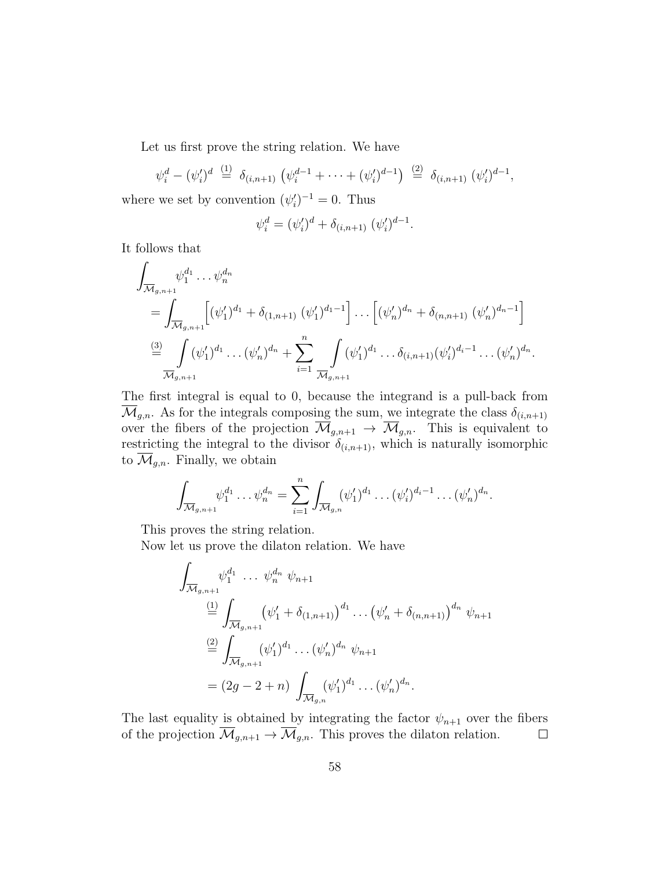Let us first prove the string relation. We have

$$
\psi_i^d - (\psi_i')^d \stackrel{(1)}{=} \delta_{(i,n+1)} (\psi_i^{d-1} + \cdots + (\psi_i')^{d-1}) \stackrel{(2)}{=} \delta_{(i,n+1)} (\psi_i')^{d-1},
$$

where we set by convention  $(\psi_i')^{-1} = 0$ . Thus

$$
\psi_i^d = (\psi_i')^d + \delta_{(i, n+1)} (\psi_i')^{d-1}.
$$

It follows that

$$
\int_{\overline{\mathcal{M}}_{g,n+1}} \psi_1^{d_1} \dots \psi_n^{d_n} = \int_{\overline{\mathcal{M}}_{g,n+1}} \left[ (\psi_1')^{d_1} + \delta_{(1,n+1)} (\psi_1')^{d_1-1} \right] \dots \left[ (\psi_n')^{d_n} + \delta_{(n,n+1)} (\psi_n')^{d_n-1} \right]
$$
\n
$$
\stackrel{\text{(3)}}{=} \int_{\overline{\mathcal{M}}_{g,n+1}} (\psi_1')^{d_1} \dots (\psi_n')^{d_n} + \sum_{i=1}^n \int_{\overline{\mathcal{M}}_{g,n+1}} (\psi_1')^{d_1} \dots \delta_{(i,n+1)} (\psi_i')^{d_i-1} \dots (\psi_n')^{d_n}.
$$

The first integral is equal to 0, because the integrand is a pull-back from  $\mathcal{M}_{g,n}$ . As for the integrals composing the sum, we integrate the class  $\delta_{(i,n+1)}$ over the fibers of the projection  $\overline{\mathcal{M}}_{g,n+1} \to \overline{\mathcal{M}}_{g,n}$ . This is equivalent to restricting the integral to the divisor  $\delta_{(i,n+1)}$ , which is naturally isomorphic to  $\overline{\mathcal{M}}_{g,n}$ . Finally, we obtain

$$
\int_{\overline{\mathcal{M}}_{g,n+1}} \psi_1^{d_1} \dots \psi_n^{d_n} = \sum_{i=1}^n \int_{\overline{\mathcal{M}}_{g,n}} (\psi_1')^{d_1} \dots (\psi_i')^{d_i-1} \dots (\psi_n')^{d_n}.
$$

This proves the string relation.

Now let us prove the dilaton relation. We have

$$
\int_{\overline{\mathcal{M}}_{g,n+1}} \psi_1^{d_1} \cdots \psi_n^{d_n} \psi_{n+1}
$$
\n
$$
\stackrel{(1)}{=} \int_{\overline{\mathcal{M}}_{g,n+1}} (\psi_1' + \delta_{(1,n+1)})^{d_1} \cdots (\psi_n' + \delta_{(n,n+1)})^{d_n} \psi_{n+1}
$$
\n
$$
\stackrel{(2)}{=} \int_{\overline{\mathcal{M}}_{g,n+1}} (\psi_1')^{d_1} \cdots (\psi_n')^{d_n} \psi_{n+1}
$$
\n
$$
= (2g - 2 + n) \int_{\overline{\mathcal{M}}_{g,n}} (\psi_1')^{d_1} \cdots (\psi_n')^{d_n}.
$$

The last equality is obtained by integrating the factor  $\psi_{n+1}$  over the fibers of the projection  $\overline{\mathcal{M}}_{g,n+1} \to \overline{\mathcal{M}}_{g,n}$ . This proves the dilaton relation.  $\Box$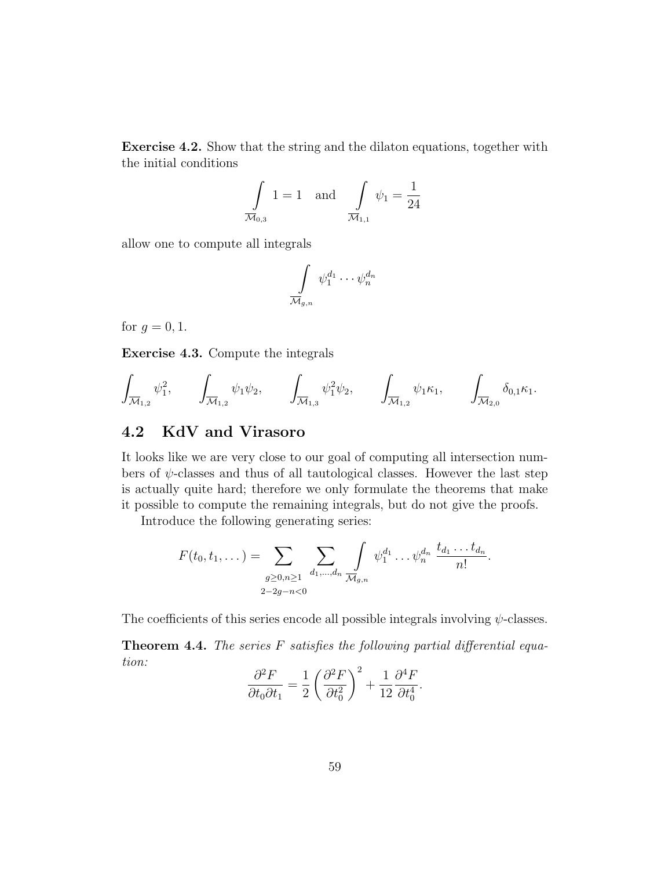Exercise 4.2. Show that the string and the dilaton equations, together with the initial conditions

$$
\int_{\overline{\mathcal{M}}_{0,3}} 1 = 1 \text{ and } \int_{\overline{\mathcal{M}}_{1,1}} \psi_1 = \frac{1}{24}
$$

allow one to compute all integrals

$$
\int\limits_{\overline{\mathcal{M}}_{g,n}} \psi_1^{d_1} \cdots \psi_n^{d_n}
$$

for  $q=0,1$ .

Exercise 4.3. Compute the integrals

$$
\int_{\overline{\mathcal{M}}_{1,2}} \psi_1^2, \qquad \int_{\overline{\mathcal{M}}_{1,2}} \psi_1 \psi_2, \qquad \int_{\overline{\mathcal{M}}_{1,3}} \psi_1^2 \psi_2, \qquad \int_{\overline{\mathcal{M}}_{1,2}} \psi_1 \kappa_1, \qquad \int_{\overline{\mathcal{M}}_{2,0}} \delta_{0,1} \kappa_1.
$$

## <span id="page-58-0"></span>4.2 KdV and Virasoro

It looks like we are very close to our goal of computing all intersection numbers of  $\psi$ -classes and thus of all tautological classes. However the last step is actually quite hard; therefore we only formulate the theorems that make it possible to compute the remaining integrals, but do not give the proofs.

Introduce the following generating series:

$$
F(t_0, t_1, \dots) = \sum_{\substack{g \ge 0, n \ge 1 \\ 2-2g-n < 0}} \sum_{d_1, \dots, d_n} \int_{\overline{\mathcal{M}}_{g,n}} \psi_1^{d_1} \dots \psi_n^{d_n} \frac{t_{d_1} \dots t_{d_n}}{n!}.
$$

The coefficients of this series encode all possible integrals involving  $\psi$ -classes.

<span id="page-58-1"></span>**Theorem 4.4.** The series  $F$  satisfies the following partial differential equation:

$$
\frac{\partial^2 F}{\partial t_0 \partial t_1} = \frac{1}{2} \left( \frac{\partial^2 F}{\partial t_0^2} \right)^2 + \frac{1}{12} \frac{\partial^4 F}{\partial t_0^4}.
$$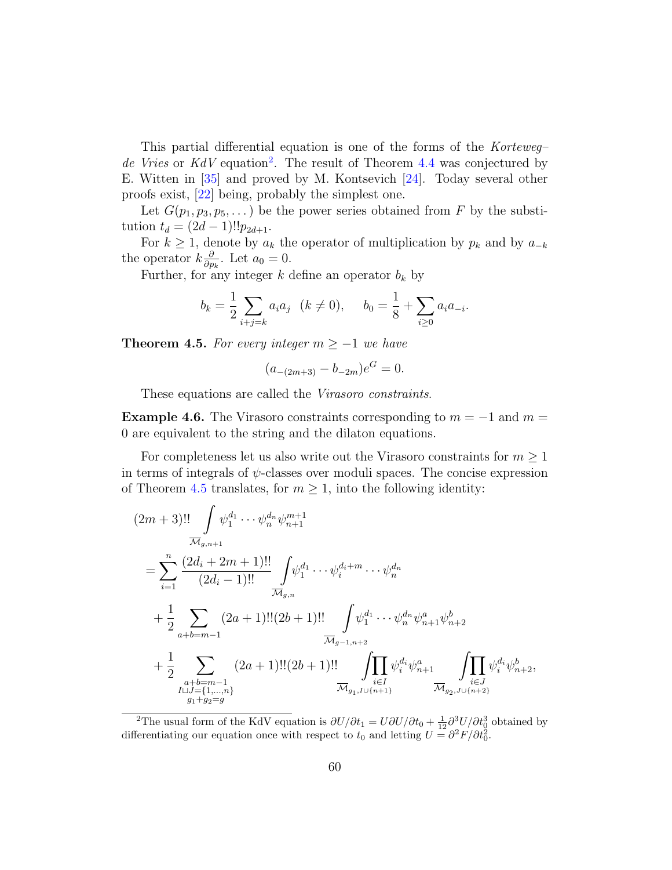<span id="page-59-2"></span>This partial differential equation is one of the forms of the Korteweg– de Vries or  $KdV$  equation<sup>[2](#page-59-1)</sup>. The result of Theorem [4.4](#page-58-1) was conjectured by E. Witten in [\[35\]](#page-64-6) and proved by M. Kontsevich [\[24\]](#page-63-10). Today several other proofs exist, [\[22\]](#page-63-7) being, probably the simplest one.

Let  $G(p_1, p_3, p_5, \dots)$  be the power series obtained from F by the substitution  $t_d = (2d - 1)! p_{2d+1}$ .

For  $k \geq 1$ , denote by  $a_k$  the operator of multiplication by  $p_k$  and by  $a_{-k}$ the operator  $k\frac{\partial}{\partial n}$  $\frac{\partial}{\partial p_k}$ . Let  $a_0 = 0$ .

Further, for any integer  $k$  define an operator  $b_k$  by

$$
b_k = \frac{1}{2} \sum_{i+j=k} a_i a_j \quad (k \neq 0), \qquad b_0 = \frac{1}{8} + \sum_{i \geq 0} a_i a_{-i}.
$$

<span id="page-59-0"></span>**Theorem 4.5.** For every integer  $m \geq -1$  we have

$$
(a_{-(2m+3)} - b_{-2m})e^G = 0.
$$

These equations are called the Virasoro constraints.

**Example 4.6.** The Virasoro constraints corresponding to  $m = -1$  and  $m =$ 0 are equivalent to the string and the dilaton equations.

For completeness let us also write out the Virasoro constraints for  $m \geq 1$ in terms of integrals of  $\psi$ -classes over moduli spaces. The concise expression of Theorem [4.5](#page-59-0) translates, for  $m \geq 1$ , into the following identity:

$$
(2m+3)!! \int_{\overline{\mathcal{M}}_{g,n+1}} \psi_1^{d_1} \cdots \psi_n^{d_n} \psi_{n+1}^{m+1}
$$
  
\n
$$
= \sum_{i=1}^n \frac{(2d_i + 2m + 1)!!}{(2d_i - 1)!!} \int_{\overline{\mathcal{M}}_{g,n}} \psi_1^{d_1} \cdots \psi_i^{d_i + m} \cdots \psi_n^{d_n}
$$
  
\n
$$
+ \frac{1}{2} \sum_{a+b=m-1} (2a+1)!! (2b+1)!! \int_{\overline{\mathcal{M}}_{g-1,n+2}} \psi_1^{d_1} \cdots \psi_n^{d_n} \psi_{n+1}^{a} \psi_{n+2}^{b}
$$
  
\n
$$
+ \frac{1}{2} \sum_{\substack{a+b=m-1 \\ a+b=m-1 \\ a+b=m-1 \\ a \text{ odd}}} (2a+1)!! (2b+1)!! \int_{\substack{i \in I \\ \overline{\mathcal{M}}_{g_1, I \cup \{n+1\}}} \psi_i^{d_i} \psi_{n+1}^{a} \int_{\overline{\mathcal{M}}_{g_2, J \cup \{n+2\}}} \psi_i^{d_i} \psi_{n+2}^{b},
$$

<span id="page-59-1"></span><sup>&</sup>lt;sup>2</sup>The usual form of the KdV equation is  $\partial U/\partial t_1 = U \partial U/\partial t_0 + \frac{1}{12} \partial^3 U/\partial t_0^3$  obtained by differentiating our equation once with respect to  $t_0$  and letting  $U = \frac{\partial^2 F}{\partial t_0^2}$ .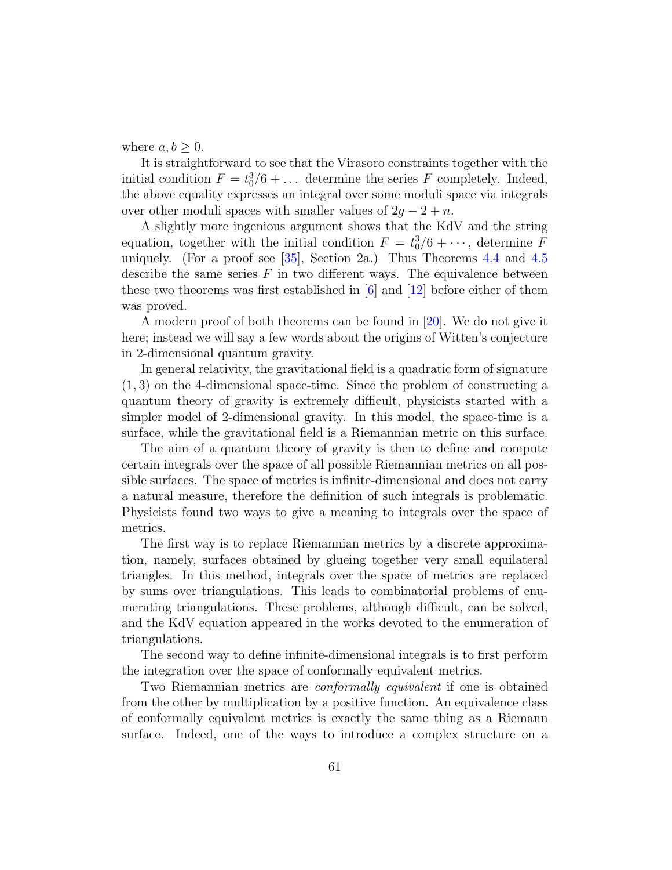<span id="page-60-0"></span>where  $a, b \geq 0$ .

It is straightforward to see that the Virasoro constraints together with the initial condition  $F = t_0^3/6 + \ldots$  determine the series F completely. Indeed, the above equality expresses an integral over some moduli space via integrals over other moduli spaces with smaller values of  $2g - 2 + n$ .

A slightly more ingenious argument shows that the KdV and the string equation, together with the initial condition  $F = t_0^3/6 + \cdots$ , determine F uniquely. (For a proof see [\[35\]](#page-64-6), Section 2a.) Thus Theorems [4.4](#page-58-1) and [4.5](#page-59-0) describe the same series  $F$  in two different ways. The equivalence between these two theorems was first established in  $[6]$  and  $[12]$  before either of them was proved.

A modern proof of both theorems can be found in [\[20\]](#page-63-11). We do not give it here; instead we will say a few words about the origins of Witten's conjecture in 2-dimensional quantum gravity.

In general relativity, the gravitational field is a quadratic form of signature (1, 3) on the 4-dimensional space-time. Since the problem of constructing a quantum theory of gravity is extremely difficult, physicists started with a simpler model of 2-dimensional gravity. In this model, the space-time is a surface, while the gravitational field is a Riemannian metric on this surface.

The aim of a quantum theory of gravity is then to define and compute certain integrals over the space of all possible Riemannian metrics on all possible surfaces. The space of metrics is infinite-dimensional and does not carry a natural measure, therefore the definition of such integrals is problematic. Physicists found two ways to give a meaning to integrals over the space of metrics.

The first way is to replace Riemannian metrics by a discrete approximation, namely, surfaces obtained by glueing together very small equilateral triangles. In this method, integrals over the space of metrics are replaced by sums over triangulations. This leads to combinatorial problems of enumerating triangulations. These problems, although difficult, can be solved, and the KdV equation appeared in the works devoted to the enumeration of triangulations.

The second way to define infinite-dimensional integrals is to first perform the integration over the space of conformally equivalent metrics.

Two Riemannian metrics are *conformally equivalent* if one is obtained from the other by multiplication by a positive function. An equivalence class of conformally equivalent metrics is exactly the same thing as a Riemann surface. Indeed, one of the ways to introduce a complex structure on a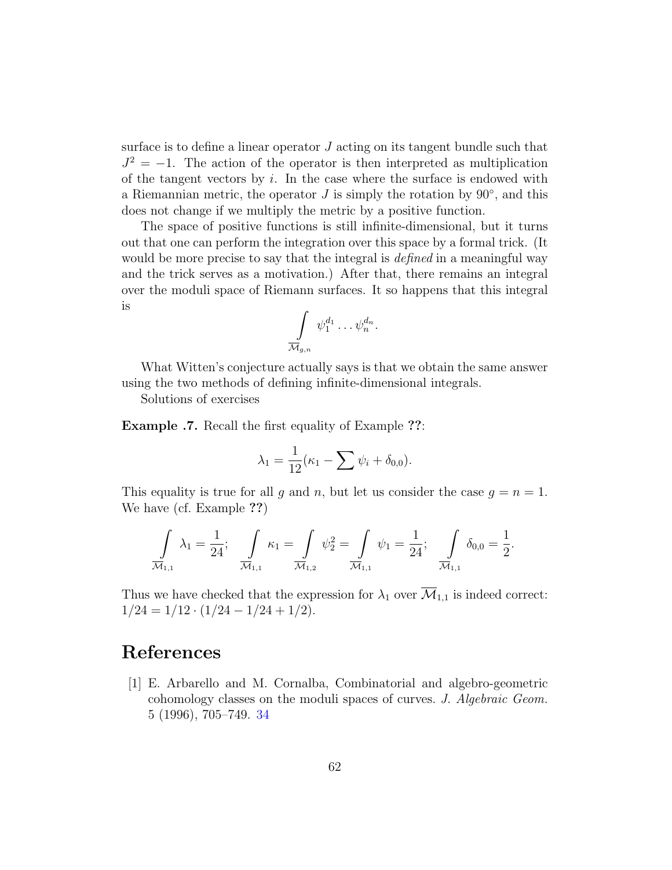surface is to define a linear operator J acting on its tangent bundle such that  $J^2 = -1$ . The action of the operator is then interpreted as multiplication of the tangent vectors by  $i$ . In the case where the surface is endowed with a Riemannian metric, the operator  $J$  is simply the rotation by  $90^{\circ}$ , and this does not change if we multiply the metric by a positive function.

The space of positive functions is still infinite-dimensional, but it turns out that one can perform the integration over this space by a formal trick. (It would be more precise to say that the integral is *defined* in a meaningful way and the trick serves as a motivation.) After that, there remains an integral over the moduli space of Riemann surfaces. It so happens that this integral is

$$
\int\limits_{\overline{\mathcal{M}}_{g,n}}\psi_1^{d_1}\ldots \psi_n^{d_n}.
$$

What Witten's conjecture actually says is that we obtain the same answer using the two methods of defining infinite-dimensional integrals.

Solutions of exercises

Example .7. Recall the first equality of Example ??:

$$
\lambda_1 = \frac{1}{12}(\kappa_1 - \sum \psi_i + \delta_{0,0}).
$$

This equality is true for all g and n, but let us consider the case  $g = n = 1$ . We have (cf. Example ??)

$$
\int_{\overline{\mathcal{M}}_{1,1}} \lambda_1 = \frac{1}{24}; \quad \int_{\overline{\mathcal{M}}_{1,1}} \kappa_1 = \int_{\overline{\mathcal{M}}_{1,2}} \psi_2^2 = \int_{\overline{\mathcal{M}}_{1,1}} \psi_1 = \frac{1}{24}; \quad \int_{\overline{\mathcal{M}}_{1,1}} \delta_{0,0} = \frac{1}{2}.
$$

Thus we have checked that the expression for  $\lambda_1$  over  $\overline{\mathcal{M}}_{1,1}$  is indeed correct:  $1/24 = 1/12 \cdot (1/24 - 1/24 + 1/2).$ 

# <span id="page-61-0"></span>References

<span id="page-61-1"></span>[1] E. Arbarello and M. Cornalba, Combinatorial and algebro-geometric cohomology classes on the moduli spaces of curves. J. Algebraic Geom. 5 (1996), 705–749. [34](#page-33-1)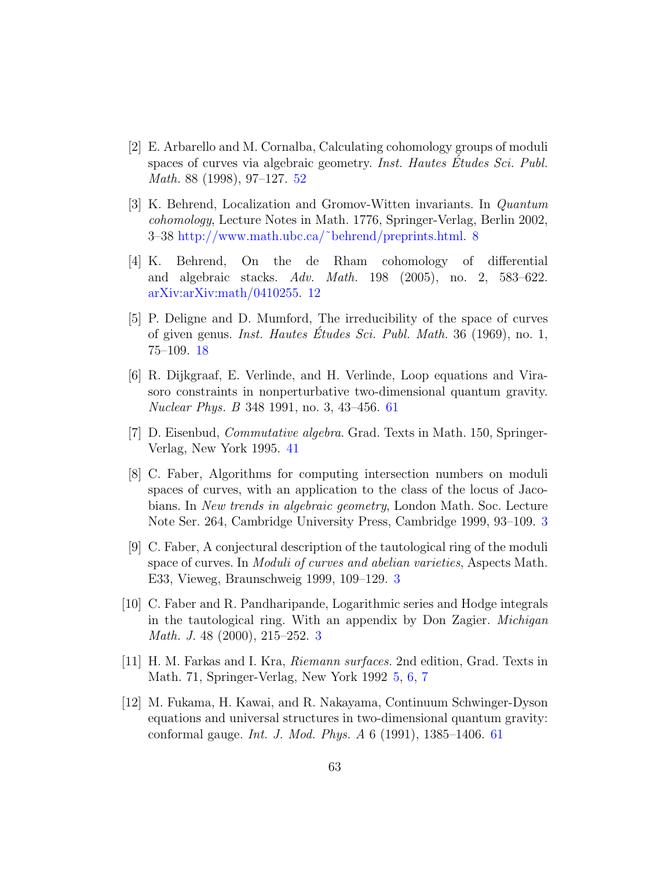- <span id="page-62-8"></span>[2] E. Arbarello and M. Cornalba, Calculating cohomology groups of moduli spaces of curves via algebraic geometry. *Inst. Hautes Etudes Sci. Publ.* Math. 88 (1998), 97–127. [52](#page-51-3)
- <span id="page-62-4"></span>[3] K. Behrend, Localization and Gromov-Witten invariants. In Quantum cohomology, Lecture Notes in Math. 1776, Springer-Verlag, Berlin 2002, 3–38 [http://www.math.ubc.ca/˜behrend/preprints.html.](http://www.math.ubc.ca/~behrend/preprints.html) [8](#page-7-2)
- <span id="page-62-5"></span>[4] K. Behrend, On the de Rham cohomology of differential and algebraic stacks. Adv. Math. 198 (2005), no. 2, 583–622. [arXiv:arXiv:math/0410255.](http://arxiv.org/abs/arXiv:math/0410255) [12](#page-11-2)
- <span id="page-62-6"></span>[5] P. Deligne and D. Mumford, The irreducibility of the space of curves of given genus. *Inst. Hautes Etudes Sci. Publ. Math.* 36 (1969), no. 1, 75–109. [18](#page-17-3)
- <span id="page-62-9"></span>[6] R. Dijkgraaf, E. Verlinde, and H. Verlinde, Loop equations and Virasoro constraints in nonperturbative two-dimensional quantum gravity. Nuclear Phys. B 348 1991, no. 3, 43–456. [61](#page-60-0)
- <span id="page-62-7"></span>[7] D. Eisenbud, Commutative algebra. Grad. Texts in Math. 150, Springer-Verlag, New York 1995. [41](#page-40-1)
- <span id="page-62-2"></span>[8] C. Faber, Algorithms for computing intersection numbers on moduli spaces of curves, with an application to the class of the locus of Jacobians. In New trends in algebraic geometry, London Math. Soc. Lecture Note Ser. 264, Cambridge University Press, Cambridge 1999, 93–109. [3](#page-2-1)
- <span id="page-62-0"></span>[9] C. Faber, A conjectural description of the tautological ring of the moduli space of curves. In Moduli of curves and abelian varieties, Aspects Math. E33, Vieweg, Braunschweig 1999, 109–129. [3](#page-2-1)
- <span id="page-62-1"></span>[10] C. Faber and R. Pandharipande, Logarithmic series and Hodge integrals in the tautological ring. With an appendix by Don Zagier. Michigan Math. J. 48 (2000), 215–252. [3](#page-2-1)
- <span id="page-62-3"></span>[11] H. M. Farkas and I. Kra, Riemann surfaces. 2nd edition, Grad. Texts in Math. 71, Springer-Verlag, New York 1992 [5,](#page-4-3) [6,](#page-5-3) [7](#page-6-1)
- <span id="page-62-10"></span>[12] M. Fukama, H. Kawai, and R. Nakayama, Continuum Schwinger-Dyson equations and universal structures in two-dimensional quantum gravity: conformal gauge. Int. J. Mod. Phys. A 6 (1991), 1385–1406. [61](#page-60-0)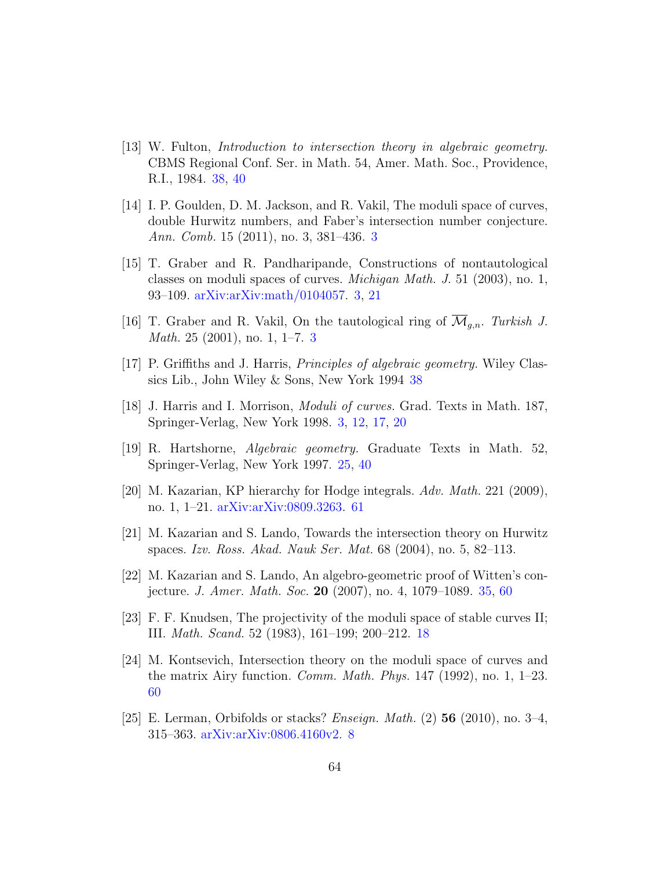- <span id="page-63-8"></span> $[13]$  W. Fulton, *Introduction to intersection theory in algebraic geometry.* CBMS Regional Conf. Ser. in Math. 54, Amer. Math. Soc., Providence, R.I., 1984. [38,](#page-37-1) [40](#page-39-1)
- <span id="page-63-1"></span>[14] I. P. Goulden, D. M. Jackson, and R. Vakil, The moduli space of curves, double Hurwitz numbers, and Faber's intersection number conjecture. Ann. Comb. 15 (2011), no. 3, 381–436. [3](#page-2-1)
- <span id="page-63-0"></span>[15] T. Graber and R. Pandharipande, Constructions of nontautological classes on moduli spaces of curves. Michigan Math. J. 51 (2003), no. 1, 93–109. [arXiv:arXiv:math/0104057.](http://arxiv.org/abs/arXiv:math/0104057) [3,](#page-2-1) [21](#page-20-3)
- <span id="page-63-2"></span>[16] T. Graber and R. Vakil, On the tautological ring of  $\mathcal{M}_{q,n}$ . Turkish J. Math. 25 (2001), no. 1, 1–7. [3](#page-2-1)
- <span id="page-63-9"></span>[17] P. Griffiths and J. Harris, Principles of algebraic geometry. Wiley Classics Lib., John Wiley & Sons, New York 1994 [38](#page-37-1)
- <span id="page-63-3"></span>[18] J. Harris and I. Morrison, Moduli of curves. Grad. Texts in Math. 187, Springer-Verlag, New York 1998. [3,](#page-2-1) [12,](#page-11-2) [17,](#page-16-0) [20](#page-19-1)
- <span id="page-63-6"></span>[19] R. Hartshorne, Algebraic geometry. Graduate Texts in Math. 52, Springer-Verlag, New York 1997. [25,](#page-24-2) [40](#page-39-1)
- <span id="page-63-11"></span>[20] M. Kazarian, KP hierarchy for Hodge integrals. Adv. Math. 221 (2009), no. 1, 1–21. [arXiv:arXiv:0809.3263.](http://arxiv.org/abs/arXiv:0809.3263) [61](#page-60-0)
- [21] M. Kazarian and S. Lando, Towards the intersection theory on Hurwitz spaces. Izv. Ross. Akad. Nauk Ser. Mat. 68 (2004), no. 5, 82–113.
- <span id="page-63-7"></span>[22] M. Kazarian and S. Lando, An algebro-geometric proof of Witten's conjecture. J. Amer. Math. Soc. 20 (2007), no. 4, 1079–1089. [35,](#page-34-3) [60](#page-59-2)
- <span id="page-63-5"></span>[23] F. F. Knudsen, The projectivity of the moduli space of stable curves II; III. Math. Scand. 52 (1983), 161–199; 200–212. [18](#page-17-3)
- <span id="page-63-10"></span>[24] M. Kontsevich, Intersection theory on the moduli space of curves and the matrix Airy function. *Comm. Math. Phys.* 147 (1992), no. 1,  $1-23$ . [60](#page-59-2)
- <span id="page-63-4"></span>[25] E. Lerman, Orbifolds or stacks? *Enseign. Math.* (2) **56** (2010), no. 3–4, 315–363. [arXiv:arXiv:0806.4160v2.](http://arxiv.org/abs/arXiv:0806.4160v2.) [8](#page-7-2)